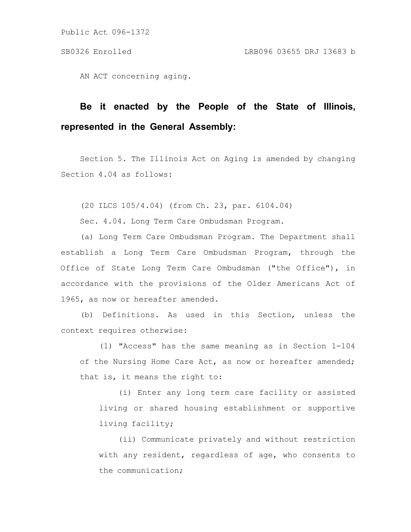AN ACT concerning aging.

# **Be it enacted by the People of the State of Illinois, represented in the General Assembly:**

Section 5. The Illinois Act on Aging is amended by changing Section 4.04 as follows:

(20 ILCS 105/4.04) (from Ch. 23, par. 6104.04)

Sec. 4.04. Long Term Care Ombudsman Program.

(a) Long Term Care Ombudsman Program. The Department shall establish a Long Term Care Ombudsman Program, through the Office of State Long Term Care Ombudsman ("the Office"), in accordance with the provisions of the Older Americans Act of 1965, as now or hereafter amended.

(b) Definitions. As used in this Section, unless the context requires otherwise:

(1) "Access" has the same meaning as in Section 1-104 of the Nursing Home Care Act, as now or hereafter amended; that is, it means the right to:

(i) Enter any long term care facility or assisted living or shared housing establishment or supportive living facility;

(ii) Communicate privately and without restriction with any resident, regardless of age, who consents to the communication;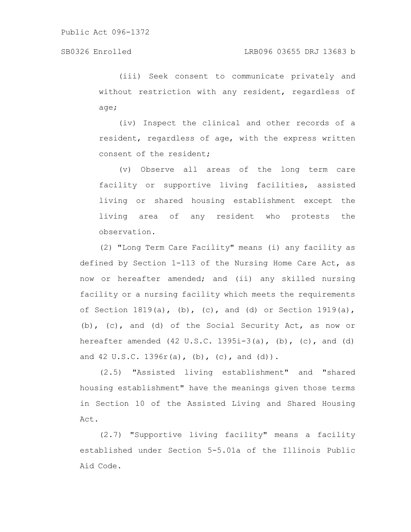(iii) Seek consent to communicate privately and without restriction with any resident, regardless of age;

(iv) Inspect the clinical and other records of a resident, regardless of age, with the express written consent of the resident;

(v) Observe all areas of the long term care facility or supportive living facilities, assisted living or shared housing establishment except the living area of any resident who protests the observation.

(2) "Long Term Care Facility" means (i) any facility as defined by Section 1-113 of the Nursing Home Care Act, as now or hereafter amended; and (ii) any skilled nursing facility or a nursing facility which meets the requirements of Section  $1819(a)$ , (b), (c), and (d) or Section  $1919(a)$ , (b), (c), and (d) of the Social Security Act, as now or hereafter amended  $(42 \text{ U.S.C. } 1395\text{i}-3(a), (b), (c),$  and  $(d)$ and  $42 \text{ U.S.C. } 1396 \text{ r(a)}, \text{ (b)}, \text{ (c)}, \text{ and } \text{ (d)}$ .

(2.5) "Assisted living establishment" and "shared housing establishment" have the meanings given those terms in Section 10 of the Assisted Living and Shared Housing Act.

(2.7) "Supportive living facility" means a facility established under Section 5-5.01a of the Illinois Public Aid Code.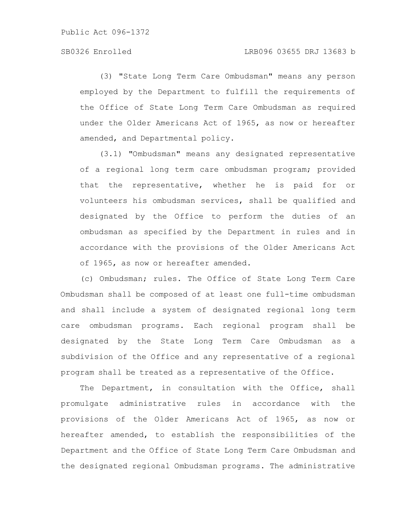(3) "State Long Term Care Ombudsman" means any person employed by the Department to fulfill the requirements of the Office of State Long Term Care Ombudsman as required under the Older Americans Act of 1965, as now or hereafter amended, and Departmental policy.

(3.1) "Ombudsman" means any designated representative of a regional long term care ombudsman program; provided that the representative, whether he is paid for or volunteers his ombudsman services, shall be qualified and designated by the Office to perform the duties of an ombudsman as specified by the Department in rules and in accordance with the provisions of the Older Americans Act of 1965, as now or hereafter amended.

(c) Ombudsman; rules. The Office of State Long Term Care Ombudsman shall be composed of at least one full-time ombudsman and shall include a system of designated regional long term care ombudsman programs. Each regional program shall be designated by the State Long Term Care Ombudsman as a subdivision of the Office and any representative of a regional program shall be treated as a representative of the Office.

The Department, in consultation with the Office, shall promulgate administrative rules in accordance with the provisions of the Older Americans Act of 1965, as now or hereafter amended, to establish the responsibilities of the Department and the Office of State Long Term Care Ombudsman and the designated regional Ombudsman programs. The administrative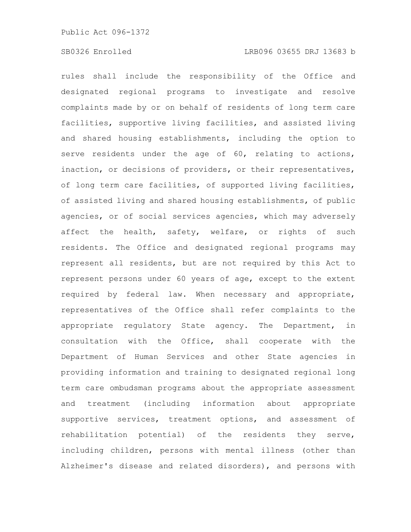rules shall include the responsibility of the Office and designated regional programs to investigate and resolve complaints made by or on behalf of residents of long term care facilities, supportive living facilities, and assisted living and shared housing establishments, including the option to serve residents under the age of 60, relating to actions, inaction, or decisions of providers, or their representatives, of long term care facilities, of supported living facilities, of assisted living and shared housing establishments, of public agencies, or of social services agencies, which may adversely affect the health, safety, welfare, or rights of such residents. The Office and designated regional programs may represent all residents, but are not required by this Act to represent persons under 60 years of age, except to the extent required by federal law. When necessary and appropriate, representatives of the Office shall refer complaints to the appropriate regulatory State agency. The Department, in consultation with the Office, shall cooperate with the Department of Human Services and other State agencies in providing information and training to designated regional long term care ombudsman programs about the appropriate assessment and treatment (including information about appropriate supportive services, treatment options, and assessment of rehabilitation potential) of the residents they serve, including children, persons with mental illness (other than Alzheimer's disease and related disorders), and persons with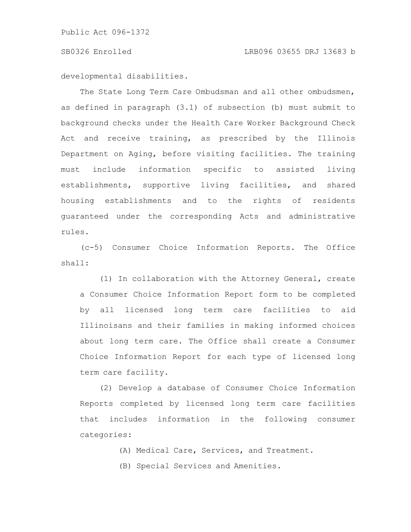developmental disabilities.

The State Long Term Care Ombudsman and all other ombudsmen, as defined in paragraph (3.1) of subsection (b) must submit to background checks under the Health Care Worker Background Check Act and receive training, as prescribed by the Illinois Department on Aging, before visiting facilities. The training must include information specific to assisted living establishments, supportive living facilities, and shared housing establishments and to the rights of residents guaranteed under the corresponding Acts and administrative rules.

(c-5) Consumer Choice Information Reports. The Office shall:

(1) In collaboration with the Attorney General, create a Consumer Choice Information Report form to be completed by all licensed long term care facilities to aid Illinoisans and their families in making informed choices about long term care. The Office shall create a Consumer Choice Information Report for each type of licensed long term care facility.

(2) Develop a database of Consumer Choice Information Reports completed by licensed long term care facilities that includes information in the following consumer categories:

- (A) Medical Care, Services, and Treatment.
- (B) Special Services and Amenities.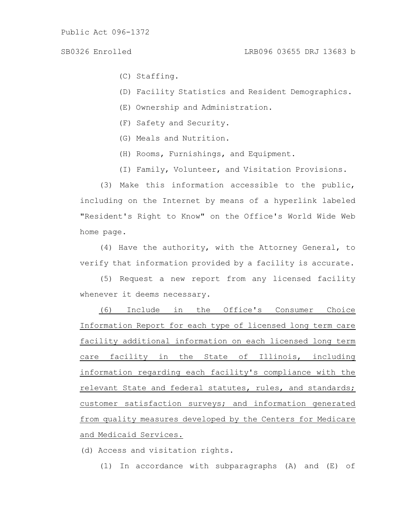- (C) Staffing.
- (D) Facility Statistics and Resident Demographics.
- (E) Ownership and Administration.
- (F) Safety and Security.
- (G) Meals and Nutrition.
- (H) Rooms, Furnishings, and Equipment.
- (I) Family, Volunteer, and Visitation Provisions.

(3) Make this information accessible to the public, including on the Internet by means of a hyperlink labeled "Resident's Right to Know" on the Office's World Wide Web home page.

(4) Have the authority, with the Attorney General, to verify that information provided by a facility is accurate.

(5) Request a new report from any licensed facility whenever it deems necessary.

(6) Include in the Office's Consumer Choice Information Report for each type of licensed long term care facility additional information on each licensed long term care facility in the State of Illinois, including information regarding each facility's compliance with the relevant State and federal statutes, rules, and standards; customer satisfaction surveys; and information generated from quality measures developed by the Centers for Medicare and Medicaid Services.

(d) Access and visitation rights.

(1) In accordance with subparagraphs (A) and (E) of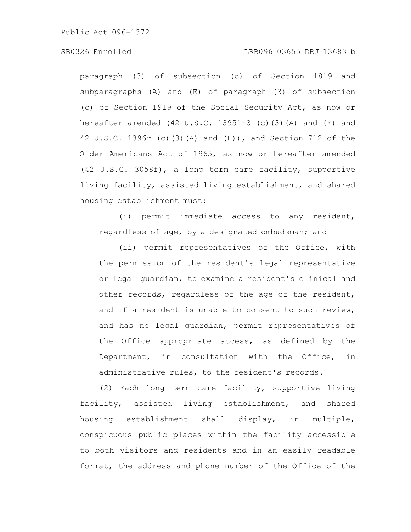### SB0326 Enrolled LRB096 03655 DRJ 13683 b

paragraph (3) of subsection (c) of Section 1819 and subparagraphs (A) and (E) of paragraph (3) of subsection (c) of Section 1919 of the Social Security Act, as now or hereafter amended  $(42 \text{ U.S.C. } 1395\text{i} - 3$  (c)(3)(A) and (E) and 42 U.S.C. 1396r (c)(3)(A) and (E)), and Section 712 of the Older Americans Act of 1965, as now or hereafter amended (42 U.S.C. 3058f), a long term care facility, supportive living facility, assisted living establishment, and shared housing establishment must:

(i) permit immediate access to any resident, regardless of age, by a designated ombudsman; and

(ii) permit representatives of the Office, with the permission of the resident's legal representative or legal guardian, to examine a resident's clinical and other records, regardless of the age of the resident, and if a resident is unable to consent to such review, and has no legal guardian, permit representatives of the Office appropriate access, as defined by the Department, in consultation with the Office, in administrative rules, to the resident's records.

(2) Each long term care facility, supportive living facility, assisted living establishment, and shared housing establishment shall display, in multiple, conspicuous public places within the facility accessible to both visitors and residents and in an easily readable format, the address and phone number of the Office of the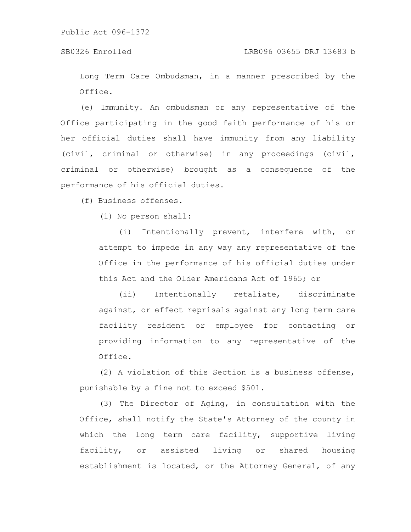### SB0326 Enrolled LRB096 03655 DRJ 13683 b

Long Term Care Ombudsman, in a manner prescribed by the Office.

(e) Immunity. An ombudsman or any representative of the Office participating in the good faith performance of his or her official duties shall have immunity from any liability (civil, criminal or otherwise) in any proceedings (civil, criminal or otherwise) brought as a consequence of the performance of his official duties.

(f) Business offenses.

(1) No person shall:

(i) Intentionally prevent, interfere with, or attempt to impede in any way any representative of the Office in the performance of his official duties under this Act and the Older Americans Act of 1965; or

(ii) Intentionally retaliate, discriminate against, or effect reprisals against any long term care facility resident or employee for contacting or providing information to any representative of the Office.

(2) A violation of this Section is a business offense, punishable by a fine not to exceed \$501.

(3) The Director of Aging, in consultation with the Office, shall notify the State's Attorney of the county in which the long term care facility, supportive living facility, or assisted living or shared housing establishment is located, or the Attorney General, of any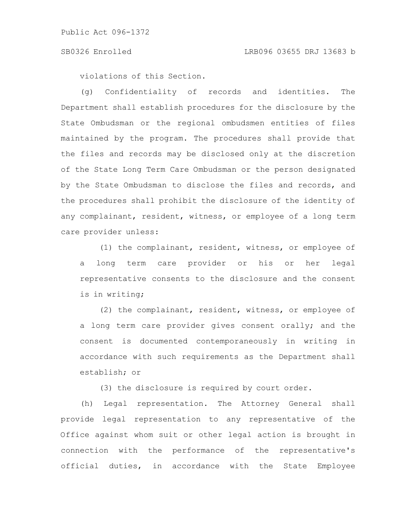violations of this Section.

(g) Confidentiality of records and identities. The Department shall establish procedures for the disclosure by the State Ombudsman or the regional ombudsmen entities of files maintained by the program. The procedures shall provide that the files and records may be disclosed only at the discretion of the State Long Term Care Ombudsman or the person designated by the State Ombudsman to disclose the files and records, and the procedures shall prohibit the disclosure of the identity of any complainant, resident, witness, or employee of a long term care provider unless:

(1) the complainant, resident, witness, or employee of a long term care provider or his or her legal representative consents to the disclosure and the consent is in writing;

(2) the complainant, resident, witness, or employee of a long term care provider gives consent orally; and the consent is documented contemporaneously in writing in accordance with such requirements as the Department shall establish; or

(3) the disclosure is required by court order.

(h) Legal representation. The Attorney General shall provide legal representation to any representative of the Office against whom suit or other legal action is brought in connection with the performance of the representative's official duties, in accordance with the State Employee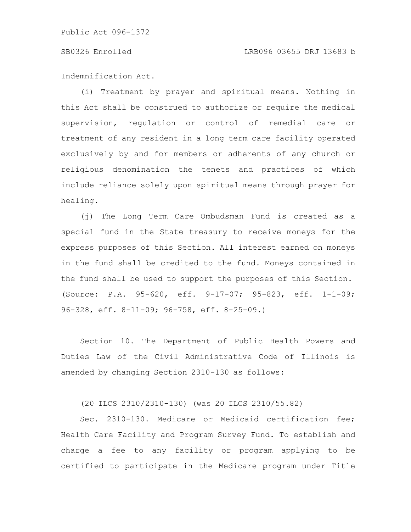### SB0326 Enrolled LRB096 03655 DRJ 13683 b

Indemnification Act.

(i) Treatment by prayer and spiritual means. Nothing in this Act shall be construed to authorize or require the medical supervision, regulation or control of remedial care or treatment of any resident in a long term care facility operated exclusively by and for members or adherents of any church or religious denomination the tenets and practices of which include reliance solely upon spiritual means through prayer for healing.

(j) The Long Term Care Ombudsman Fund is created as a special fund in the State treasury to receive moneys for the express purposes of this Section. All interest earned on moneys in the fund shall be credited to the fund. Moneys contained in the fund shall be used to support the purposes of this Section. (Source: P.A. 95-620, eff. 9-17-07; 95-823, eff. 1-1-09; 96-328, eff. 8-11-09; 96-758, eff. 8-25-09.)

Section 10. The Department of Public Health Powers and Duties Law of the Civil Administrative Code of Illinois is amended by changing Section 2310-130 as follows:

(20 ILCS 2310/2310-130) (was 20 ILCS 2310/55.82)

Sec. 2310-130. Medicare or Medicaid certification fee; Health Care Facility and Program Survey Fund. To establish and charge a fee to any facility or program applying to be certified to participate in the Medicare program under Title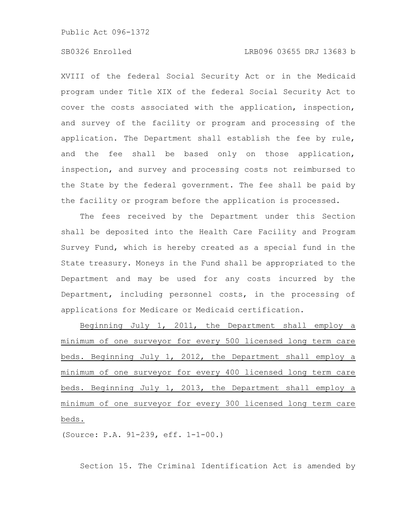### SB0326 Enrolled LRB096 03655 DRJ 13683 b

XVIII of the federal Social Security Act or in the Medicaid program under Title XIX of the federal Social Security Act to cover the costs associated with the application, inspection, and survey of the facility or program and processing of the application. The Department shall establish the fee by rule, and the fee shall be based only on those application, inspection, and survey and processing costs not reimbursed to the State by the federal government. The fee shall be paid by the facility or program before the application is processed.

The fees received by the Department under this Section shall be deposited into the Health Care Facility and Program Survey Fund, which is hereby created as a special fund in the State treasury. Moneys in the Fund shall be appropriated to the Department and may be used for any costs incurred by the Department, including personnel costs, in the processing of applications for Medicare or Medicaid certification.

Beginning July 1, 2011, the Department shall employ a minimum of one surveyor for every 500 licensed long term care beds. Beginning July 1, 2012, the Department shall employ a minimum of one surveyor for every 400 licensed long term care beds. Beginning July 1, 2013, the Department shall employ a minimum of one surveyor for every 300 licensed long term care beds.

(Source: P.A. 91-239, eff. 1-1-00.)

Section 15. The Criminal Identification Act is amended by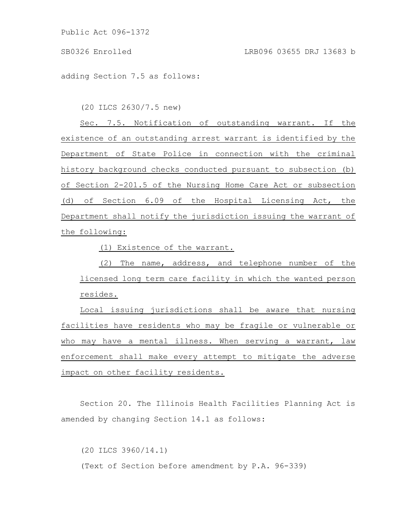adding Section 7.5 as follows:

(20 ILCS 2630/7.5 new)

Sec. 7.5. Notification of outstanding warrant. If the existence of an outstanding arrest warrant is identified by the Department of State Police in connection with the criminal history background checks conducted pursuant to subsection (b) of Section 2-201.5 of the Nursing Home Care Act or subsection (d) of Section 6.09 of the Hospital Licensing Act, the Department shall notify the jurisdiction issuing the warrant of the following:

(1) Existence of the warrant.

(2) The name, address, and telephone number of the licensed long term care facility in which the wanted person resides.

Local issuing jurisdictions shall be aware that nursing facilities have residents who may be fragile or vulnerable or who may have a mental illness. When serving a warrant, law enforcement shall make every attempt to mitigate the adverse impact on other facility residents.

Section 20. The Illinois Health Facilities Planning Act is amended by changing Section 14.1 as follows:

(20 ILCS 3960/14.1) (Text of Section before amendment by P.A. 96-339)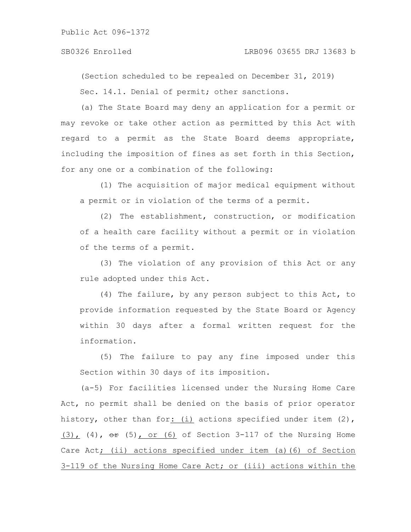### SB0326 Enrolled LRB096 03655 DRJ 13683 b

(Section scheduled to be repealed on December 31, 2019) Sec. 14.1. Denial of permit; other sanctions.

(a) The State Board may deny an application for a permit or may revoke or take other action as permitted by this Act with regard to a permit as the State Board deems appropriate, including the imposition of fines as set forth in this Section, for any one or a combination of the following:

(1) The acquisition of major medical equipment without a permit or in violation of the terms of a permit.

(2) The establishment, construction, or modification of a health care facility without a permit or in violation of the terms of a permit.

(3) The violation of any provision of this Act or any rule adopted under this Act.

(4) The failure, by any person subject to this Act, to provide information requested by the State Board or Agency within 30 days after a formal written request for the information.

(5) The failure to pay any fine imposed under this Section within 30 days of its imposition.

(a-5) For facilities licensed under the Nursing Home Care Act, no permit shall be denied on the basis of prior operator history, other than for: (i) actions specified under item (2),  $(3)$ , (4),  $\theta$  (5), or (6) of Section 3-117 of the Nursing Home Care Act; (ii) actions specified under item (a)(6) of Section 3-119 of the Nursing Home Care Act; or (iii) actions within the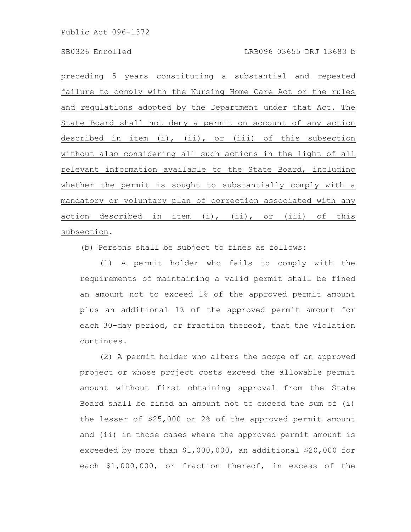preceding 5 years constituting a substantial and repeated failure to comply with the Nursing Home Care Act or the rules and regulations adopted by the Department under that Act. The State Board shall not deny a permit on account of any action described in item (i), (ii), or (iii) of this subsection without also considering all such actions in the light of all relevant information available to the State Board, including whether the permit is sought to substantially comply with a mandatory or voluntary plan of correction associated with any action described in item (i), (ii), or (iii) of this subsection.

(b) Persons shall be subject to fines as follows:

(1) A permit holder who fails to comply with the requirements of maintaining a valid permit shall be fined an amount not to exceed 1% of the approved permit amount plus an additional 1% of the approved permit amount for each 30-day period, or fraction thereof, that the violation continues.

(2) A permit holder who alters the scope of an approved project or whose project costs exceed the allowable permit amount without first obtaining approval from the State Board shall be fined an amount not to exceed the sum of (i) the lesser of \$25,000 or 2% of the approved permit amount and (ii) in those cases where the approved permit amount is exceeded by more than \$1,000,000, an additional \$20,000 for each \$1,000,000, or fraction thereof, in excess of the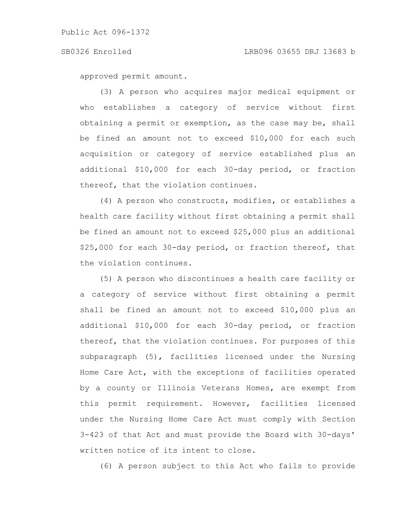approved permit amount.

(3) A person who acquires major medical equipment or who establishes a category of service without first obtaining a permit or exemption, as the case may be, shall be fined an amount not to exceed \$10,000 for each such acquisition or category of service established plus an additional \$10,000 for each 30-day period, or fraction thereof, that the violation continues.

(4) A person who constructs, modifies, or establishes a health care facility without first obtaining a permit shall be fined an amount not to exceed \$25,000 plus an additional \$25,000 for each 30-day period, or fraction thereof, that the violation continues.

(5) A person who discontinues a health care facility or a category of service without first obtaining a permit shall be fined an amount not to exceed \$10,000 plus an additional \$10,000 for each 30-day period, or fraction thereof, that the violation continues. For purposes of this subparagraph (5), facilities licensed under the Nursing Home Care Act, with the exceptions of facilities operated by a county or Illinois Veterans Homes, are exempt from this permit requirement. However, facilities licensed under the Nursing Home Care Act must comply with Section 3-423 of that Act and must provide the Board with 30-days' written notice of its intent to close.

(6) A person subject to this Act who fails to provide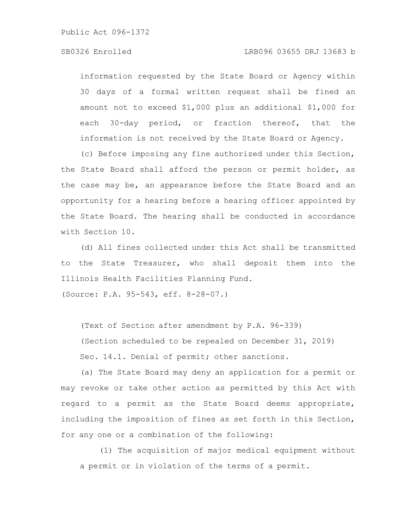### SB0326 Enrolled LRB096 03655 DRJ 13683 b

information requested by the State Board or Agency within 30 days of a formal written request shall be fined an amount not to exceed \$1,000 plus an additional \$1,000 for each 30-day period, or fraction thereof, that the information is not received by the State Board or Agency.

(c) Before imposing any fine authorized under this Section, the State Board shall afford the person or permit holder, as the case may be, an appearance before the State Board and an opportunity for a hearing before a hearing officer appointed by the State Board. The hearing shall be conducted in accordance with Section 10.

(d) All fines collected under this Act shall be transmitted to the State Treasurer, who shall deposit them into the Illinois Health Facilities Planning Fund.

(Source: P.A. 95-543, eff. 8-28-07.)

(Text of Section after amendment by P.A. 96-339) (Section scheduled to be repealed on December 31, 2019) Sec. 14.1. Denial of permit; other sanctions.

(a) The State Board may deny an application for a permit or may revoke or take other action as permitted by this Act with regard to a permit as the State Board deems appropriate, including the imposition of fines as set forth in this Section, for any one or a combination of the following:

(1) The acquisition of major medical equipment without a permit or in violation of the terms of a permit.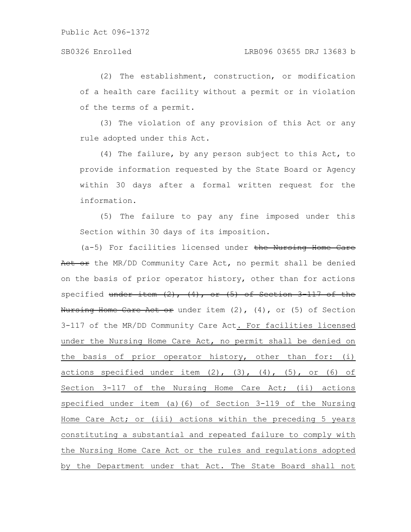(2) The establishment, construction, or modification of a health care facility without a permit or in violation of the terms of a permit.

(3) The violation of any provision of this Act or any rule adopted under this Act.

(4) The failure, by any person subject to this Act, to provide information requested by the State Board or Agency within 30 days after a formal written request for the information.

(5) The failure to pay any fine imposed under this Section within 30 days of its imposition.

(a-5) For facilities licensed under the Nursing Home Care Act or the MR/DD Community Care Act, no permit shall be denied on the basis of prior operator history, other than for actions specified under item  $(2)$ ,  $(4)$ , or  $(5)$  of Section 3-117 of the Nursing Home Care Act or under item (2), (4), or (5) of Section 3-117 of the MR/DD Community Care Act. For facilities licensed under the Nursing Home Care Act, no permit shall be denied on the basis of prior operator history, other than for: (i) actions specified under item  $(2)$ ,  $(3)$ ,  $(4)$ ,  $(5)$ , or  $(6)$  of Section 3-117 of the Nursing Home Care Act; (ii) actions specified under item (a)(6) of Section 3-119 of the Nursing Home Care Act; or (iii) actions within the preceding 5 years constituting a substantial and repeated failure to comply with the Nursing Home Care Act or the rules and regulations adopted by the Department under that Act. The State Board shall not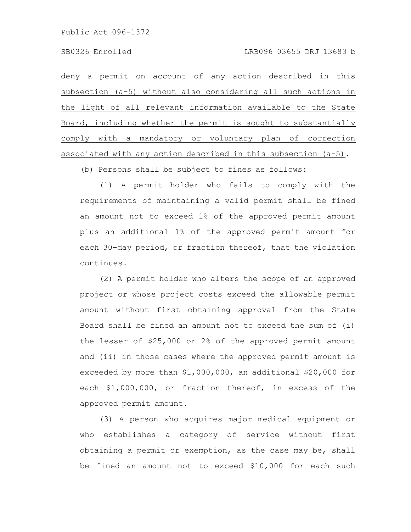deny a permit on account of any action described in this subsection (a-5) without also considering all such actions in the light of all relevant information available to the State Board, including whether the permit is sought to substantially comply with a mandatory or voluntary plan of correction associated with any action described in this subsection (a-5).

(b) Persons shall be subject to fines as follows:

(1) A permit holder who fails to comply with the requirements of maintaining a valid permit shall be fined an amount not to exceed 1% of the approved permit amount plus an additional 1% of the approved permit amount for each 30-day period, or fraction thereof, that the violation continues.

(2) A permit holder who alters the scope of an approved project or whose project costs exceed the allowable permit amount without first obtaining approval from the State Board shall be fined an amount not to exceed the sum of (i) the lesser of \$25,000 or 2% of the approved permit amount and (ii) in those cases where the approved permit amount is exceeded by more than \$1,000,000, an additional \$20,000 for each \$1,000,000, or fraction thereof, in excess of the approved permit amount.

(3) A person who acquires major medical equipment or who establishes a category of service without first obtaining a permit or exemption, as the case may be, shall be fined an amount not to exceed \$10,000 for each such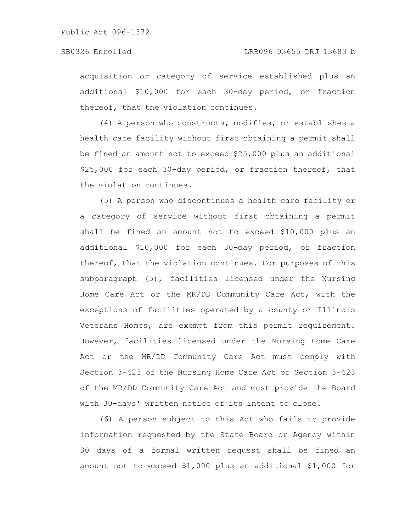acquisition or category of service established plus an additional \$10,000 for each 30-day period, or fraction thereof, that the violation continues.

(4) A person who constructs, modifies, or establishes a health care facility without first obtaining a permit shall be fined an amount not to exceed \$25,000 plus an additional \$25,000 for each 30-day period, or fraction thereof, that the violation continues.

(5) A person who discontinues a health care facility or a category of service without first obtaining a permit shall be fined an amount not to exceed \$10,000 plus an additional \$10,000 for each 30-day period, or fraction thereof, that the violation continues. For purposes of this subparagraph (5), facilities licensed under the Nursing Home Care Act or the MR/DD Community Care Act, with the exceptions of facilities operated by a county or Illinois Veterans Homes, are exempt from this permit requirement. However, facilities licensed under the Nursing Home Care Act or the MR/DD Community Care Act must comply with Section 3-423 of the Nursing Home Care Act or Section 3-423 of the MR/DD Community Care Act and must provide the Board with 30-days' written notice of its intent to close.

(6) A person subject to this Act who fails to provide information requested by the State Board or Agency within 30 days of a formal written request shall be fined an amount not to exceed \$1,000 plus an additional \$1,000 for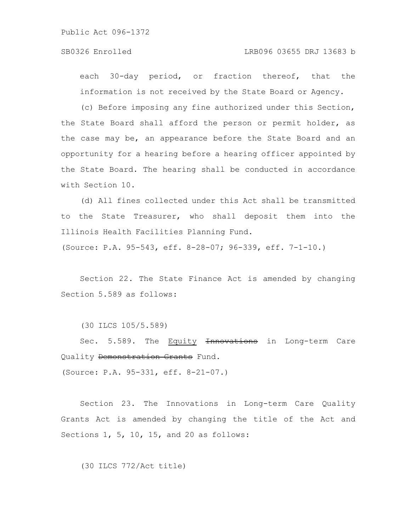### SB0326 Enrolled LRB096 03655 DRJ 13683 b

each 30-day period, or fraction thereof, that the information is not received by the State Board or Agency.

(c) Before imposing any fine authorized under this Section, the State Board shall afford the person or permit holder, as the case may be, an appearance before the State Board and an opportunity for a hearing before a hearing officer appointed by the State Board. The hearing shall be conducted in accordance with Section 10.

(d) All fines collected under this Act shall be transmitted to the State Treasurer, who shall deposit them into the Illinois Health Facilities Planning Fund.

(Source: P.A. 95-543, eff. 8-28-07; 96-339, eff. 7-1-10.)

Section 22. The State Finance Act is amended by changing Section 5.589 as follows:

(30 ILCS 105/5.589)

Sec. 5.589. The Equity **Innovations** in Long-term Care Quality Demonstration Grants Fund.

(Source: P.A. 95-331, eff. 8-21-07.)

Section 23. The Innovations in Long-term Care Quality Grants Act is amended by changing the title of the Act and Sections 1, 5, 10, 15, and 20 as follows:

(30 ILCS 772/Act title)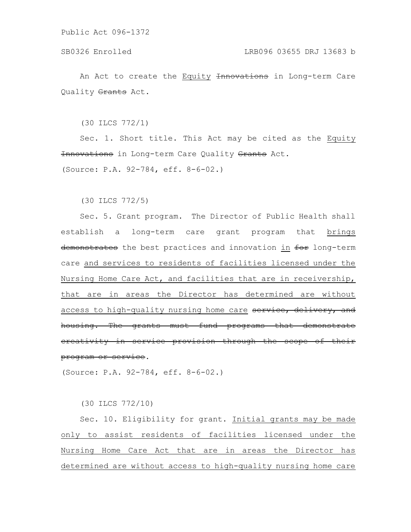An Act to create the Equity Innovations in Long-term Care Quality Grants Act.

(30 ILCS 772/1)

Sec. 1. Short title. This Act may be cited as the Equity Innovations in Long-term Care Quality Grants Act.

(Source: P.A. 92-784, eff. 8-6-02.)

(30 ILCS 772/5)

Sec. 5. Grant program. The Director of Public Health shall establish a long-term care grant program that brings demonstrates the best practices and innovation in for long-term care and services to residents of facilities licensed under the Nursing Home Care Act, and facilities that are in receivership, that are in areas the Director has determined are without access to high-quality nursing home care service, delivery, and housing. The grants must fund programs that demonstrate creativity in service provision through the scope of program or service.

(Source: P.A. 92-784, eff. 8-6-02.)

(30 ILCS 772/10)

Sec. 10. Eligibility for grant. Initial grants may be made only to assist residents of facilities licensed under the Nursing Home Care Act that are in areas the Director has determined are without access to high-quality nursing home care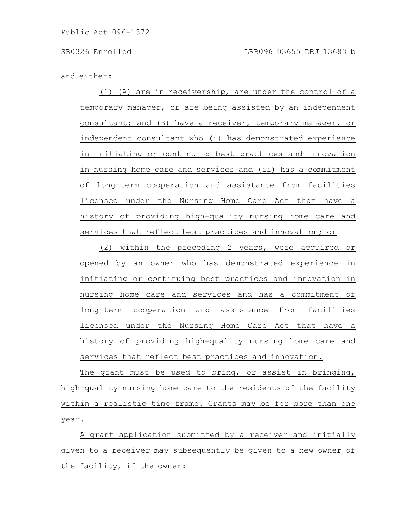### and either:

(1) (A) are in receivership, are under the control of a temporary manager, or are being assisted by an independent consultant; and (B) have a receiver, temporary manager, or independent consultant who (i) has demonstrated experience in initiating or continuing best practices and innovation in nursing home care and services and (ii) has a commitment of long-term cooperation and assistance from facilities licensed under the Nursing Home Care Act that have a history of providing high-quality nursing home care and services that reflect best practices and innovation; or

(2) within the preceding 2 years, were acquired or opened by an owner who has demonstrated experience in initiating or continuing best practices and innovation in nursing home care and services and has a commitment of long-term cooperation and assistance from facilities licensed under the Nursing Home Care Act that have a history of providing high-quality nursing home care and services that reflect best practices and innovation.

The grant must be used to bring, or assist in bringing, high-quality nursing home care to the residents of the facility within a realistic time frame. Grants may be for more than one year.

A grant application submitted by a receiver and initially given to a receiver may subsequently be given to a new owner of the facility, if the owner: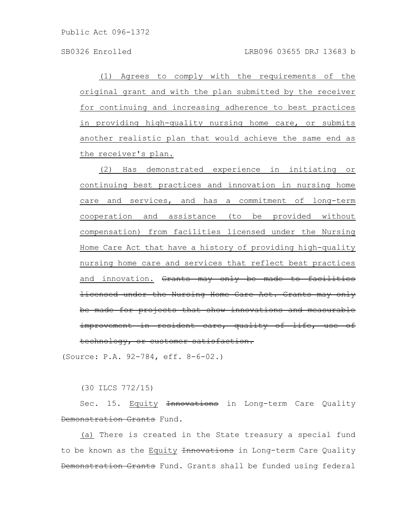(1) Agrees to comply with the requirements of the original grant and with the plan submitted by the receiver for continuing and increasing adherence to best practices in providing high-quality nursing home care, or submits another realistic plan that would achieve the same end as the receiver's plan.

(2) Has demonstrated experience in initiating or continuing best practices and innovation in nursing home care and services, and has a commitment of long-term cooperation and assistance (to be provided without compensation) from facilities licensed under the Nursing Home Care Act that have a history of providing high-quality nursing home care and services that reflect best practices and innovation. Grants may only be made to facilities licensed under the Nursing Home Care Act. Grants may only be made for projects that show innovations and measurable improvement in resident care, quality of life, use of technology, or customer satisfaction.

(Source: P.A. 92-784, eff. 8-6-02.)

(30 ILCS 772/15)

Sec. 15. Equity Innovations in Long-term Care Quality Demonstration Grants Fund.

(a) There is created in the State treasury a special fund to be known as the Equity Innovations in Long-term Care Quality Demonstration Grants Fund. Grants shall be funded using federal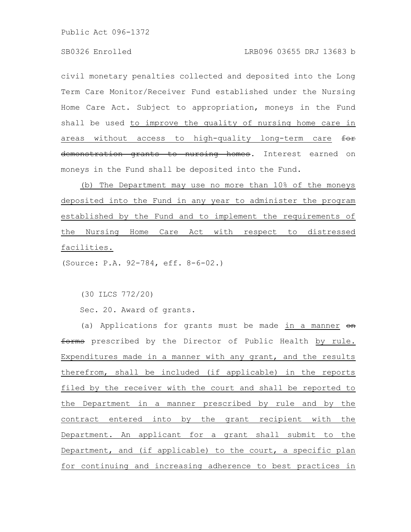civil monetary penalties collected and deposited into the Long Term Care Monitor/Receiver Fund established under the Nursing Home Care Act. Subject to appropriation, moneys in the Fund shall be used to improve the quality of nursing home care in areas without access to high-quality long-term care for demonstration grants to nursing homes. Interest earned on moneys in the Fund shall be deposited into the Fund.

(b) The Department may use no more than 10% of the moneys deposited into the Fund in any year to administer the program established by the Fund and to implement the requirements of the Nursing Home Care Act with respect to distressed facilities.

(Source: P.A. 92-784, eff. 8-6-02.)

(30 ILCS 772/20)

Sec. 20. Award of grants.

(a) Applications for grants must be made in a manner  $\Theta$ n forms prescribed by the Director of Public Health by rule. Expenditures made in a manner with any grant, and the results therefrom, shall be included (if applicable) in the reports filed by the receiver with the court and shall be reported to the Department in a manner prescribed by rule and by the contract entered into by the grant recipient with the Department. An applicant for a grant shall submit to the Department, and (if applicable) to the court, a specific plan for continuing and increasing adherence to best practices in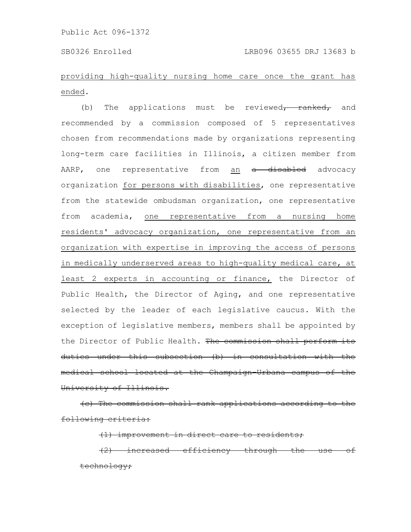## providing high-quality nursing home care once the grant has ended.

(b) The applications must be reviewed $\tau$  ranked, and recommended by a commission composed of 5 representatives chosen from recommendations made by organizations representing long-term care facilities in Illinois, a citizen member from AARP, one representative from an a disabled advocacy organization for persons with disabilities, one representative from the statewide ombudsman organization, one representative from academia, one representative from a nursing home residents' advocacy organization, one representative from an organization with expertise in improving the access of persons in medically underserved areas to high-quality medical care, at least 2 experts in accounting or finance, the Director of Public Health, the Director of Aging, and one representative selected by the leader of each legislative caucus. With the exception of legislative members, members shall be appointed by the Director of Public Health. The commission shall perform its duties under this subsection (b) in consultation with the medical school located at the Champaign-Urbana University of Illinois.

(c) The commission shall rank applications according following criteria:

improvement in direct care to residents;

increased efficiency through chnology**;**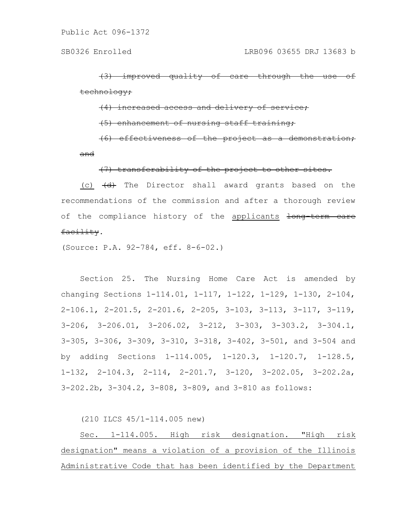improved quality of care <del>chnology;</del>

<del>increased</del>

<u>enhancement</u>

(6) effectiveness of the project as a demonstration; and

(7) transferability of the project to other sites.

(c)  $\left(\frac{d}{dt}\right)$  The Director shall award grants based on the recommendations of the commission and after a thorough review of the compliance history of the applicants long term care facility.

(Source: P.A. 92-784, eff. 8-6-02.)

Section 25. The Nursing Home Care Act is amended by changing Sections 1-114.01, 1-117, 1-122, 1-129, 1-130, 2-104, 2-106.1, 2-201.5, 2-201.6, 2-205, 3-103, 3-113, 3-117, 3-119, 3-206, 3-206.01, 3-206.02, 3-212, 3-303, 3-303.2, 3-304.1, 3-305, 3-306, 3-309, 3-310, 3-318, 3-402, 3-501, and 3-504 and by adding Sections 1-114.005, 1-120.3, 1-120.7, 1-128.5, 1-132, 2-104.3, 2-114, 2-201.7, 3-120, 3-202.05, 3-202.2a, 3-202.2b, 3-304.2, 3-808, 3-809, and 3-810 as follows:

(210 ILCS 45/1-114.005 new)

Sec. 1-114.005. High risk designation. "High risk designation" means a violation of a provision of the Illinois Administrative Code that has been identified by the Department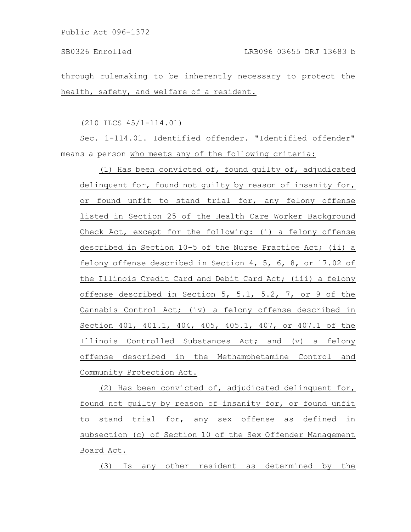through rulemaking to be inherently necessary to protect the health, safety, and welfare of a resident.

(210 ILCS 45/1-114.01)

Sec. 1-114.01. Identified offender. "Identified offender" means a person who meets any of the following criteria:

(1) Has been convicted of, found guilty of, adjudicated delinquent for, found not guilty by reason of insanity for, or found unfit to stand trial for, any felony offense listed in Section 25 of the Health Care Worker Background Check Act, except for the following: (i) a felony offense described in Section 10-5 of the Nurse Practice Act; (ii) a felony offense described in Section 4, 5, 6, 8, or 17.02 of the Illinois Credit Card and Debit Card Act; (iii) a felony offense described in Section 5, 5.1, 5.2, 7, or 9 of the Cannabis Control Act; (iv) a felony offense described in Section 401, 401.1, 404, 405, 405.1, 407, or 407.1 of the Illinois Controlled Substances Act; and (v) a felony offense described in the Methamphetamine Control and Community Protection Act.

(2) Has been convicted of, adjudicated delinquent for, found not guilty by reason of insanity for, or found unfit to stand trial for, any sex offense as defined in subsection (c) of Section 10 of the Sex Offender Management Board Act.

(3) Is any other resident as determined by the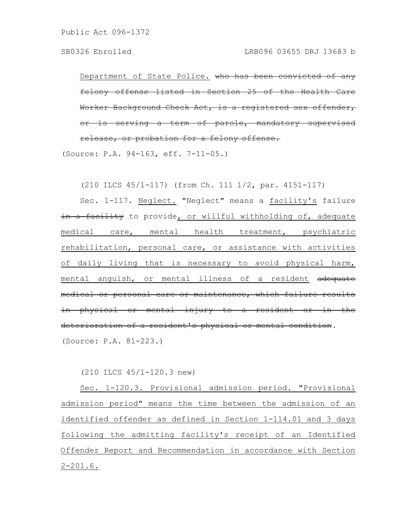Department of State Police. who has been convicted of felony offense listed in Section 25 of the Health Worker Background Check Act, is a registered sex offender, r is serving a term of parole, mandatory release, or probation for a felony offense.

(Source: P.A. 94-163, eff. 7-11-05.)

(210 ILCS 45/1-117) (from Ch. 111 1/2, par. 4151-117)

Sec. 1-117. Neglect. "Neglect" means a facility's failure in a facility to provide, or willful withholding of, adequate medical care, mental health treatment, psychiatric rehabilitation, personal care, or assistance with activities of daily living that is necessary to avoid physical harm, mental anguish, or mental illness of a resident adequate medical or personal care or maintenance, which failure results in physical or mental injury to a resident or in deterioration of a resident's physical or mental condition. (Source: P.A. 81-223.)

(210 ILCS 45/1-120.3 new)

Sec. 1-120.3. Provisional admission period. "Provisional admission period" means the time between the admission of an identified offender as defined in Section 1-114.01 and 3 days following the admitting facility's receipt of an Identified Offender Report and Recommendation in accordance with Section 2-201.6.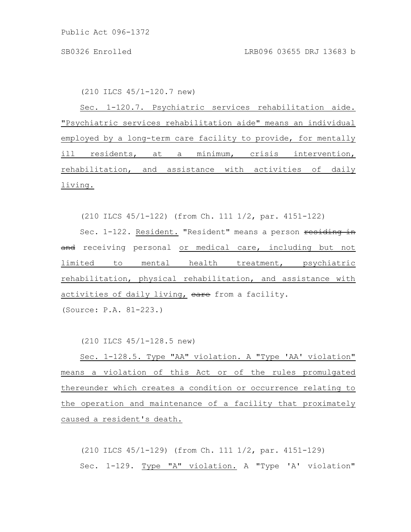(210 ILCS 45/1-120.7 new)

Sec. 1-120.7. Psychiatric services rehabilitation aide. "Psychiatric services rehabilitation aide" means an individual employed by a long-term care facility to provide, for mentally ill residents, at a minimum, crisis intervention, rehabilitation, and assistance with activities of daily living.

(210 ILCS 45/1-122) (from Ch. 111 1/2, par. 4151-122)

Sec. 1-122. Resident. "Resident" means a person residing in and receiving personal or medical care, including but not limited to mental health treatment, psychiatric rehabilitation, physical rehabilitation, and assistance with activities of daily living, eare from a facility.

(Source: P.A. 81-223.)

(210 ILCS 45/1-128.5 new)

Sec. 1-128.5. Type "AA" violation. A "Type 'AA' violation" means a violation of this Act or of the rules promulgated thereunder which creates a condition or occurrence relating to the operation and maintenance of a facility that proximately caused a resident's death.

(210 ILCS 45/1-129) (from Ch. 111 1/2, par. 4151-129) Sec. 1-129. Type "A" violation. A "Type 'A' violation"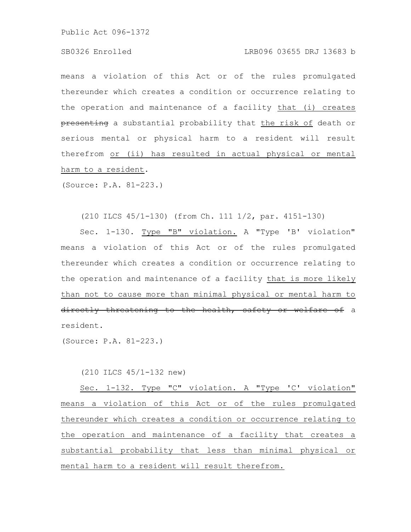### SB0326 Enrolled LRB096 03655 DRJ 13683 b

means a violation of this Act or of the rules promulgated thereunder which creates a condition or occurrence relating to the operation and maintenance of a facility that (i) creates presenting a substantial probability that the risk of death or serious mental or physical harm to a resident will result therefrom or (ii) has resulted in actual physical or mental harm to a resident.

(Source: P.A. 81-223.)

(210 ILCS 45/1-130) (from Ch. 111 1/2, par. 4151-130)

Sec. 1-130. Type "B" violation. A "Type 'B' violation" means a violation of this Act or of the rules promulgated thereunder which creates a condition or occurrence relating to the operation and maintenance of a facility that is more likely than not to cause more than minimal physical or mental harm to directly threatening to the health, safety or welfare of a resident.

(Source: P.A. 81-223.)

(210 ILCS 45/1-132 new)

Sec. 1-132. Type "C" violation. A "Type 'C' violation" means a violation of this Act or of the rules promulgated thereunder which creates a condition or occurrence relating to the operation and maintenance of a facility that creates a substantial probability that less than minimal physical or mental harm to a resident will result therefrom.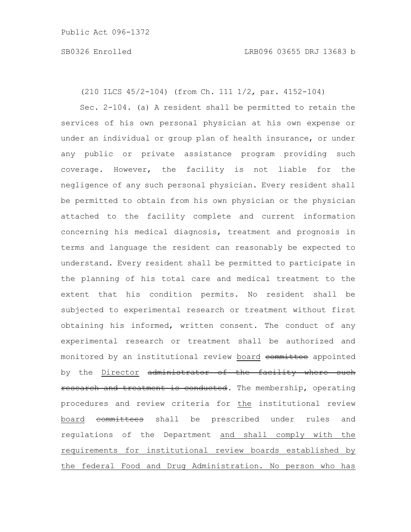(210 ILCS 45/2-104) (from Ch. 111 1/2, par. 4152-104)

Sec. 2-104. (a) A resident shall be permitted to retain the services of his own personal physician at his own expense or under an individual or group plan of health insurance, or under any public or private assistance program providing such coverage. However, the facility is not liable for the negligence of any such personal physician. Every resident shall be permitted to obtain from his own physician or the physician attached to the facility complete and current information concerning his medical diagnosis, treatment and prognosis in terms and language the resident can reasonably be expected to understand. Every resident shall be permitted to participate in the planning of his total care and medical treatment to the extent that his condition permits. No resident shall be subjected to experimental research or treatment without first obtaining his informed, written consent. The conduct of any experimental research or treatment shall be authorized and monitored by an institutional review board committee appointed by the Director administrator of the facility where such research and treatment is conducted. The membership, operating procedures and review criteria for the institutional review board committees shall be prescribed under rules and regulations of the Department and shall comply with the requirements for institutional review boards established by the federal Food and Drug Administration. No person who has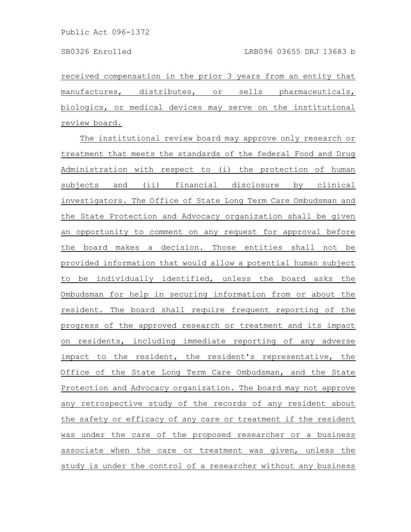received compensation in the prior 3 years from an entity that manufactures, distributes, or sells pharmaceuticals, biologics, or medical devices may serve on the institutional review board.

The institutional review board may approve only research or treatment that meets the standards of the federal Food and Drug Administration with respect to (i) the protection of human subjects and (ii) financial disclosure by clinical investigators. The Office of State Long Term Care Ombudsman and the State Protection and Advocacy organization shall be given an opportunity to comment on any request for approval before the board makes a decision. Those entities shall not be provided information that would allow a potential human subject to be individually identified, unless the board asks the Ombudsman for help in securing information from or about the resident. The board shall require frequent reporting of the progress of the approved research or treatment and its impact on residents, including immediate reporting of any adverse impact to the resident, the resident's representative, the Office of the State Long Term Care Ombudsman, and the State Protection and Advocacy organization. The board may not approve any retrospective study of the records of any resident about the safety or efficacy of any care or treatment if the resident was under the care of the proposed researcher or a business associate when the care or treatment was given, unless the study is under the control of a researcher without any business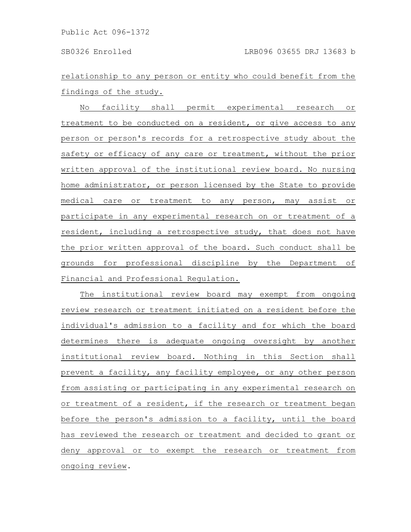relationship to any person or entity who could benefit from the findings of the study.

No facility shall permit experimental research or treatment to be conducted on a resident, or give access to any person or person's records for a retrospective study about the safety or efficacy of any care or treatment, without the prior written approval of the institutional review board. No nursing home administrator, or person licensed by the State to provide medical care or treatment to any person, may assist or participate in any experimental research on or treatment of a resident, including a retrospective study, that does not have the prior written approval of the board. Such conduct shall be grounds for professional discipline by the Department of Financial and Professional Regulation.

The institutional review board may exempt from ongoing review research or treatment initiated on a resident before the individual's admission to a facility and for which the board determines there is adequate ongoing oversight by another institutional review board. Nothing in this Section shall prevent a facility, any facility employee, or any other person from assisting or participating in any experimental research on or treatment of a resident, if the research or treatment began before the person's admission to a facility, until the board has reviewed the research or treatment and decided to grant or deny approval or to exempt the research or treatment from ongoing review.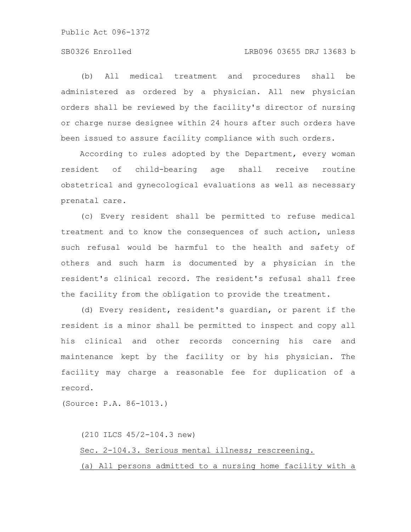### SB0326 Enrolled LRB096 03655 DRJ 13683 b

(b) All medical treatment and procedures shall be administered as ordered by a physician. All new physician orders shall be reviewed by the facility's director of nursing or charge nurse designee within 24 hours after such orders have been issued to assure facility compliance with such orders.

According to rules adopted by the Department, every woman resident of child-bearing age shall receive routine obstetrical and gynecological evaluations as well as necessary prenatal care.

(c) Every resident shall be permitted to refuse medical treatment and to know the consequences of such action, unless such refusal would be harmful to the health and safety of others and such harm is documented by a physician in the resident's clinical record. The resident's refusal shall free the facility from the obligation to provide the treatment.

(d) Every resident, resident's guardian, or parent if the resident is a minor shall be permitted to inspect and copy all his clinical and other records concerning his care and maintenance kept by the facility or by his physician. The facility may charge a reasonable fee for duplication of a record.

(Source: P.A. 86-1013.)

(210 ILCS 45/2-104.3 new) Sec. 2-104.3. Serious mental illness; rescreening. (a) All persons admitted to a nursing home facility with a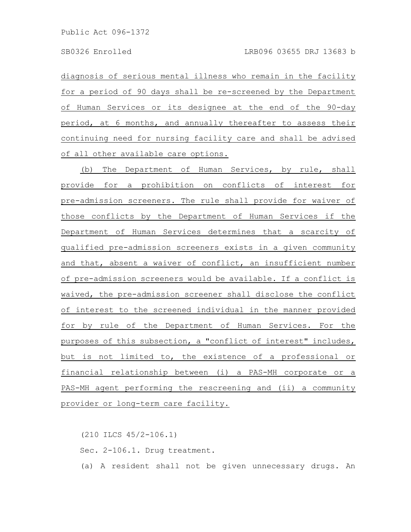diagnosis of serious mental illness who remain in the facility for a period of 90 days shall be re-screened by the Department of Human Services or its designee at the end of the 90-day period, at 6 months, and annually thereafter to assess their continuing need for nursing facility care and shall be advised of all other available care options.

(b) The Department of Human Services, by rule, shall provide for a prohibition on conflicts of interest for pre-admission screeners. The rule shall provide for waiver of those conflicts by the Department of Human Services if the Department of Human Services determines that a scarcity of qualified pre-admission screeners exists in a given community and that, absent a waiver of conflict, an insufficient number of pre-admission screeners would be available. If a conflict is waived, the pre-admission screener shall disclose the conflict of interest to the screened individual in the manner provided for by rule of the Department of Human Services. For the purposes of this subsection, a "conflict of interest" includes, but is not limited to, the existence of a professional or financial relationship between (i) a PAS-MH corporate or a PAS-MH agent performing the rescreening and (ii) a community provider or long-term care facility.

(210 ILCS 45/2-106.1) Sec. 2-106.1. Drug treatment. (a) A resident shall not be given unnecessary drugs. An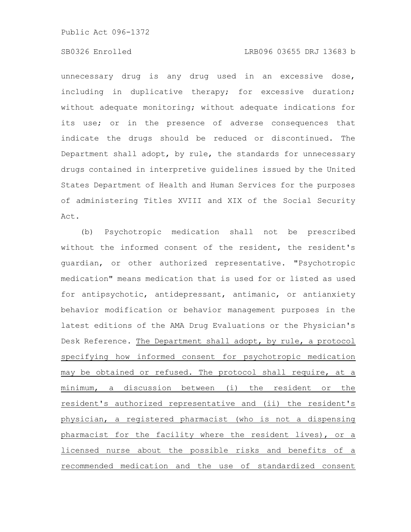### SB0326 Enrolled LRB096 03655 DRJ 13683 b

unnecessary drug is any drug used in an excessive dose, including in duplicative therapy; for excessive duration; without adequate monitoring; without adequate indications for its use; or in the presence of adverse consequences that indicate the drugs should be reduced or discontinued. The Department shall adopt, by rule, the standards for unnecessary drugs contained in interpretive guidelines issued by the United States Department of Health and Human Services for the purposes of administering Titles XVIII and XIX of the Social Security Act.

(b) Psychotropic medication shall not be prescribed without the informed consent of the resident, the resident's guardian, or other authorized representative. "Psychotropic medication" means medication that is used for or listed as used for antipsychotic, antidepressant, antimanic, or antianxiety behavior modification or behavior management purposes in the latest editions of the AMA Drug Evaluations or the Physician's Desk Reference. The Department shall adopt, by rule, a protocol specifying how informed consent for psychotropic medication may be obtained or refused. The protocol shall require, at a minimum, a discussion between (i) the resident or the resident's authorized representative and (ii) the resident's physician, a registered pharmacist (who is not a dispensing pharmacist for the facility where the resident lives), or a licensed nurse about the possible risks and benefits of a recommended medication and the use of standardized consent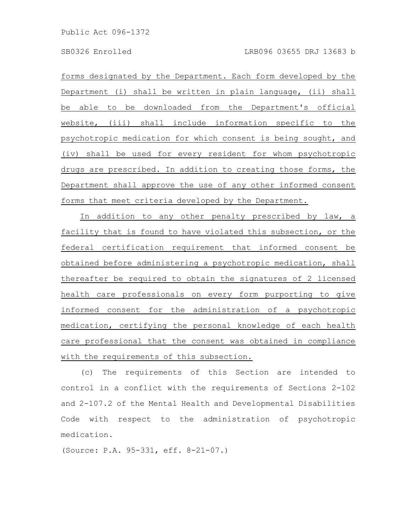forms designated by the Department. Each form developed by the Department (i) shall be written in plain language, (ii) shall be able to be downloaded from the Department's official website, (iii) shall include information specific to the psychotropic medication for which consent is being sought, and (iv) shall be used for every resident for whom psychotropic drugs are prescribed. In addition to creating those forms, the Department shall approve the use of any other informed consent forms that meet criteria developed by the Department.

In addition to any other penalty prescribed by law, a facility that is found to have violated this subsection, or the federal certification requirement that informed consent be obtained before administering a psychotropic medication, shall thereafter be required to obtain the signatures of 2 licensed health care professionals on every form purporting to give informed consent for the administration of a psychotropic medication, certifying the personal knowledge of each health care professional that the consent was obtained in compliance with the requirements of this subsection.

(c) The requirements of this Section are intended to control in a conflict with the requirements of Sections 2-102 and 2-107.2 of the Mental Health and Developmental Disabilities Code with respect to the administration of psychotropic medication.

(Source: P.A. 95-331, eff. 8-21-07.)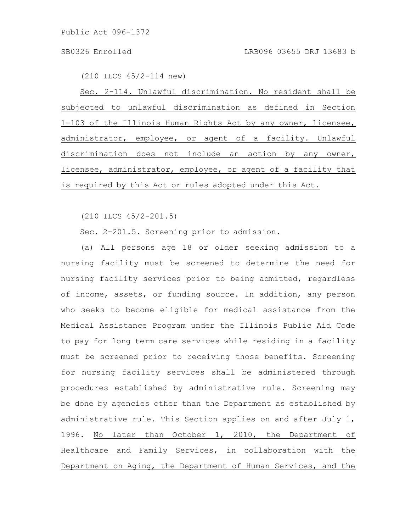(210 ILCS 45/2-114 new)

Sec. 2-114. Unlawful discrimination. No resident shall be subjected to unlawful discrimination as defined in Section 1-103 of the Illinois Human Rights Act by any owner, licensee, administrator, employee, or agent of a facility. Unlawful discrimination does not include an action by any owner, licensee, administrator, employee, or agent of a facility that is required by this Act or rules adopted under this Act.

(210 ILCS 45/2-201.5)

Sec. 2-201.5. Screening prior to admission.

(a) All persons age 18 or older seeking admission to a nursing facility must be screened to determine the need for nursing facility services prior to being admitted, regardless of income, assets, or funding source. In addition, any person who seeks to become eligible for medical assistance from the Medical Assistance Program under the Illinois Public Aid Code to pay for long term care services while residing in a facility must be screened prior to receiving those benefits. Screening for nursing facility services shall be administered through procedures established by administrative rule. Screening may be done by agencies other than the Department as established by administrative rule. This Section applies on and after July 1, 1996. No later than October 1, 2010, the Department of Healthcare and Family Services, in collaboration with the Department on Aging, the Department of Human Services, and the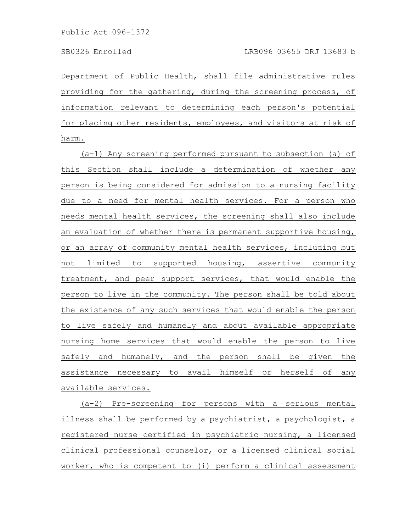Department of Public Health, shall file administrative rules providing for the gathering, during the screening process, of information relevant to determining each person's potential for placing other residents, employees, and visitors at risk of harm.

(a-1) Any screening performed pursuant to subsection (a) of this Section shall include a determination of whether any person is being considered for admission to a nursing facility due to a need for mental health services. For a person who needs mental health services, the screening shall also include an evaluation of whether there is permanent supportive housing, or an array of community mental health services, including but not limited to supported housing, assertive community treatment, and peer support services, that would enable the person to live in the community. The person shall be told about the existence of any such services that would enable the person to live safely and humanely and about available appropriate nursing home services that would enable the person to live safely and humanely, and the person shall be given the assistance necessary to avail himself or herself of any available services.

(a-2) Pre-screening for persons with a serious mental illness shall be performed by a psychiatrist, a psychologist, a registered nurse certified in psychiatric nursing, a licensed clinical professional counselor, or a licensed clinical social worker, who is competent to (i) perform a clinical assessment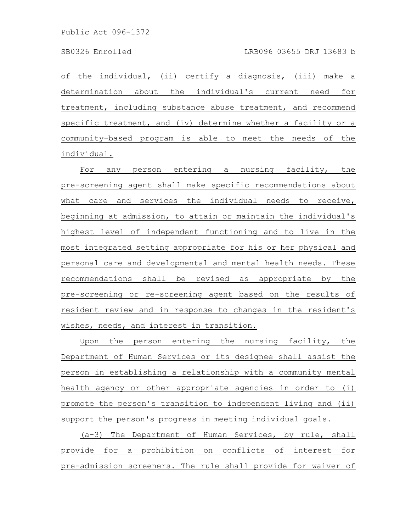of the individual, (ii) certify a diagnosis, (iii) make a determination about the individual's current need for treatment, including substance abuse treatment, and recommend specific treatment, and (iv) determine whether a facility or a community-based program is able to meet the needs of the individual.

For any person entering a nursing facility, the pre-screening agent shall make specific recommendations about what care and services the individual needs to receive, beginning at admission, to attain or maintain the individual's highest level of independent functioning and to live in the most integrated setting appropriate for his or her physical and personal care and developmental and mental health needs. These recommendations shall be revised as appropriate by the pre-screening or re-screening agent based on the results of resident review and in response to changes in the resident's wishes, needs, and interest in transition.

Upon the person entering the nursing facility, the Department of Human Services or its designee shall assist the person in establishing a relationship with a community mental health agency or other appropriate agencies in order to (i) promote the person's transition to independent living and (ii) support the person's progress in meeting individual goals.

(a-3) The Department of Human Services, by rule, shall provide for a prohibition on conflicts of interest for pre-admission screeners. The rule shall provide for waiver of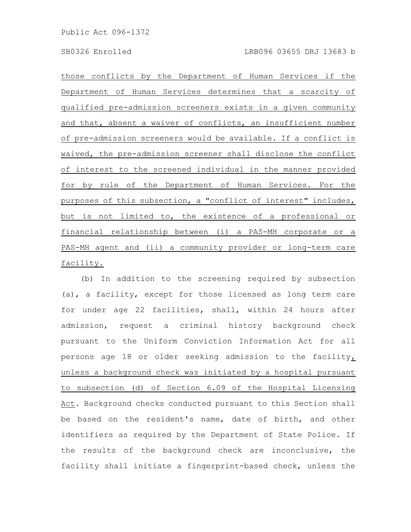those conflicts by the Department of Human Services if the Department of Human Services determines that a scarcity of qualified pre-admission screeners exists in a given community and that, absent a waiver of conflicts, an insufficient number of pre-admission screeners would be available. If a conflict is waived, the pre-admission screener shall disclose the conflict of interest to the screened individual in the manner provided for by rule of the Department of Human Services. For the purposes of this subsection, a "conflict of interest" includes, but is not limited to, the existence of a professional or financial relationship between (i) a PAS-MH corporate or a PAS-MH agent and (ii) a community provider or long-term care facility.

(b) In addition to the screening required by subsection (a), a facility, except for those licensed as long term care for under age 22 facilities, shall, within 24 hours after admission, request a criminal history background check pursuant to the Uniform Conviction Information Act for all persons age 18 or older seeking admission to the facility, unless a background check was initiated by a hospital pursuant to subsection (d) of Section 6.09 of the Hospital Licensing Act. Background checks conducted pursuant to this Section shall be based on the resident's name, date of birth, and other identifiers as required by the Department of State Police. If the results of the background check are inconclusive, the facility shall initiate a fingerprint-based check, unless the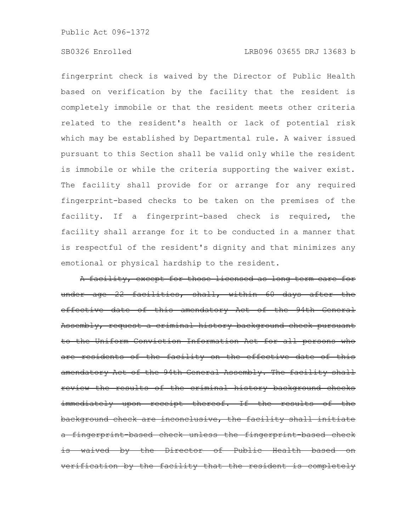## SB0326 Enrolled LRB096 03655 DRJ 13683 b

fingerprint check is waived by the Director of Public Health based on verification by the facility that the resident is completely immobile or that the resident meets other criteria related to the resident's health or lack of potential risk which may be established by Departmental rule. A waiver issued pursuant to this Section shall be valid only while the resident is immobile or while the criteria supporting the waiver exist. The facility shall provide for or arrange for any required fingerprint-based checks to be taken on the premises of the facility. If a fingerprint-based check is required, the facility shall arrange for it to be conducted in a manner that is respectful of the resident's dignity and that minimizes any emotional or physical hardship to the resident.

A facility, except for those licensed as long term care for under age 22 facilities, shall, within 60 days after effective date of this amendatory Act of the 94th General Assembly, request a criminal history background check pursuant the Uniform Conviction Information Act for all persons are residents of the facility on the effective date of this amendatory Act of the 94th General Assembly. The facility shall the results of the criminal history background immediately upon receipt thereof. If the results of the background check are inconclusive, the facility shall fingerprint-based check unless the fingerprint-based is waived by the Director of Public Health based rification by the facility that the resident is completely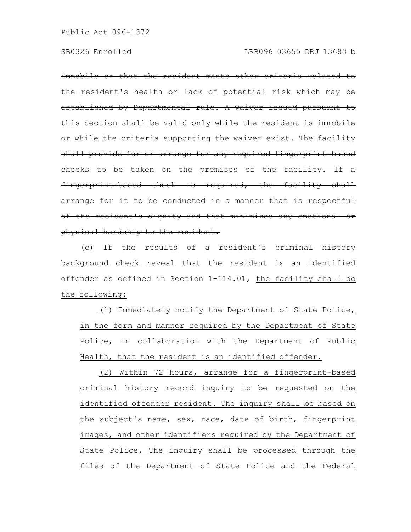immobile or that the resident meets other criteria related the resident's health or lack of potential risk which established by Departmental rule. A waiver issued pursuant this Section shall be valid only while the residen or while the criteria supporting the waiver exist. The facility shall provide for or arrange for any required fingerprint based checks to be taken on the premises of the facility. If a fingerprint-based check is required, the facility shall arrange for it to be conducted in a manner that is respectful of the resident's dignity and that minimizes any emotional or physical hardship to the resident.

(c) If the results of a resident's criminal history background check reveal that the resident is an identified offender as defined in Section 1-114.01, the facility shall do the following:

(1) Immediately notify the Department of State Police, in the form and manner required by the Department of State Police, in collaboration with the Department of Public Health, that the resident is an identified offender.

(2) Within 72 hours, arrange for a fingerprint-based criminal history record inquiry to be requested on the identified offender resident. The inquiry shall be based on the subject's name, sex, race, date of birth, fingerprint images, and other identifiers required by the Department of State Police. The inquiry shall be processed through the files of the Department of State Police and the Federal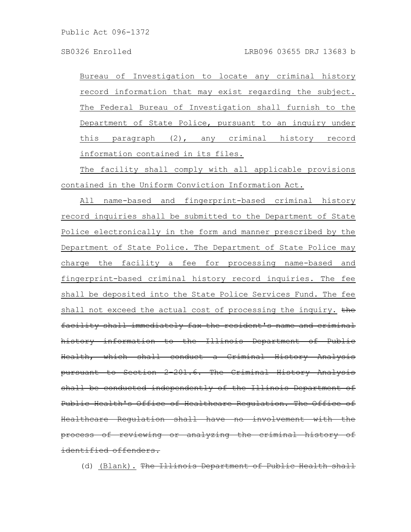Bureau of Investigation to locate any criminal history record information that may exist regarding the subject. The Federal Bureau of Investigation shall furnish to the Department of State Police, pursuant to an inquiry under this paragraph (2), any criminal history record information contained in its files.

The facility shall comply with all applicable provisions contained in the Uniform Conviction Information Act.

All name-based and fingerprint-based criminal history record inquiries shall be submitted to the Department of State Police electronically in the form and manner prescribed by the Department of State Police. The Department of State Police may charge the facility a fee for processing name-based and fingerprint-based criminal history record inquiries. The fee shall be deposited into the State Police Services Fund. The fee shall not exceed the actual cost of processing the inquiry. the facility shall immediately fax the resident's name and criminal history information to the Illinois Department of Public Health, which shall conduct a Criminal History Analysis pursuant to Section 2-201.6. The Criminal History Analysis shall be conducted independently of the Illinois Department Public Health's Office of Healthcare Requlation. The Office Healthcare Regulation shall have no involvement with process of reviewing or analyzing the criminal history of identified offenders.

(d) (Blank). The Illinois Department of Public Health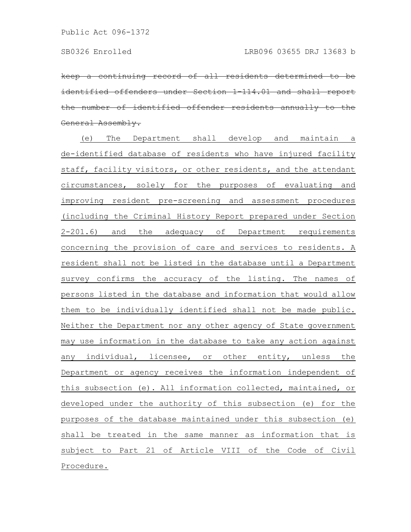eontinuing record of all residents ntified offenders under Section 1-114.01 e number of identified offender residents eneral Assembly.

(e) The Department shall develop and maintain a de-identified database of residents who have injured facility staff, facility visitors, or other residents, and the attendant circumstances, solely for the purposes of evaluating and improving resident pre-screening and assessment procedures (including the Criminal History Report prepared under Section 2-201.6) and the adequacy of Department requirements concerning the provision of care and services to residents. A resident shall not be listed in the database until a Department survey confirms the accuracy of the listing. The names of persons listed in the database and information that would allow them to be individually identified shall not be made public. Neither the Department nor any other agency of State government may use information in the database to take any action against any individual, licensee, or other entity, unless the Department or agency receives the information independent of this subsection (e). All information collected, maintained, or developed under the authority of this subsection (e) for the purposes of the database maintained under this subsection (e) shall be treated in the same manner as information that is subject to Part 21 of Article VIII of the Code of Civil Procedure.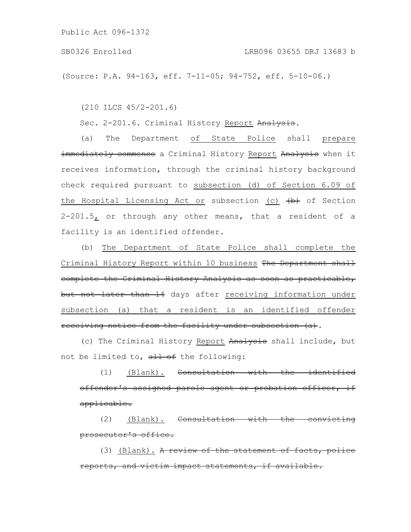(Source: P.A. 94-163, eff. 7-11-05; 94-752, eff. 5-10-06.)

(210 ILCS 45/2-201.6)

Sec. 2-201.6. Criminal History Report Analysis.

(a) The Department of State Police shall prepare immediately commence a Criminal History Report Analysis when it receives information, through the criminal history background check required pursuant to subsection (d) of Section 6.09 of the Hospital Licensing Act or subsection (c)  $\overline{b}$  of Section  $2-201.5$ , or through any other means, that a resident of a facility is an identified offender.

(b) The Department of State Police shall complete the Criminal History Report within 10 business The Department shall complete the Criminal History Analysis as soon as practicable, but not later than 14 days after receiving information under subsection (a) that a resident is an identified offender receiving notice from the facility under subsection (a).

(c) The Criminal History Report Analysis shall include, but not be limited to,  $\frac{11}{10}$  of the following:

(1) (Blank). Consultation with the identified offender's assigned parole agent or probation officer, if applicable.

(2) (Blank). Consultation with the convicting prosecutor's office.

(3) (Blank). A review of the statement of facts. reports, and victim impact statements, if avail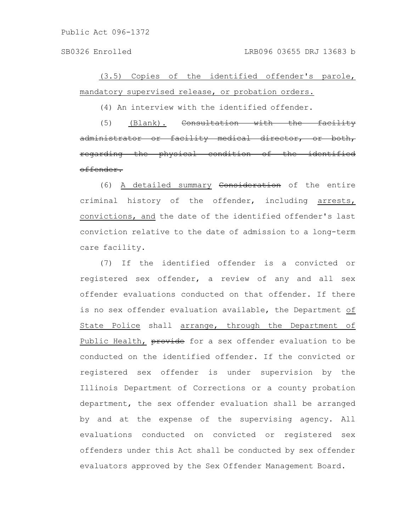SB0326 Enrolled LRB096 03655 DRJ 13683 b

(3.5) Copies of the identified offender's parole, mandatory supervised release, or probation orders.

(4) An interview with the identified offender.

(5) (Blank). Consultation with the facility administrator or facility medical director, regarding the physical condition of the identified offender.

(6) A detailed summary Consideration of the entire criminal history of the offender, including arrests, convictions, and the date of the identified offender's last conviction relative to the date of admission to a long-term care facility.

(7) If the identified offender is a convicted or registered sex offender, a review of any and all sex offender evaluations conducted on that offender. If there is no sex offender evaluation available, the Department of State Police shall arrange, through the Department of Public Health, provide for a sex offender evaluation to be conducted on the identified offender. If the convicted or registered sex offender is under supervision by the Illinois Department of Corrections or a county probation department, the sex offender evaluation shall be arranged by and at the expense of the supervising agency. All evaluations conducted on convicted or registered sex offenders under this Act shall be conducted by sex offender evaluators approved by the Sex Offender Management Board.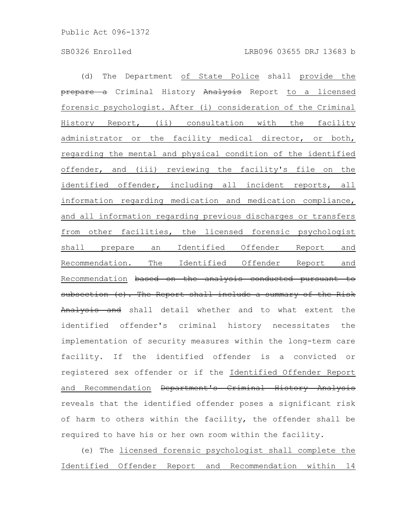(d) The Department of State Police shall provide the prepare a Criminal History Analysis Report to a licensed forensic psychologist. After (i) consideration of the Criminal History Report, (ii) consultation with the facility administrator or the facility medical director, or both, regarding the mental and physical condition of the identified offender, and (iii) reviewing the facility's file on the identified offender, including all incident reports, all information regarding medication and medication compliance, and all information regarding previous discharges or transfers from other facilities, the licensed forensic psychologist shall prepare an Identified Offender Report and Recommendation. The Identified Offender Report and Recommendation based on the analysis conducted pursuant to subsection (c). The Report shall include a summary of the Risk Analysis and shall detail whether and to what extent the identified offender's criminal history necessitates the implementation of security measures within the long-term care facility. If the identified offender is a convicted or registered sex offender or if the Identified Offender Report and Recommendation <del>Department's Criminal History Analysis</del> reveals that the identified offender poses a significant risk of harm to others within the facility, the offender shall be required to have his or her own room within the facility.

(e) The licensed forensic psychologist shall complete the Identified Offender Report and Recommendation within 14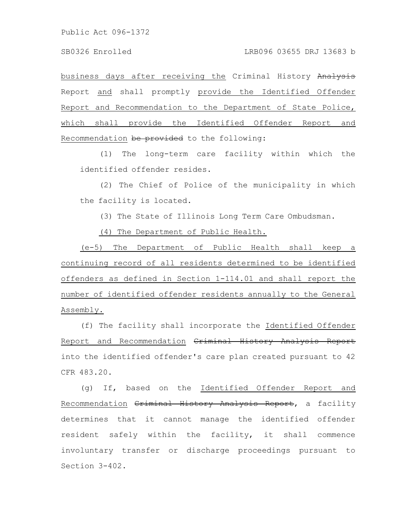business days after receiving the Criminal History Analysis Report and shall promptly provide the Identified Offender Report and Recommendation to the Department of State Police, which shall provide the Identified Offender Report and Recommendation be provided to the following:

(1) The long-term care facility within which the identified offender resides.

(2) The Chief of Police of the municipality in which the facility is located.

(3) The State of Illinois Long Term Care Ombudsman.

(4) The Department of Public Health.

(e-5) The Department of Public Health shall keep a continuing record of all residents determined to be identified offenders as defined in Section 1-114.01 and shall report the number of identified offender residents annually to the General Assembly.

(f) The facility shall incorporate the Identified Offender Report and Recommendation Criminal History Analysis Report into the identified offender's care plan created pursuant to 42 CFR 483.20.

(g) If, based on the Identified Offender Report and Recommendation Criminal History Analysis Report, a facility determines that it cannot manage the identified offender resident safely within the facility, it shall commence involuntary transfer or discharge proceedings pursuant to Section 3-402.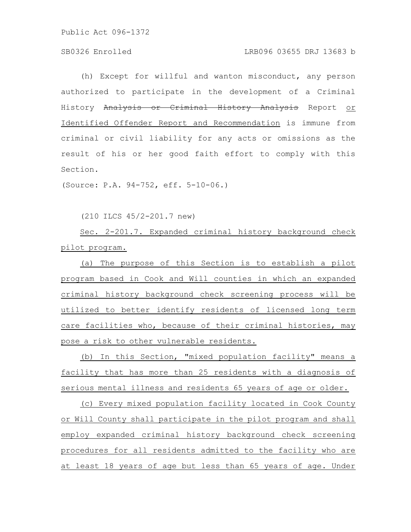## SB0326 Enrolled LRB096 03655 DRJ 13683 b

(h) Except for willful and wanton misconduct, any person authorized to participate in the development of a Criminal History Analysis or Criminal History Analysis Report or Identified Offender Report and Recommendation is immune from criminal or civil liability for any acts or omissions as the result of his or her good faith effort to comply with this Section.

(Source: P.A. 94-752, eff. 5-10-06.)

(210 ILCS 45/2-201.7 new)

Sec. 2-201.7. Expanded criminal history background check pilot program.

(a) The purpose of this Section is to establish a pilot program based in Cook and Will counties in which an expanded criminal history background check screening process will be utilized to better identify residents of licensed long term care facilities who, because of their criminal histories, may pose a risk to other vulnerable residents.

(b) In this Section, "mixed population facility" means a facility that has more than 25 residents with a diagnosis of serious mental illness and residents 65 years of age or older.

(c) Every mixed population facility located in Cook County or Will County shall participate in the pilot program and shall employ expanded criminal history background check screening procedures for all residents admitted to the facility who are at least 18 years of age but less than 65 years of age. Under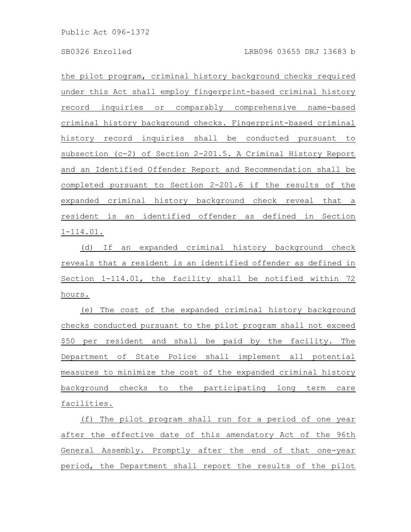the pilot program, criminal history background checks required under this Act shall employ fingerprint-based criminal history record inquiries or comparably comprehensive name-based criminal history background checks. Fingerprint-based criminal history record inquiries shall be conducted pursuant to subsection (c-2) of Section 2-201.5. A Criminal History Report and an Identified Offender Report and Recommendation shall be completed pursuant to Section 2-201.6 if the results of the expanded criminal history background check reveal that a resident is an identified offender as defined in Section 1-114.01.

(d) If an expanded criminal history background check reveals that a resident is an identified offender as defined in Section 1-114.01, the facility shall be notified within 72 hours.

(e) The cost of the expanded criminal history background checks conducted pursuant to the pilot program shall not exceed \$50 per resident and shall be paid by the facility. The Department of State Police shall implement all potential measures to minimize the cost of the expanded criminal history background checks to the participating long term care facilities.

(f) The pilot program shall run for a period of one year after the effective date of this amendatory Act of the 96th General Assembly. Promptly after the end of that one-year period, the Department shall report the results of the pilot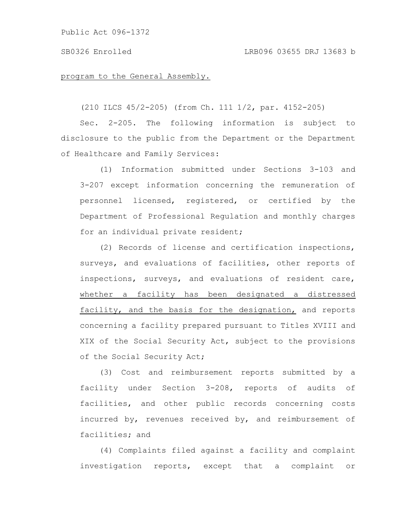### SB0326 Enrolled LRB096 03655 DRJ 13683 b

### program to the General Assembly.

(210 ILCS 45/2-205) (from Ch. 111 1/2, par. 4152-205)

Sec. 2-205. The following information is subject to disclosure to the public from the Department or the Department of Healthcare and Family Services:

(1) Information submitted under Sections 3-103 and 3-207 except information concerning the remuneration of personnel licensed, registered, or certified by the Department of Professional Regulation and monthly charges for an individual private resident;

(2) Records of license and certification inspections, surveys, and evaluations of facilities, other reports of inspections, surveys, and evaluations of resident care, whether a facility has been designated a distressed facility, and the basis for the designation, and reports concerning a facility prepared pursuant to Titles XVIII and XIX of the Social Security Act, subject to the provisions of the Social Security Act;

(3) Cost and reimbursement reports submitted by a facility under Section 3-208, reports of audits of facilities, and other public records concerning costs incurred by, revenues received by, and reimbursement of facilities; and

(4) Complaints filed against a facility and complaint investigation reports, except that a complaint or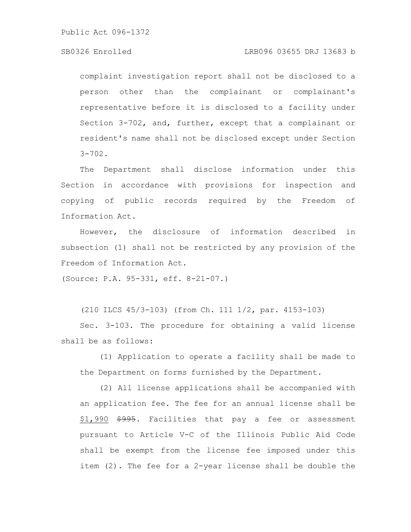### SB0326 Enrolled LRB096 03655 DRJ 13683 b

complaint investigation report shall not be disclosed to a person other than the complainant or complainant's representative before it is disclosed to a facility under Section 3-702, and, further, except that a complainant or resident's name shall not be disclosed except under Section  $3 - 702$ .

The Department shall disclose information under this Section in accordance with provisions for inspection and copying of public records required by the Freedom of Information Act.

However, the disclosure of information described in subsection (1) shall not be restricted by any provision of the Freedom of Information Act.

(Source: P.A. 95-331, eff. 8-21-07.)

(210 ILCS 45/3-103) (from Ch. 111 1/2, par. 4153-103)

Sec. 3-103. The procedure for obtaining a valid license shall be as follows:

(1) Application to operate a facility shall be made to the Department on forms furnished by the Department.

(2) All license applications shall be accompanied with an application fee. The fee for an annual license shall be \$1,990 \$995. Facilities that pay a fee or assessment pursuant to Article V-C of the Illinois Public Aid Code shall be exempt from the license fee imposed under this item (2). The fee for a 2-year license shall be double the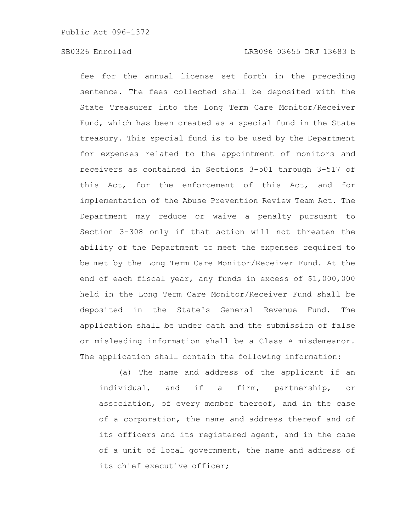## SB0326 Enrolled LRB096 03655 DRJ 13683 b

fee for the annual license set forth in the preceding sentence. The fees collected shall be deposited with the State Treasurer into the Long Term Care Monitor/Receiver Fund, which has been created as a special fund in the State treasury. This special fund is to be used by the Department for expenses related to the appointment of monitors and receivers as contained in Sections 3-501 through 3-517 of this Act, for the enforcement of this Act, and for implementation of the Abuse Prevention Review Team Act. The Department may reduce or waive a penalty pursuant to Section 3-308 only if that action will not threaten the ability of the Department to meet the expenses required to be met by the Long Term Care Monitor/Receiver Fund. At the end of each fiscal year, any funds in excess of \$1,000,000 held in the Long Term Care Monitor/Receiver Fund shall be deposited in the State's General Revenue Fund. The application shall be under oath and the submission of false or misleading information shall be a Class A misdemeanor. The application shall contain the following information:

(a) The name and address of the applicant if an individual, and if a firm, partnership, or association, of every member thereof, and in the case of a corporation, the name and address thereof and of its officers and its registered agent, and in the case of a unit of local government, the name and address of its chief executive officer;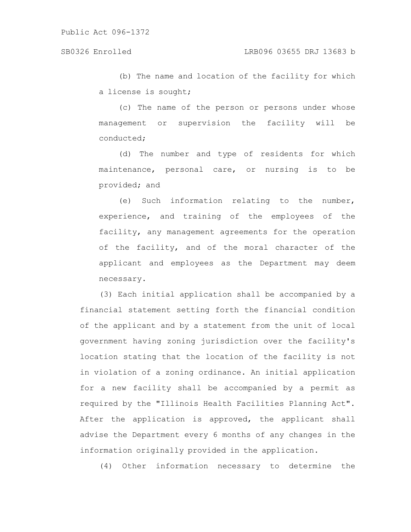(b) The name and location of the facility for which a license is sought;

(c) The name of the person or persons under whose management or supervision the facility will be conducted;

(d) The number and type of residents for which maintenance, personal care, or nursing is to be provided; and

(e) Such information relating to the number, experience, and training of the employees of the facility, any management agreements for the operation of the facility, and of the moral character of the applicant and employees as the Department may deem necessary.

(3) Each initial application shall be accompanied by a financial statement setting forth the financial condition of the applicant and by a statement from the unit of local government having zoning jurisdiction over the facility's location stating that the location of the facility is not in violation of a zoning ordinance. An initial application for a new facility shall be accompanied by a permit as required by the "Illinois Health Facilities Planning Act". After the application is approved, the applicant shall advise the Department every 6 months of any changes in the information originally provided in the application.

(4) Other information necessary to determine the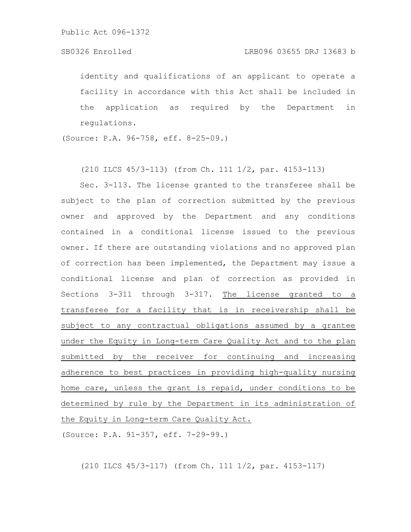identity and qualifications of an applicant to operate a facility in accordance with this Act shall be included in the application as required by the Department in regulations.

(Source: P.A. 96-758, eff. 8-25-09.)

(210 ILCS 45/3-113) (from Ch. 111 1/2, par. 4153-113)

Sec. 3-113. The license granted to the transferee shall be subject to the plan of correction submitted by the previous owner and approved by the Department and any conditions contained in a conditional license issued to the previous owner. If there are outstanding violations and no approved plan of correction has been implemented, the Department may issue a conditional license and plan of correction as provided in Sections 3-311 through 3-317. The license granted to a transferee for a facility that is in receivership shall be subject to any contractual obligations assumed by a grantee under the Equity in Long-term Care Quality Act and to the plan submitted by the receiver for continuing and increasing adherence to best practices in providing high-quality nursing home care, unless the grant is repaid, under conditions to be determined by rule by the Department in its administration of the Equity in Long-term Care Quality Act.

(Source: P.A. 91-357, eff. 7-29-99.)

(210 ILCS 45/3-117) (from Ch. 111 1/2, par. 4153-117)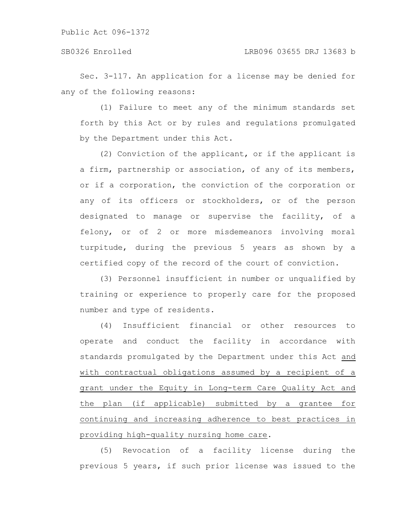Sec. 3-117. An application for a license may be denied for any of the following reasons:

(1) Failure to meet any of the minimum standards set forth by this Act or by rules and regulations promulgated by the Department under this Act.

(2) Conviction of the applicant, or if the applicant is a firm, partnership or association, of any of its members, or if a corporation, the conviction of the corporation or any of its officers or stockholders, or of the person designated to manage or supervise the facility, of a felony, or of 2 or more misdemeanors involving moral turpitude, during the previous 5 years as shown by a certified copy of the record of the court of conviction.

(3) Personnel insufficient in number or unqualified by training or experience to properly care for the proposed number and type of residents.

(4) Insufficient financial or other resources to operate and conduct the facility in accordance with standards promulgated by the Department under this Act and with contractual obligations assumed by a recipient of a grant under the Equity in Long-term Care Quality Act and the plan (if applicable) submitted by a grantee for continuing and increasing adherence to best practices in providing high-quality nursing home care.

(5) Revocation of a facility license during the previous 5 years, if such prior license was issued to the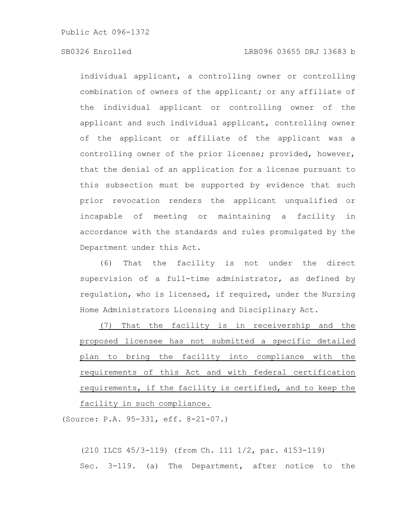## SB0326 Enrolled LRB096 03655 DRJ 13683 b

individual applicant, a controlling owner or controlling combination of owners of the applicant; or any affiliate of the individual applicant or controlling owner of the applicant and such individual applicant, controlling owner of the applicant or affiliate of the applicant was a controlling owner of the prior license; provided, however, that the denial of an application for a license pursuant to this subsection must be supported by evidence that such prior revocation renders the applicant unqualified or incapable of meeting or maintaining a facility in accordance with the standards and rules promulgated by the Department under this Act.

(6) That the facility is not under the direct supervision of a full-time administrator, as defined by regulation, who is licensed, if required, under the Nursing Home Administrators Licensing and Disciplinary Act.

(7) That the facility is in receivership and the proposed licensee has not submitted a specific detailed plan to bring the facility into compliance with the requirements of this Act and with federal certification requirements, if the facility is certified, and to keep the facility in such compliance.

(Source: P.A. 95-331, eff. 8-21-07.)

(210 ILCS 45/3-119) (from Ch. 111 1/2, par. 4153-119) Sec. 3-119. (a) The Department, after notice to the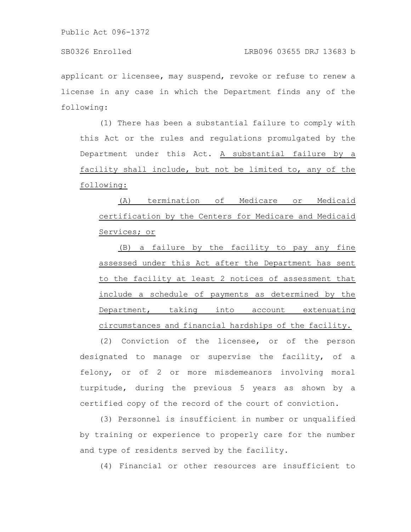applicant or licensee, may suspend, revoke or refuse to renew a license in any case in which the Department finds any of the following:

(1) There has been a substantial failure to comply with this Act or the rules and regulations promulgated by the Department under this Act. A substantial failure by a facility shall include, but not be limited to, any of the following:

(A) termination of Medicare or Medicaid certification by the Centers for Medicare and Medicaid Services; or

(B) a failure by the facility to pay any fine assessed under this Act after the Department has sent to the facility at least 2 notices of assessment that include a schedule of payments as determined by the Department, taking into account extenuating circumstances and financial hardships of the facility.

(2) Conviction of the licensee, or of the person designated to manage or supervise the facility, of a felony, or of 2 or more misdemeanors involving moral turpitude, during the previous 5 years as shown by a certified copy of the record of the court of conviction.

(3) Personnel is insufficient in number or unqualified by training or experience to properly care for the number and type of residents served by the facility.

(4) Financial or other resources are insufficient to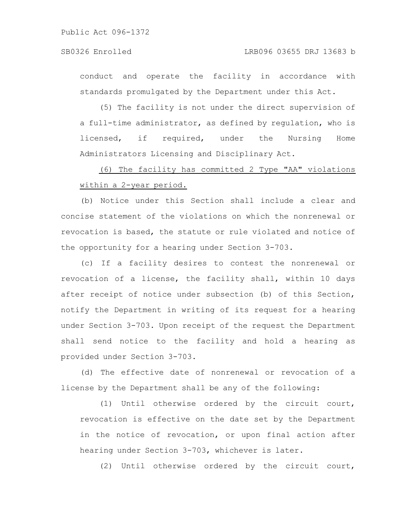conduct and operate the facility in accordance with standards promulgated by the Department under this Act.

(5) The facility is not under the direct supervision of a full-time administrator, as defined by regulation, who is licensed, if required, under the Nursing Home Administrators Licensing and Disciplinary Act.

(6) The facility has committed 2 Type "AA" violations within a 2-year period.

(b) Notice under this Section shall include a clear and concise statement of the violations on which the nonrenewal or revocation is based, the statute or rule violated and notice of the opportunity for a hearing under Section 3-703.

(c) If a facility desires to contest the nonrenewal or revocation of a license, the facility shall, within 10 days after receipt of notice under subsection (b) of this Section, notify the Department in writing of its request for a hearing under Section 3-703. Upon receipt of the request the Department shall send notice to the facility and hold a hearing as provided under Section 3-703.

(d) The effective date of nonrenewal or revocation of a license by the Department shall be any of the following:

(1) Until otherwise ordered by the circuit court, revocation is effective on the date set by the Department in the notice of revocation, or upon final action after hearing under Section 3-703, whichever is later.

(2) Until otherwise ordered by the circuit court,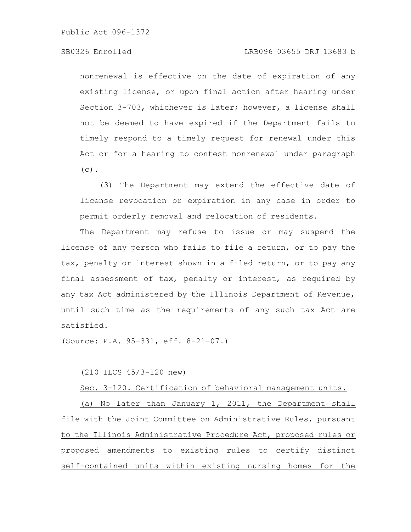# SB0326 Enrolled LRB096 03655 DRJ 13683 b

nonrenewal is effective on the date of expiration of any existing license, or upon final action after hearing under Section 3-703, whichever is later; however, a license shall not be deemed to have expired if the Department fails to timely respond to a timely request for renewal under this Act or for a hearing to contest nonrenewal under paragraph  $(c)$ .

(3) The Department may extend the effective date of license revocation or expiration in any case in order to permit orderly removal and relocation of residents.

The Department may refuse to issue or may suspend the license of any person who fails to file a return, or to pay the tax, penalty or interest shown in a filed return, or to pay any final assessment of tax, penalty or interest, as required by any tax Act administered by the Illinois Department of Revenue, until such time as the requirements of any such tax Act are satisfied.

(Source: P.A. 95-331, eff. 8-21-07.)

(210 ILCS 45/3-120 new)

Sec. 3-120. Certification of behavioral management units.

(a) No later than January 1, 2011, the Department shall file with the Joint Committee on Administrative Rules, pursuant to the Illinois Administrative Procedure Act, proposed rules or proposed amendments to existing rules to certify distinct self-contained units within existing nursing homes for the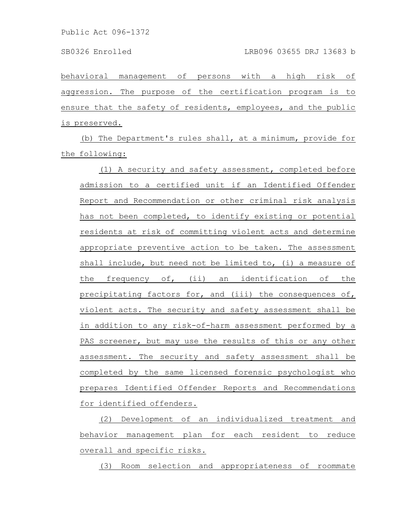behavioral management of persons with a high risk of aggression. The purpose of the certification program is to ensure that the safety of residents, employees, and the public is preserved.

(b) The Department's rules shall, at a minimum, provide for the following:

(1) A security and safety assessment, completed before admission to a certified unit if an Identified Offender Report and Recommendation or other criminal risk analysis has not been completed, to identify existing or potential residents at risk of committing violent acts and determine appropriate preventive action to be taken. The assessment shall include, but need not be limited to, (i) a measure of the frequency of, (ii) an identification of the precipitating factors for, and (iii) the consequences of, violent acts. The security and safety assessment shall be in addition to any risk-of-harm assessment performed by a PAS screener, but may use the results of this or any other assessment. The security and safety assessment shall be completed by the same licensed forensic psychologist who prepares Identified Offender Reports and Recommendations for identified offenders.

(2) Development of an individualized treatment and behavior management plan for each resident to reduce overall and specific risks.

(3) Room selection and appropriateness of roommate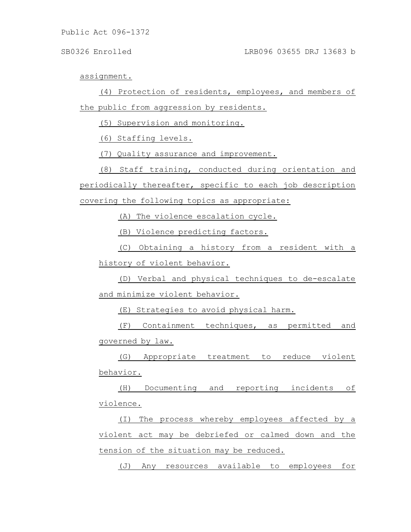assignment.

(4) Protection of residents, employees, and members of the public from aggression by residents.

(5) Supervision and monitoring.

(6) Staffing levels.

(7) Quality assurance and improvement.

(8) Staff training, conducted during orientation and periodically thereafter, specific to each job description covering the following topics as appropriate:

(A) The violence escalation cycle.

(B) Violence predicting factors.

(C) Obtaining a history from a resident with a history of violent behavior.

(D) Verbal and physical techniques to de-escalate and minimize violent behavior.

(E) Strategies to avoid physical harm.

(F) Containment techniques, as permitted and governed by law.

(G) Appropriate treatment to reduce violent behavior.

(H) Documenting and reporting incidents of violence.

(I) The process whereby employees affected by a violent act may be debriefed or calmed down and the tension of the situation may be reduced.

(J) Any resources available to employees for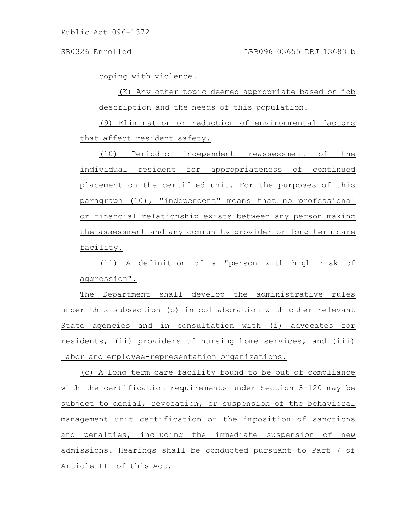coping with violence.

(K) Any other topic deemed appropriate based on job description and the needs of this population.

(9) Elimination or reduction of environmental factors that affect resident safety.

(10) Periodic independent reassessment of the individual resident for appropriateness of continued placement on the certified unit. For the purposes of this paragraph (10), "independent" means that no professional or financial relationship exists between any person making the assessment and any community provider or long term care facility.

(11) A definition of a "person with high risk of aggression".

The Department shall develop the administrative rules under this subsection (b) in collaboration with other relevant State agencies and in consultation with (i) advocates for residents, (ii) providers of nursing home services, and (iii) labor and employee-representation organizations.

(c) A long term care facility found to be out of compliance with the certification requirements under Section 3-120 may be subject to denial, revocation, or suspension of the behavioral management unit certification or the imposition of sanctions and penalties, including the immediate suspension of new admissions. Hearings shall be conducted pursuant to Part 7 of Article III of this Act.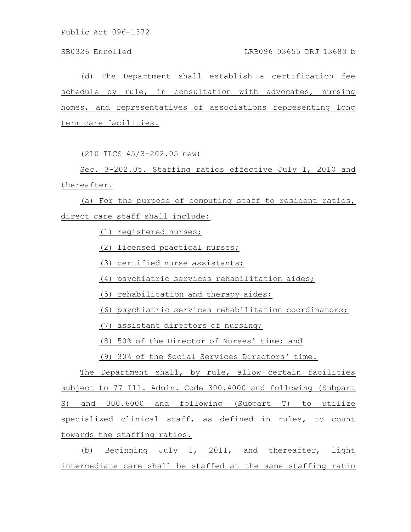(d) The Department shall establish a certification fee schedule by rule, in consultation with advocates, nursing homes, and representatives of associations representing long term care facilities.

(210 ILCS 45/3-202.05 new)

Sec. 3-202.05. Staffing ratios effective July 1, 2010 and thereafter.

(a) For the purpose of computing staff to resident ratios, direct care staff shall include:

(1) registered nurses;

(2) licensed practical nurses;

(3) certified nurse assistants;

(4) psychiatric services rehabilitation aides;

(5) rehabilitation and therapy aides;

(6) psychiatric services rehabilitation coordinators;

(7) assistant directors of nursing;

(8) 50% of the Director of Nurses' time; and

(9) 30% of the Social Services Directors' time.

The Department shall, by rule, allow certain facilities subject to 77 Ill. Admin. Code 300.4000 and following (Subpart S) and 300.6000 and following (Subpart T) to utilize specialized clinical staff, as defined in rules, to count towards the staffing ratios.

(b) Beginning July 1, 2011, and thereafter, light intermediate care shall be staffed at the same staffing ratio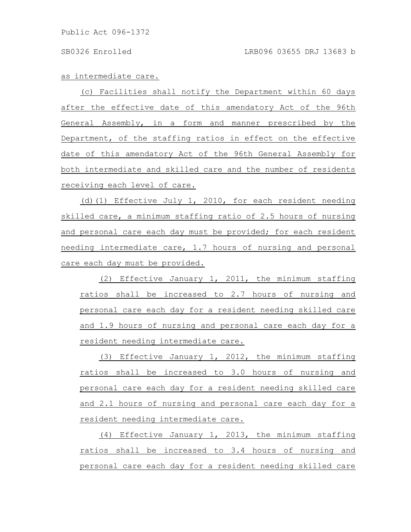as intermediate care.

(c) Facilities shall notify the Department within 60 days after the effective date of this amendatory Act of the 96th General Assembly, in a form and manner prescribed by the Department, of the staffing ratios in effect on the effective date of this amendatory Act of the 96th General Assembly for both intermediate and skilled care and the number of residents receiving each level of care.

(d)(1) Effective July 1, 2010, for each resident needing skilled care, a minimum staffing ratio of 2.5 hours of nursing and personal care each day must be provided; for each resident needing intermediate care, 1.7 hours of nursing and personal care each day must be provided.

(2) Effective January 1, 2011, the minimum staffing ratios shall be increased to 2.7 hours of nursing and personal care each day for a resident needing skilled care and 1.9 hours of nursing and personal care each day for a resident needing intermediate care.

(3) Effective January 1, 2012, the minimum staffing ratios shall be increased to 3.0 hours of nursing and personal care each day for a resident needing skilled care and 2.1 hours of nursing and personal care each day for a resident needing intermediate care.

(4) Effective January 1, 2013, the minimum staffing ratios shall be increased to 3.4 hours of nursing and personal care each day for a resident needing skilled care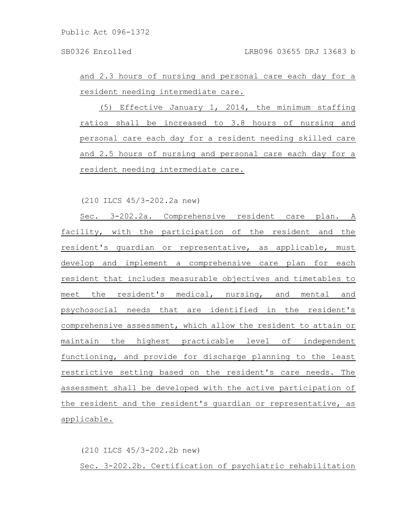and 2.3 hours of nursing and personal care each day for a resident needing intermediate care.

(5) Effective January 1, 2014, the minimum staffing ratios shall be increased to 3.8 hours of nursing and personal care each day for a resident needing skilled care and 2.5 hours of nursing and personal care each day for a resident needing intermediate care.

(210 ILCS 45/3-202.2a new)

Sec. 3-202.2a. Comprehensive resident care plan. A facility, with the participation of the resident and the resident's guardian or representative, as applicable, must develop and implement a comprehensive care plan for each resident that includes measurable objectives and timetables to meet the resident's medical, nursing, and mental and psychosocial needs that are identified in the resident's comprehensive assessment, which allow the resident to attain or maintain the highest practicable level of independent functioning, and provide for discharge planning to the least restrictive setting based on the resident's care needs. The assessment shall be developed with the active participation of the resident and the resident's guardian or representative, as applicable.

(210 ILCS 45/3-202.2b new) Sec. 3-202.2b. Certification of psychiatric rehabilitation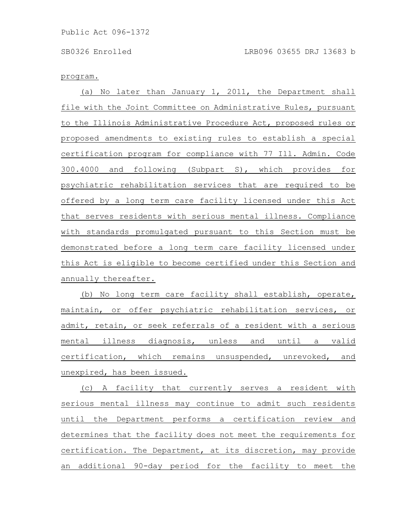## program.

(a) No later than January 1, 2011, the Department shall file with the Joint Committee on Administrative Rules, pursuant to the Illinois Administrative Procedure Act, proposed rules or proposed amendments to existing rules to establish a special certification program for compliance with 77 Ill. Admin. Code 300.4000 and following (Subpart S), which provides for psychiatric rehabilitation services that are required to be offered by a long term care facility licensed under this Act that serves residents with serious mental illness. Compliance with standards promulgated pursuant to this Section must be demonstrated before a long term care facility licensed under this Act is eligible to become certified under this Section and annually thereafter.

(b) No long term care facility shall establish, operate, maintain, or offer psychiatric rehabilitation services, or admit, retain, or seek referrals of a resident with a serious mental illness diagnosis, unless and until a valid certification, which remains unsuspended, unrevoked, and unexpired, has been issued.

(c) A facility that currently serves a resident with serious mental illness may continue to admit such residents until the Department performs a certification review and determines that the facility does not meet the requirements for certification. The Department, at its discretion, may provide an additional 90-day period for the facility to meet the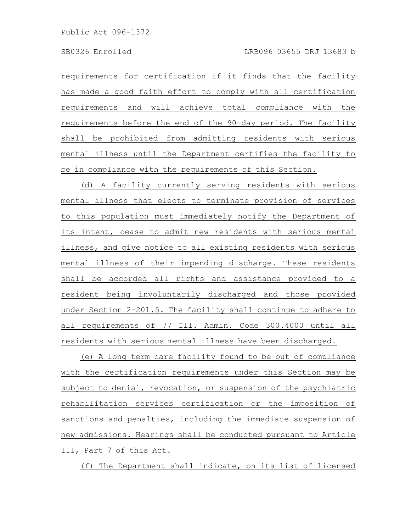requirements for certification if it finds that the facility has made a good faith effort to comply with all certification requirements and will achieve total compliance with the requirements before the end of the 90-day period. The facility shall be prohibited from admitting residents with serious mental illness until the Department certifies the facility to be in compliance with the requirements of this Section.

(d) A facility currently serving residents with serious mental illness that elects to terminate provision of services to this population must immediately notify the Department of its intent, cease to admit new residents with serious mental illness, and give notice to all existing residents with serious mental illness of their impending discharge. These residents shall be accorded all rights and assistance provided to a resident being involuntarily discharged and those provided under Section 2-201.5. The facility shall continue to adhere to all requirements of 77 Ill. Admin. Code 300.4000 until all residents with serious mental illness have been discharged.

(e) A long term care facility found to be out of compliance with the certification requirements under this Section may be subject to denial, revocation, or suspension of the psychiatric rehabilitation services certification or the imposition of sanctions and penalties, including the immediate suspension of new admissions. Hearings shall be conducted pursuant to Article III, Part 7 of this Act.

(f) The Department shall indicate, on its list of licensed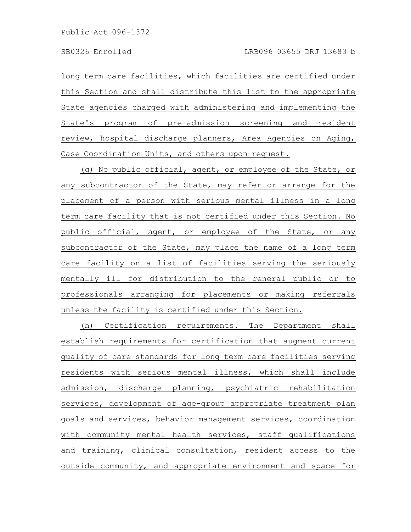long term care facilities, which facilities are certified under this Section and shall distribute this list to the appropriate State agencies charged with administering and implementing the State's program of pre-admission screening and resident review, hospital discharge planners, Area Agencies on Aging, Case Coordination Units, and others upon request.

(g) No public official, agent, or employee of the State, or any subcontractor of the State, may refer or arrange for the placement of a person with serious mental illness in a long term care facility that is not certified under this Section. No public official, agent, or employee of the State, or any subcontractor of the State, may place the name of a long term care facility on a list of facilities serving the seriously mentally ill for distribution to the general public or to professionals arranging for placements or making referrals unless the facility is certified under this Section.

(h) Certification requirements. The Department shall establish requirements for certification that augment current quality of care standards for long term care facilities serving residents with serious mental illness, which shall include admission, discharge planning, psychiatric rehabilitation services, development of age-group appropriate treatment plan goals and services, behavior management services, coordination with community mental health services, staff qualifications and training, clinical consultation, resident access to the outside community, and appropriate environment and space for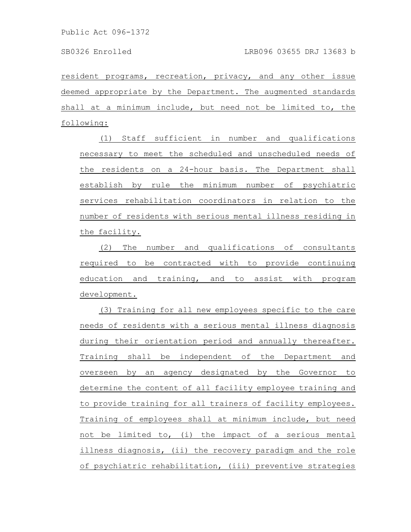resident programs, recreation, privacy, and any other issue deemed appropriate by the Department. The augmented standards shall at a minimum include, but need not be limited to, the following:

(1) Staff sufficient in number and qualifications necessary to meet the scheduled and unscheduled needs of the residents on a 24-hour basis. The Department shall establish by rule the minimum number of psychiatric services rehabilitation coordinators in relation to the number of residents with serious mental illness residing in the facility.

(2) The number and qualifications of consultants required to be contracted with to provide continuing education and training, and to assist with program development.

(3) Training for all new employees specific to the care needs of residents with a serious mental illness diagnosis during their orientation period and annually thereafter. Training shall be independent of the Department and overseen by an agency designated by the Governor to determine the content of all facility employee training and to provide training for all trainers of facility employees. Training of employees shall at minimum include, but need not be limited to, (i) the impact of a serious mental illness diagnosis, (ii) the recovery paradigm and the role of psychiatric rehabilitation, (iii) preventive strategies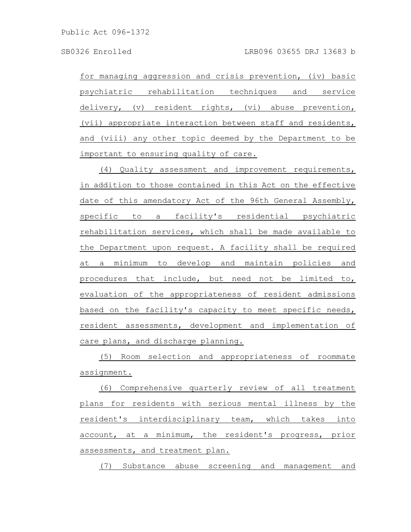for managing aggression and crisis prevention, (iv) basic psychiatric rehabilitation techniques and service delivery, (v) resident rights, (vi) abuse prevention, (vii) appropriate interaction between staff and residents, and (viii) any other topic deemed by the Department to be important to ensuring quality of care.

(4) Quality assessment and improvement requirements, in addition to those contained in this Act on the effective date of this amendatory Act of the 96th General Assembly, specific to a facility's residential psychiatric rehabilitation services, which shall be made available to the Department upon request. A facility shall be required at a minimum to develop and maintain policies and procedures that include, but need not be limited to, evaluation of the appropriateness of resident admissions based on the facility's capacity to meet specific needs, resident assessments, development and implementation of care plans, and discharge planning.

(5) Room selection and appropriateness of roommate assignment.

(6) Comprehensive quarterly review of all treatment plans for residents with serious mental illness by the resident's interdisciplinary team, which takes into account, at a minimum, the resident's progress, prior assessments, and treatment plan.

(7) Substance abuse screening and management and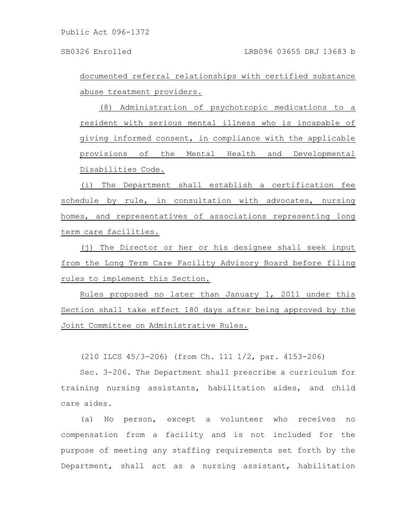documented referral relationships with certified substance abuse treatment providers.

(8) Administration of psychotropic medications to a resident with serious mental illness who is incapable of giving informed consent, in compliance with the applicable provisions of the Mental Health and Developmental Disabilities Code.

(i) The Department shall establish a certification fee schedule by rule, in consultation with advocates, nursing homes, and representatives of associations representing long term care facilities.

(j) The Director or her or his designee shall seek input from the Long Term Care Facility Advisory Board before filing rules to implement this Section.

Rules proposed no later than January 1, 2011 under this Section shall take effect 180 days after being approved by the Joint Committee on Administrative Rules.

(210 ILCS 45/3-206) (from Ch. 111 1/2, par. 4153-206)

Sec. 3-206. The Department shall prescribe a curriculum for training nursing assistants, habilitation aides, and child care aides.

(a) No person, except a volunteer who receives no compensation from a facility and is not included for the purpose of meeting any staffing requirements set forth by the Department, shall act as a nursing assistant, habilitation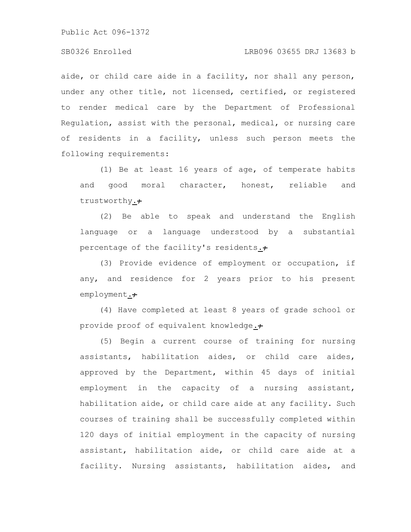## SB0326 Enrolled LRB096 03655 DRJ 13683 b

aide, or child care aide in a facility, nor shall any person, under any other title, not licensed, certified, or registered to render medical care by the Department of Professional Regulation, assist with the personal, medical, or nursing care of residents in a facility, unless such person meets the following requirements:

(1) Be at least 16 years of age, of temperate habits and good moral character, honest, reliable and trustworthy.+

(2) Be able to speak and understand the English language or a language understood by a substantial percentage of the facility's residents. $\div$ 

(3) Provide evidence of employment or occupation, if any, and residence for 2 years prior to his present employment.+

(4) Have completed at least 8 years of grade school or provide proof of equivalent knowledge.+

(5) Begin a current course of training for nursing assistants, habilitation aides, or child care aides, approved by the Department, within 45 days of initial employment in the capacity of a nursing assistant, habilitation aide, or child care aide at any facility. Such courses of training shall be successfully completed within 120 days of initial employment in the capacity of nursing assistant, habilitation aide, or child care aide at a facility. Nursing assistants, habilitation aides, and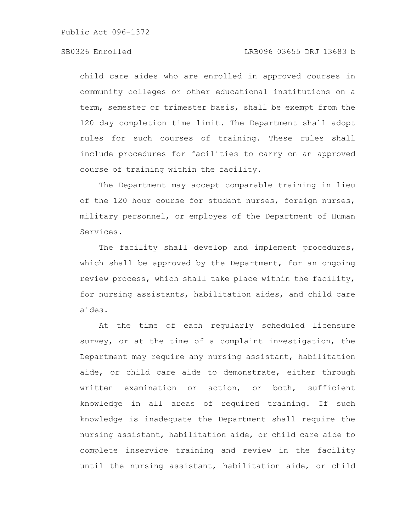child care aides who are enrolled in approved courses in community colleges or other educational institutions on a term, semester or trimester basis, shall be exempt from the 120 day completion time limit. The Department shall adopt rules for such courses of training. These rules shall include procedures for facilities to carry on an approved course of training within the facility.

The Department may accept comparable training in lieu of the 120 hour course for student nurses, foreign nurses, military personnel, or employes of the Department of Human Services.

The facility shall develop and implement procedures, which shall be approved by the Department, for an ongoing review process, which shall take place within the facility, for nursing assistants, habilitation aides, and child care aides.

At the time of each regularly scheduled licensure survey, or at the time of a complaint investigation, the Department may require any nursing assistant, habilitation aide, or child care aide to demonstrate, either through written examination or action, or both, sufficient knowledge in all areas of required training. If such knowledge is inadequate the Department shall require the nursing assistant, habilitation aide, or child care aide to complete inservice training and review in the facility until the nursing assistant, habilitation aide, or child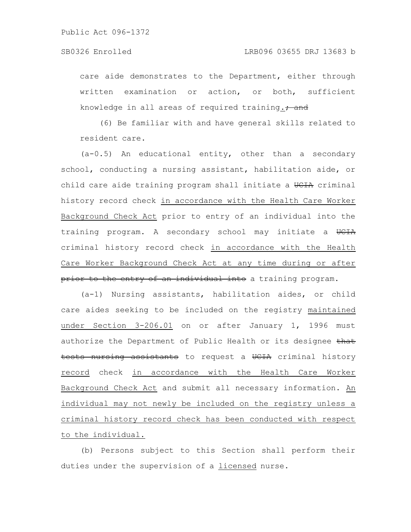care aide demonstrates to the Department, either through written examination or action, or both, sufficient knowledge in all areas of required training. $, \frac{1}{2}$ 

(6) Be familiar with and have general skills related to resident care.

(a-0.5) An educational entity, other than a secondary school, conducting a nursing assistant, habilitation aide, or child care aide training program shall initiate a UCIA criminal history record check in accordance with the Health Care Worker Background Check Act prior to entry of an individual into the training program. A secondary school may initiate a UCIA criminal history record check in accordance with the Health Care Worker Background Check Act at any time during or after prior to the entry of an individual into a training program.

(a-1) Nursing assistants, habilitation aides, or child care aides seeking to be included on the registry maintained under Section 3-206.01 on or after January 1, 1996 must authorize the Department of Public Health or its designee that tests nursing assistants to request a UCIA criminal history record check in accordance with the Health Care Worker Background Check Act and submit all necessary information. An individual may not newly be included on the registry unless a criminal history record check has been conducted with respect to the individual.

(b) Persons subject to this Section shall perform their duties under the supervision of a licensed nurse.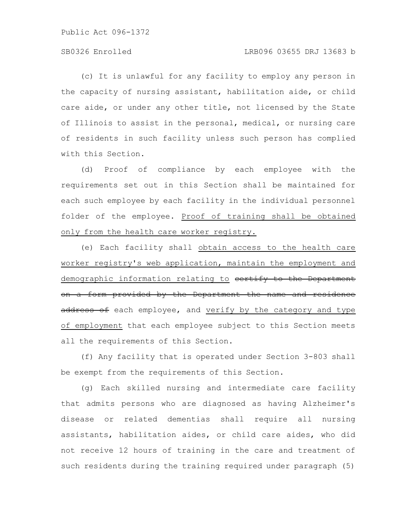# SB0326 Enrolled LRB096 03655 DRJ 13683 b

(c) It is unlawful for any facility to employ any person in the capacity of nursing assistant, habilitation aide, or child care aide, or under any other title, not licensed by the State of Illinois to assist in the personal, medical, or nursing care of residents in such facility unless such person has complied with this Section.

(d) Proof of compliance by each employee with the requirements set out in this Section shall be maintained for each such employee by each facility in the individual personnel folder of the employee. Proof of training shall be obtained only from the health care worker registry.

(e) Each facility shall obtain access to the health care worker registry's web application, maintain the employment and demographic information relating to eertify to the Department on a form provided by the Department the name and residence address of each employee, and verify by the category and type of employment that each employee subject to this Section meets all the requirements of this Section.

(f) Any facility that is operated under Section 3-803 shall be exempt from the requirements of this Section.

(g) Each skilled nursing and intermediate care facility that admits persons who are diagnosed as having Alzheimer's disease or related dementias shall require all nursing assistants, habilitation aides, or child care aides, who did not receive 12 hours of training in the care and treatment of such residents during the training required under paragraph (5)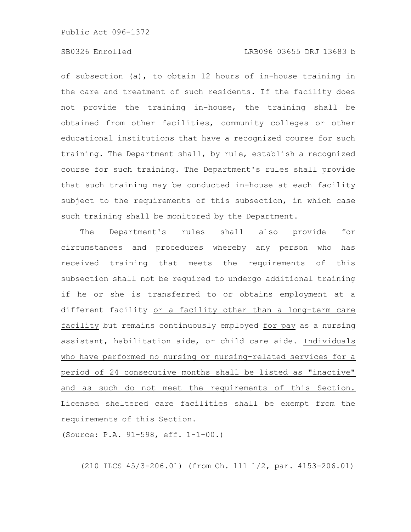# SB0326 Enrolled LRB096 03655 DRJ 13683 b

of subsection (a), to obtain 12 hours of in-house training in the care and treatment of such residents. If the facility does not provide the training in-house, the training shall be obtained from other facilities, community colleges or other educational institutions that have a recognized course for such training. The Department shall, by rule, establish a recognized course for such training. The Department's rules shall provide that such training may be conducted in-house at each facility subject to the requirements of this subsection, in which case such training shall be monitored by the Department.

The Department's rules shall also provide for circumstances and procedures whereby any person who has received training that meets the requirements of this subsection shall not be required to undergo additional training if he or she is transferred to or obtains employment at a different facility or a facility other than a long-term care facility but remains continuously employed for pay as a nursing assistant, habilitation aide, or child care aide. Individuals who have performed no nursing or nursing-related services for a period of 24 consecutive months shall be listed as "inactive" and as such do not meet the requirements of this Section. Licensed sheltered care facilities shall be exempt from the requirements of this Section.

(Source: P.A. 91-598, eff. 1-1-00.)

(210 ILCS 45/3-206.01) (from Ch. 111 1/2, par. 4153-206.01)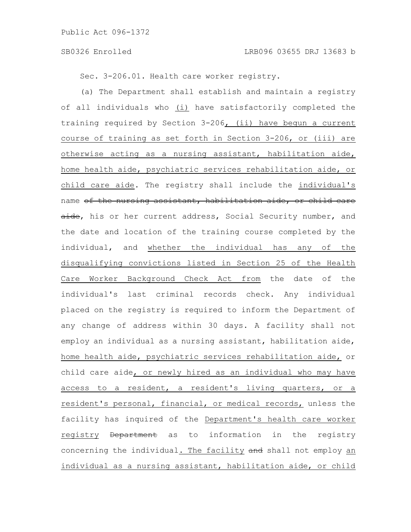Sec. 3-206.01. Health care worker registry.

(a) The Department shall establish and maintain a registry of all individuals who (i) have satisfactorily completed the training required by Section 3-206, (ii) have begun a current course of training as set forth in Section 3-206, or (iii) are otherwise acting as a nursing assistant, habilitation aide, home health aide, psychiatric services rehabilitation aide, or child care aide. The registry shall include the individual's name of the nursing assistant, habilitation aide, or child care aide, his or her current address, Social Security number, and the date and location of the training course completed by the individual, and whether the individual has any of the disqualifying convictions listed in Section 25 of the Health Care Worker Background Check Act from the date of the individual's last criminal records check. Any individual placed on the registry is required to inform the Department of any change of address within 30 days. A facility shall not employ an individual as a nursing assistant, habilitation aide, home health aide, psychiatric services rehabilitation aide, or child care aide, or newly hired as an individual who may have access to a resident, a resident's living quarters, or a resident's personal, financial, or medical records, unless the facility has inquired of the Department's health care worker registry Department as to information in the registry concerning the individual. The facility and shall not employ an individual as a nursing assistant, habilitation aide, or child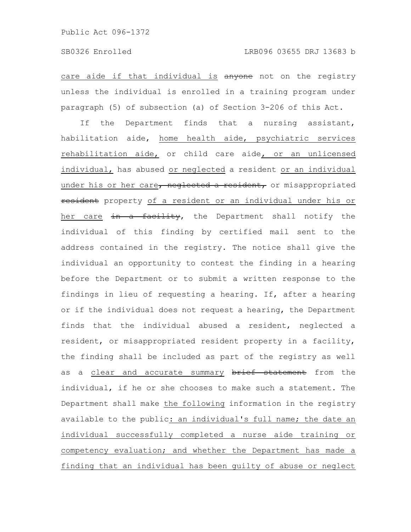care aide if that individual is anyone not on the registry unless the individual is enrolled in a training program under paragraph (5) of subsection (a) of Section 3-206 of this Act.

If the Department finds that a nursing assistant, habilitation aide, home health aide, psychiatric services rehabilitation aide, or child care aide, or an unlicensed individual, has abused or neglected a resident or an individual under his or her care, neglected a resident, or misappropriated resident property of a resident or an individual under his or her care in a facility, the Department shall notify the individual of this finding by certified mail sent to the address contained in the registry. The notice shall give the individual an opportunity to contest the finding in a hearing before the Department or to submit a written response to the findings in lieu of requesting a hearing. If, after a hearing or if the individual does not request a hearing, the Department finds that the individual abused a resident, neglected a resident, or misappropriated resident property in a facility, the finding shall be included as part of the registry as well as a clear and accurate summary brief statement from the individual, if he or she chooses to make such a statement. The Department shall make the following information in the registry available to the public: an individual's full name; the date an individual successfully completed a nurse aide training or competency evaluation; and whether the Department has made a finding that an individual has been guilty of abuse or neglect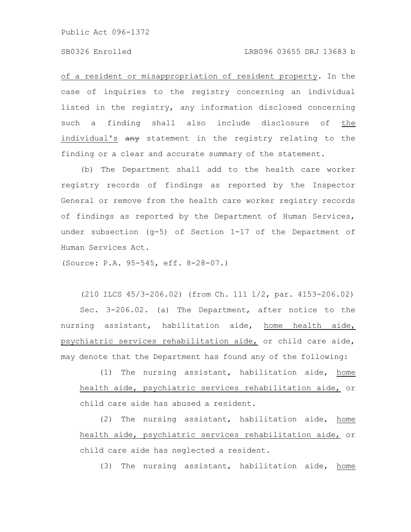# SB0326 Enrolled LRB096 03655 DRJ 13683 b

of a resident or misappropriation of resident property. In the case of inquiries to the registry concerning an individual listed in the registry, any information disclosed concerning such a finding shall also include disclosure of the individual's  $\frac{a}{b}$  statement in the registry relating to the finding or a clear and accurate summary of the statement.

(b) The Department shall add to the health care worker registry records of findings as reported by the Inspector General or remove from the health care worker registry records of findings as reported by the Department of Human Services, under subsection (g-5) of Section 1-17 of the Department of Human Services Act.

(Source: P.A. 95-545, eff. 8-28-07.)

(210 ILCS 45/3-206.02) (from Ch. 111 1/2, par. 4153-206.02) Sec. 3-206.02. (a) The Department, after notice to the nursing assistant, habilitation aide, home health aide, psychiatric services rehabilitation aide, or child care aide, may denote that the Department has found any of the following:

(1) The nursing assistant, habilitation aide, home health aide, psychiatric services rehabilitation aide, or child care aide has abused a resident.

(2) The nursing assistant, habilitation aide, home health aide, psychiatric services rehabilitation aide, or child care aide has neglected a resident.

(3) The nursing assistant, habilitation aide, home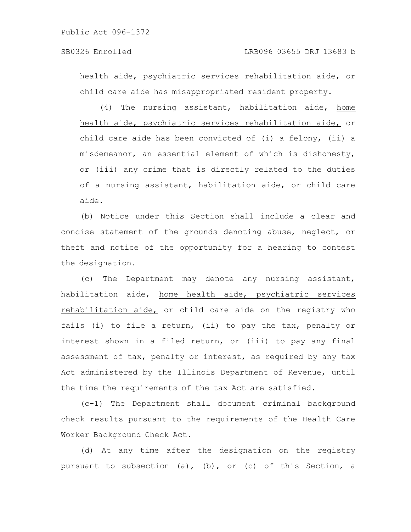health aide, psychiatric services rehabilitation aide, or child care aide has misappropriated resident property.

(4) The nursing assistant, habilitation aide, home health aide, psychiatric services rehabilitation aide, or child care aide has been convicted of (i) a felony, (ii) a misdemeanor, an essential element of which is dishonesty, or (iii) any crime that is directly related to the duties of a nursing assistant, habilitation aide, or child care aide.

(b) Notice under this Section shall include a clear and concise statement of the grounds denoting abuse, neglect, or theft and notice of the opportunity for a hearing to contest the designation.

(c) The Department may denote any nursing assistant, habilitation aide, home health aide, psychiatric services rehabilitation aide, or child care aide on the registry who fails (i) to file a return, (ii) to pay the tax, penalty or interest shown in a filed return, or (iii) to pay any final assessment of tax, penalty or interest, as required by any tax Act administered by the Illinois Department of Revenue, until the time the requirements of the tax Act are satisfied.

(c-1) The Department shall document criminal background check results pursuant to the requirements of the Health Care Worker Background Check Act.

(d) At any time after the designation on the registry pursuant to subsection (a), (b), or (c) of this Section, a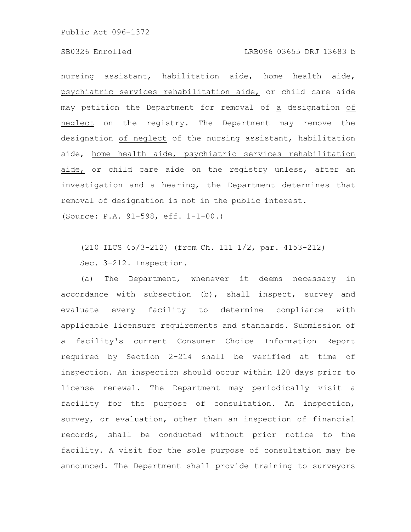#### SB0326 Enrolled LRB096 03655 DRJ 13683 b

nursing assistant, habilitation aide, home health aide, psychiatric services rehabilitation aide, or child care aide may petition the Department for removal of a designation of neglect on the registry. The Department may remove the designation of neglect of the nursing assistant, habilitation aide, home health aide, psychiatric services rehabilitation aide, or child care aide on the registry unless, after an investigation and a hearing, the Department determines that removal of designation is not in the public interest.

(Source: P.A. 91-598, eff. 1-1-00.)

(210 ILCS 45/3-212) (from Ch. 111 1/2, par. 4153-212) Sec. 3-212. Inspection.

(a) The Department, whenever it deems necessary in accordance with subsection (b), shall inspect, survey and evaluate every facility to determine compliance with applicable licensure requirements and standards. Submission of a facility's current Consumer Choice Information Report required by Section 2-214 shall be verified at time of inspection. An inspection should occur within 120 days prior to license renewal. The Department may periodically visit a facility for the purpose of consultation. An inspection, survey, or evaluation, other than an inspection of financial records, shall be conducted without prior notice to the facility. A visit for the sole purpose of consultation may be announced. The Department shall provide training to surveyors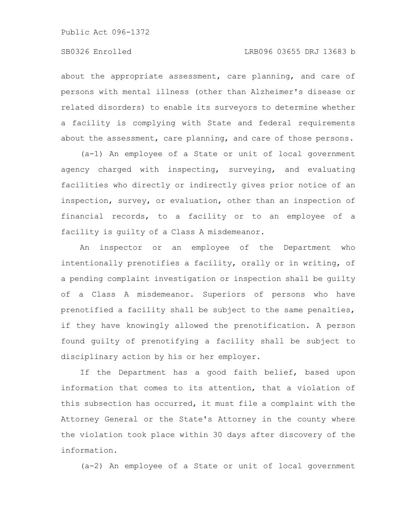about the appropriate assessment, care planning, and care of persons with mental illness (other than Alzheimer's disease or related disorders) to enable its surveyors to determine whether a facility is complying with State and federal requirements about the assessment, care planning, and care of those persons.

(a-1) An employee of a State or unit of local government agency charged with inspecting, surveying, and evaluating facilities who directly or indirectly gives prior notice of an inspection, survey, or evaluation, other than an inspection of financial records, to a facility or to an employee of a facility is guilty of a Class A misdemeanor.

An inspector or an employee of the Department who intentionally prenotifies a facility, orally or in writing, of a pending complaint investigation or inspection shall be guilty of a Class A misdemeanor. Superiors of persons who have prenotified a facility shall be subject to the same penalties, if they have knowingly allowed the prenotification. A person found guilty of prenotifying a facility shall be subject to disciplinary action by his or her employer.

If the Department has a good faith belief, based upon information that comes to its attention, that a violation of this subsection has occurred, it must file a complaint with the Attorney General or the State's Attorney in the county where the violation took place within 30 days after discovery of the information.

(a-2) An employee of a State or unit of local government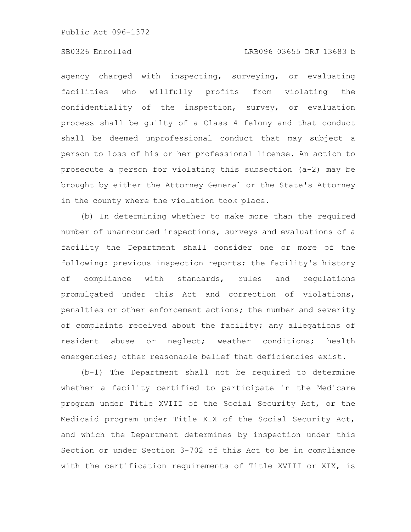# SB0326 Enrolled LRB096 03655 DRJ 13683 b

agency charged with inspecting, surveying, or evaluating facilities who willfully profits from violating the confidentiality of the inspection, survey, or evaluation process shall be guilty of a Class 4 felony and that conduct shall be deemed unprofessional conduct that may subject a person to loss of his or her professional license. An action to prosecute a person for violating this subsection (a-2) may be brought by either the Attorney General or the State's Attorney in the county where the violation took place.

(b) In determining whether to make more than the required number of unannounced inspections, surveys and evaluations of a facility the Department shall consider one or more of the following: previous inspection reports; the facility's history of compliance with standards, rules and regulations promulgated under this Act and correction of violations, penalties or other enforcement actions; the number and severity of complaints received about the facility; any allegations of resident abuse or neglect; weather conditions; health emergencies; other reasonable belief that deficiencies exist.

(b-1) The Department shall not be required to determine whether a facility certified to participate in the Medicare program under Title XVIII of the Social Security Act, or the Medicaid program under Title XIX of the Social Security Act, and which the Department determines by inspection under this Section or under Section 3-702 of this Act to be in compliance with the certification requirements of Title XVIII or XIX, is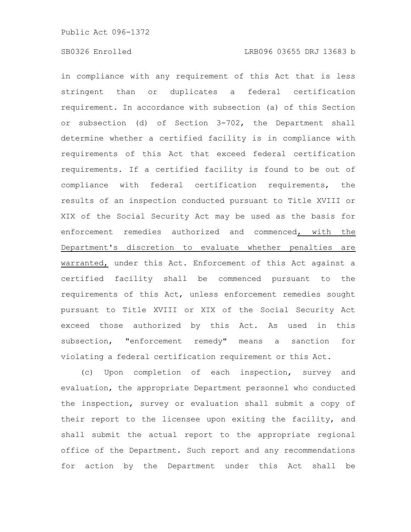in compliance with any requirement of this Act that is less stringent than or duplicates a federal certification requirement. In accordance with subsection (a) of this Section or subsection (d) of Section 3-702, the Department shall determine whether a certified facility is in compliance with requirements of this Act that exceed federal certification requirements. If a certified facility is found to be out of compliance with federal certification requirements, the results of an inspection conducted pursuant to Title XVIII or XIX of the Social Security Act may be used as the basis for enforcement remedies authorized and commenced, with the Department's discretion to evaluate whether penalties are warranted, under this Act. Enforcement of this Act against a certified facility shall be commenced pursuant to the requirements of this Act, unless enforcement remedies sought pursuant to Title XVIII or XIX of the Social Security Act exceed those authorized by this Act. As used in this subsection, "enforcement remedy" means a sanction for violating a federal certification requirement or this Act.

(c) Upon completion of each inspection, survey and evaluation, the appropriate Department personnel who conducted the inspection, survey or evaluation shall submit a copy of their report to the licensee upon exiting the facility, and shall submit the actual report to the appropriate regional office of the Department. Such report and any recommendations for action by the Department under this Act shall be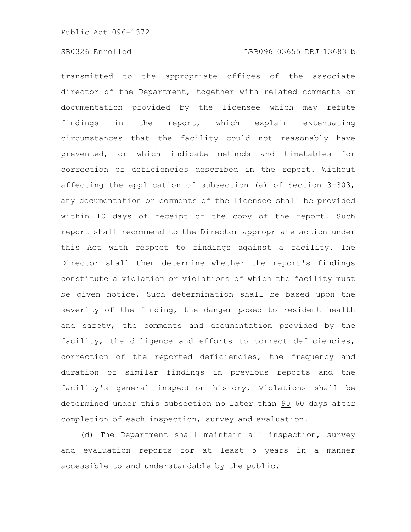# SB0326 Enrolled LRB096 03655 DRJ 13683 b

transmitted to the appropriate offices of the associate director of the Department, together with related comments or documentation provided by the licensee which may refute findings in the report, which explain extenuating circumstances that the facility could not reasonably have prevented, or which indicate methods and timetables for correction of deficiencies described in the report. Without affecting the application of subsection (a) of Section 3-303, any documentation or comments of the licensee shall be provided within 10 days of receipt of the copy of the report. Such report shall recommend to the Director appropriate action under this Act with respect to findings against a facility. The Director shall then determine whether the report's findings constitute a violation or violations of which the facility must be given notice. Such determination shall be based upon the severity of the finding, the danger posed to resident health and safety, the comments and documentation provided by the facility, the diligence and efforts to correct deficiencies, correction of the reported deficiencies, the frequency and duration of similar findings in previous reports and the facility's general inspection history. Violations shall be determined under this subsection no later than 90 60 days after completion of each inspection, survey and evaluation.

(d) The Department shall maintain all inspection, survey and evaluation reports for at least 5 years in a manner accessible to and understandable by the public.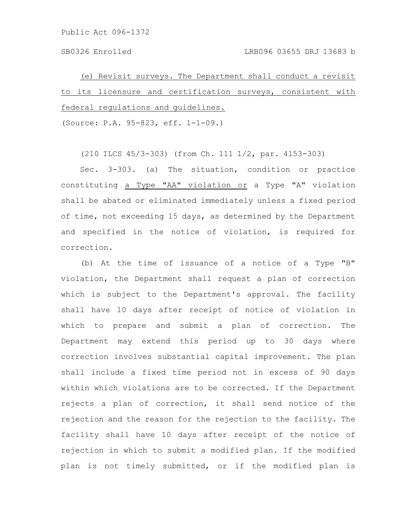(e) Revisit surveys. The Department shall conduct a revisit to its licensure and certification surveys, consistent with federal regulations and guidelines.

(Source: P.A. 95-823, eff. 1-1-09.)

(210 ILCS 45/3-303) (from Ch. 111 1/2, par. 4153-303)

Sec. 3-303. (a) The situation, condition or practice constituting a Type "AA" violation or a Type "A" violation shall be abated or eliminated immediately unless a fixed period of time, not exceeding 15 days, as determined by the Department and specified in the notice of violation, is required for correction.

(b) At the time of issuance of a notice of a Type "B" violation, the Department shall request a plan of correction which is subject to the Department's approval. The facility shall have 10 days after receipt of notice of violation in which to prepare and submit a plan of correction. The Department may extend this period up to 30 days where correction involves substantial capital improvement. The plan shall include a fixed time period not in excess of 90 days within which violations are to be corrected. If the Department rejects a plan of correction, it shall send notice of the rejection and the reason for the rejection to the facility. The facility shall have 10 days after receipt of the notice of rejection in which to submit a modified plan. If the modified plan is not timely submitted, or if the modified plan is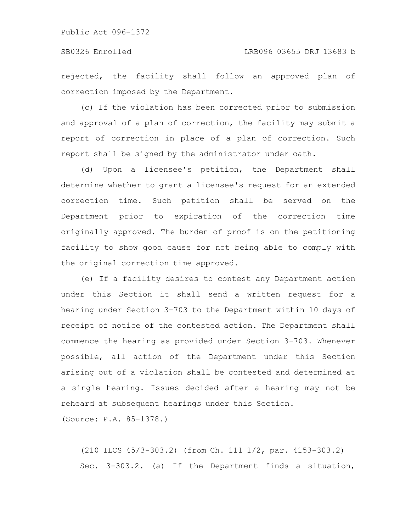rejected, the facility shall follow an approved plan of correction imposed by the Department.

(c) If the violation has been corrected prior to submission and approval of a plan of correction, the facility may submit a report of correction in place of a plan of correction. Such report shall be signed by the administrator under oath.

(d) Upon a licensee's petition, the Department shall determine whether to grant a licensee's request for an extended correction time. Such petition shall be served on the Department prior to expiration of the correction time originally approved. The burden of proof is on the petitioning facility to show good cause for not being able to comply with the original correction time approved.

(e) If a facility desires to contest any Department action under this Section it shall send a written request for a hearing under Section 3-703 to the Department within 10 days of receipt of notice of the contested action. The Department shall commence the hearing as provided under Section 3-703. Whenever possible, all action of the Department under this Section arising out of a violation shall be contested and determined at a single hearing. Issues decided after a hearing may not be reheard at subsequent hearings under this Section.

(Source: P.A. 85-1378.)

(210 ILCS 45/3-303.2) (from Ch. 111 1/2, par. 4153-303.2) Sec. 3-303.2. (a) If the Department finds a situation,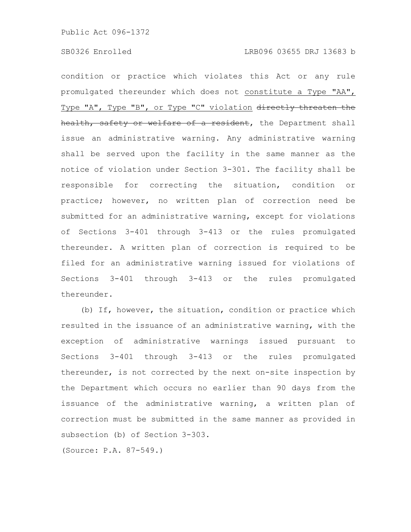condition or practice which violates this Act or any rule promulgated thereunder which does not constitute a Type "AA", Type "A", Type "B", or Type "C" violation directly threaten the health, safety or welfare of a resident, the Department shall issue an administrative warning. Any administrative warning shall be served upon the facility in the same manner as the notice of violation under Section 3-301. The facility shall be responsible for correcting the situation, condition or practice; however, no written plan of correction need be submitted for an administrative warning, except for violations of Sections 3-401 through 3-413 or the rules promulgated thereunder. A written plan of correction is required to be filed for an administrative warning issued for violations of Sections 3-401 through 3-413 or the rules promulgated thereunder.

(b) If, however, the situation, condition or practice which resulted in the issuance of an administrative warning, with the exception of administrative warnings issued pursuant to Sections 3-401 through 3-413 or the rules promulgated thereunder, is not corrected by the next on-site inspection by the Department which occurs no earlier than 90 days from the issuance of the administrative warning, a written plan of correction must be submitted in the same manner as provided in subsection (b) of Section 3-303.

(Source: P.A. 87-549.)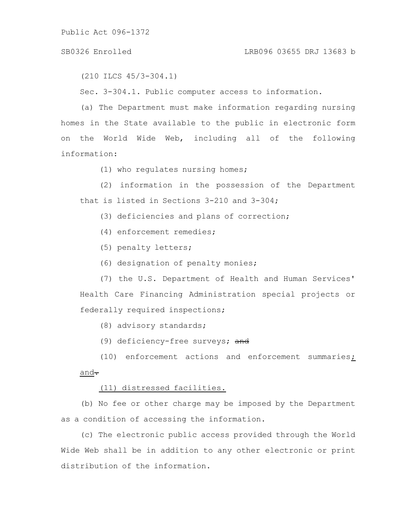#### SB0326 Enrolled LRB096 03655 DRJ 13683 b

(210 ILCS 45/3-304.1)

Sec. 3-304.1. Public computer access to information.

(a) The Department must make information regarding nursing homes in the State available to the public in electronic form on the World Wide Web, including all of the following information:

(1) who regulates nursing homes;

(2) information in the possession of the Department that is listed in Sections 3-210 and 3-304;

(3) deficiencies and plans of correction;

- (4) enforcement remedies;
- (5) penalty letters;
- (6) designation of penalty monies;

(7) the U.S. Department of Health and Human Services' Health Care Financing Administration special projects or federally required inspections;

(8) advisory standards;

(9) deficiency-free surveys; and

(10) enforcement actions and enforcement summaries;  $\overline{\text{and}}$   $\overline{\cdot}$ 

# (11) distressed facilities.

(b) No fee or other charge may be imposed by the Department as a condition of accessing the information.

(c) The electronic public access provided through the World Wide Web shall be in addition to any other electronic or print distribution of the information.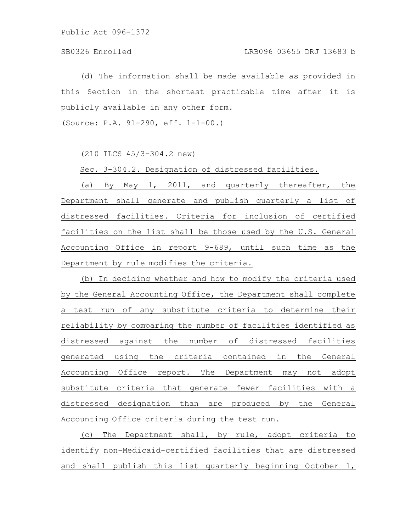(d) The information shall be made available as provided in this Section in the shortest practicable time after it is publicly available in any other form.

(Source: P.A. 91-290, eff. 1-1-00.)

(210 ILCS 45/3-304.2 new)

Sec. 3-304.2. Designation of distressed facilities.

(a) By May 1, 2011, and quarterly thereafter, the Department shall generate and publish quarterly a list of distressed facilities. Criteria for inclusion of certified facilities on the list shall be those used by the U.S. General Accounting Office in report 9-689, until such time as the Department by rule modifies the criteria.

(b) In deciding whether and how to modify the criteria used by the General Accounting Office, the Department shall complete a test run of any substitute criteria to determine their reliability by comparing the number of facilities identified as distressed against the number of distressed facilities generated using the criteria contained in the General Accounting Office report. The Department may not adopt substitute criteria that generate fewer facilities with a distressed designation than are produced by the General Accounting Office criteria during the test run.

(c) The Department shall, by rule, adopt criteria to identify non-Medicaid-certified facilities that are distressed and shall publish this list quarterly beginning October 1,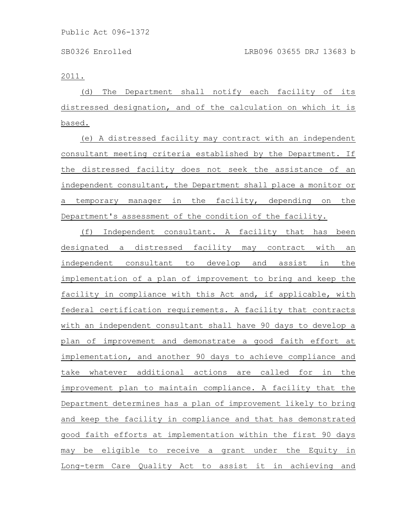2011.

(d) The Department shall notify each facility of its distressed designation, and of the calculation on which it is based.

(e) A distressed facility may contract with an independent consultant meeting criteria established by the Department. If the distressed facility does not seek the assistance of an independent consultant, the Department shall place a monitor or a temporary manager in the facility, depending on the Department's assessment of the condition of the facility.

(f) Independent consultant. A facility that has been designated a distressed facility may contract with an independent consultant to develop and assist in the implementation of a plan of improvement to bring and keep the facility in compliance with this Act and, if applicable, with federal certification requirements. A facility that contracts with an independent consultant shall have 90 days to develop a plan of improvement and demonstrate a good faith effort at implementation, and another 90 days to achieve compliance and take whatever additional actions are called for in the improvement plan to maintain compliance. A facility that the Department determines has a plan of improvement likely to bring and keep the facility in compliance and that has demonstrated good faith efforts at implementation within the first 90 days may be eligible to receive a grant under the Equity in Long-term Care Quality Act to assist it in achieving and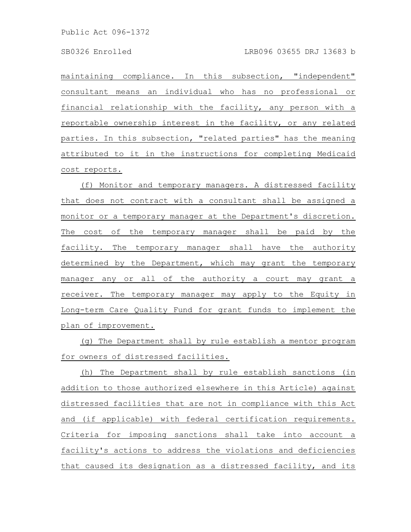maintaining compliance. In this subsection, "independent" consultant means an individual who has no professional or financial relationship with the facility, any person with a reportable ownership interest in the facility, or any related parties. In this subsection, "related parties" has the meaning attributed to it in the instructions for completing Medicaid cost reports.

(f) Monitor and temporary managers. A distressed facility that does not contract with a consultant shall be assigned a monitor or a temporary manager at the Department's discretion. The cost of the temporary manager shall be paid by the facility. The temporary manager shall have the authority determined by the Department, which may grant the temporary manager any or all of the authority a court may grant a receiver. The temporary manager may apply to the Equity in Long-term Care Quality Fund for grant funds to implement the plan of improvement.

(g) The Department shall by rule establish a mentor program for owners of distressed facilities.

(h) The Department shall by rule establish sanctions (in addition to those authorized elsewhere in this Article) against distressed facilities that are not in compliance with this Act and (if applicable) with federal certification requirements. Criteria for imposing sanctions shall take into account a facility's actions to address the violations and deficiencies that caused its designation as a distressed facility, and its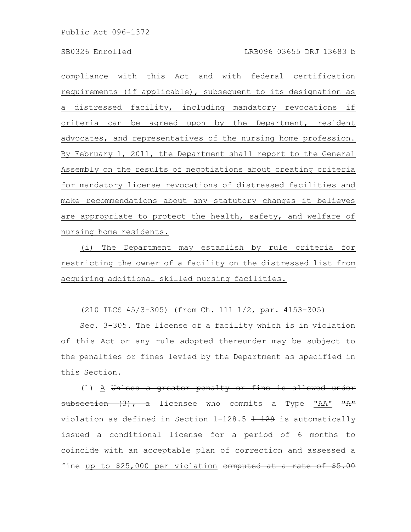compliance with this Act and with federal certification requirements (if applicable), subsequent to its designation as a distressed facility, including mandatory revocations if criteria can be agreed upon by the Department, resident advocates, and representatives of the nursing home profession. By February 1, 2011, the Department shall report to the General Assembly on the results of negotiations about creating criteria for mandatory license revocations of distressed facilities and make recommendations about any statutory changes it believes are appropriate to protect the health, safety, and welfare of nursing home residents.

(i) The Department may establish by rule criteria for restricting the owner of a facility on the distressed list from acquiring additional skilled nursing facilities.

(210 ILCS 45/3-305) (from Ch. 111 1/2, par. 4153-305)

Sec. 3-305. The license of a facility which is in violation of this Act or any rule adopted thereunder may be subject to the penalties or fines levied by the Department as specified in this Section.

(1) A Unless a greater penalty or fine is allowed under subsection (3), a licensee who commits a Type "AA" "A" violation as defined in Section  $1-128.5$   $1-129$  is automatically issued a conditional license for a period of 6 months to coincide with an acceptable plan of correction and assessed a fine up to \$25,000 per violation computed at a rate of \$5.00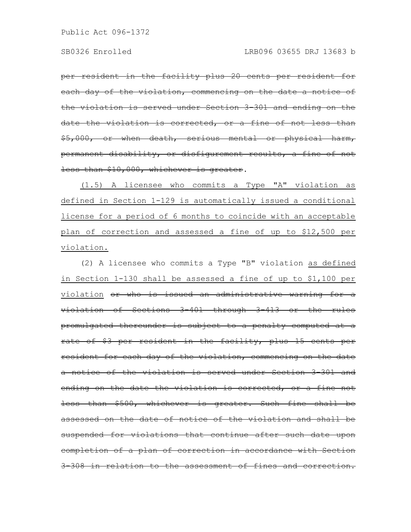per resident in the facility plus 20 cents per resident for each day of the violation, commencing on the date a notice of the violation is served under Section 3-301 and ending on the date the violation is corrected, or a fine of not less \$5,000, or when death, serious mental or physical harm, permanent disability, or disfigurement results, a fine of not less than \$10,000, whichever is greater.

(1.5) A licensee who commits a Type "A" violation as defined in Section 1-129 is automatically issued a conditional license for a period of 6 months to coincide with an acceptable plan of correction and assessed a fine of up to \$12,500 per violation.

(2) A licensee who commits a Type "B" violation as defined in Section 1-130 shall be assessed a fine of up to \$1,100 per violation or who is issued an administrative warning for a violation of Sections 3-401 through 3-413 or the rules promulgated thereunder is subject to a penalty computed at a rate of \$3 per resident in the facility, plus 15 cents per resident for each day of the violation, commencing on the date a notice of the violation is served under Section 3-301 and ending on the date the violation is corrected, or a fine not less than \$500, whichever is greater. Such fine shall be assessed on the date of notice of the violation and shall suspended for violations that continue after such date upon completion of a plan of correction in accordance with Section 308 in relation to the assessment of fines and correction.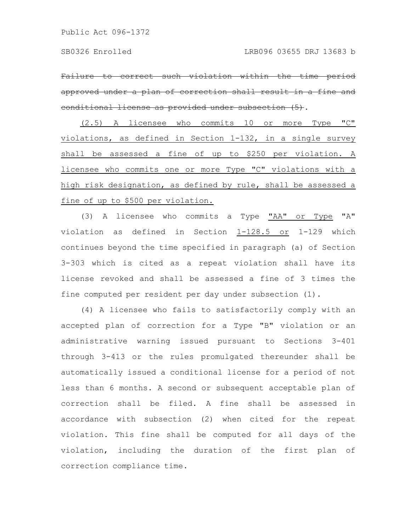Failure to correct such violation within the time approved under a plan of correction shall result in a fine and conditional license as provided under subsection (5).

(2.5) A licensee who commits 10 or more Type "C" violations, as defined in Section 1-132, in a single survey shall be assessed a fine of up to \$250 per violation. A licensee who commits one or more Type "C" violations with a high risk designation, as defined by rule, shall be assessed a fine of up to \$500 per violation.

(3) A licensee who commits a Type "AA" or Type "A" violation as defined in Section 1-128.5 or 1-129 which continues beyond the time specified in paragraph (a) of Section 3-303 which is cited as a repeat violation shall have its license revoked and shall be assessed a fine of 3 times the fine computed per resident per day under subsection (1).

(4) A licensee who fails to satisfactorily comply with an accepted plan of correction for a Type "B" violation or an administrative warning issued pursuant to Sections 3-401 through 3-413 or the rules promulgated thereunder shall be automatically issued a conditional license for a period of not less than 6 months. A second or subsequent acceptable plan of correction shall be filed. A fine shall be assessed in accordance with subsection (2) when cited for the repeat violation. This fine shall be computed for all days of the violation, including the duration of the first plan of correction compliance time.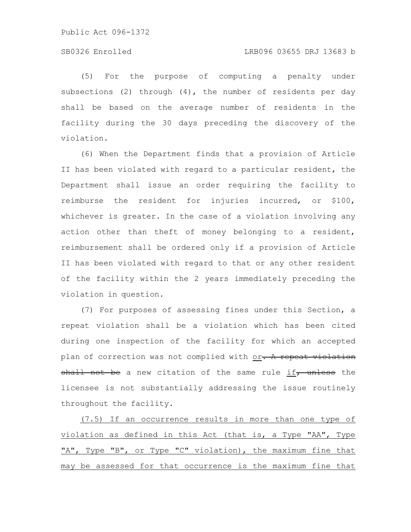# SB0326 Enrolled LRB096 03655 DRJ 13683 b

(5) For the purpose of computing a penalty under subsections (2) through (4), the number of residents per day shall be based on the average number of residents in the facility during the 30 days preceding the discovery of the violation.

(6) When the Department finds that a provision of Article II has been violated with regard to a particular resident, the Department shall issue an order requiring the facility to reimburse the resident for injuries incurred, or \$100, whichever is greater. In the case of a violation involving any action other than theft of money belonging to a resident, reimbursement shall be ordered only if a provision of Article II has been violated with regard to that or any other resident of the facility within the 2 years immediately preceding the violation in question.

(7) For purposes of assessing fines under this Section, a repeat violation shall be a violation which has been cited during one inspection of the facility for which an accepted plan of correction was not complied with or. A repeat violation shall not be a new citation of the same rule if, unless the licensee is not substantially addressing the issue routinely throughout the facility.

(7.5) If an occurrence results in more than one type of violation as defined in this Act (that is, a Type "AA", Type "A", Type "B", or Type "C" violation), the maximum fine that may be assessed for that occurrence is the maximum fine that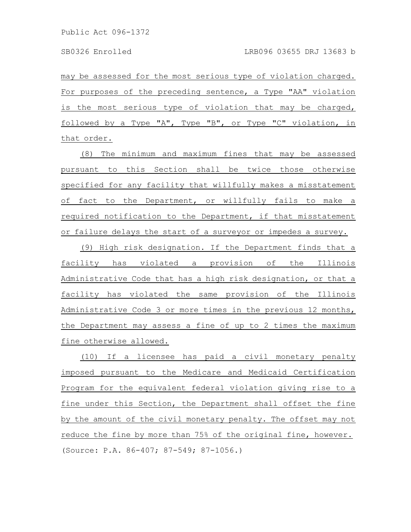may be assessed for the most serious type of violation charged. For purposes of the preceding sentence, a Type "AA" violation is the most serious type of violation that may be charged, followed by a Type "A", Type "B", or Type "C" violation, in that order.

(8) The minimum and maximum fines that may be assessed pursuant to this Section shall be twice those otherwise specified for any facility that willfully makes a misstatement of fact to the Department, or willfully fails to make a required notification to the Department, if that misstatement or failure delays the start of a surveyor or impedes a survey.

(9) High risk designation. If the Department finds that a facility has violated a provision of the Illinois Administrative Code that has a high risk designation, or that a facility has violated the same provision of the Illinois Administrative Code 3 or more times in the previous 12 months, the Department may assess a fine of up to 2 times the maximum fine otherwise allowed.

(10) If a licensee has paid a civil monetary penalty imposed pursuant to the Medicare and Medicaid Certification Program for the equivalent federal violation giving rise to a fine under this Section, the Department shall offset the fine by the amount of the civil monetary penalty. The offset may not reduce the fine by more than 75% of the original fine, however. (Source: P.A. 86-407; 87-549; 87-1056.)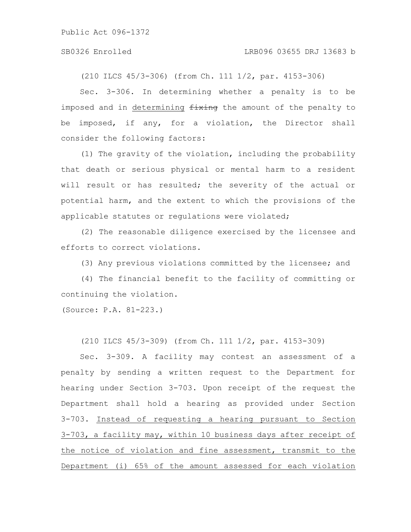#### SB0326 Enrolled LRB096 03655 DRJ 13683 b

(210 ILCS 45/3-306) (from Ch. 111 1/2, par. 4153-306)

Sec. 3-306. In determining whether a penalty is to be imposed and in determining  $f(x)$  is the amount of the penalty to be imposed, if any, for a violation, the Director shall consider the following factors:

(1) The gravity of the violation, including the probability that death or serious physical or mental harm to a resident will result or has resulted; the severity of the actual or potential harm, and the extent to which the provisions of the applicable statutes or regulations were violated;

(2) The reasonable diligence exercised by the licensee and efforts to correct violations.

(3) Any previous violations committed by the licensee; and

(4) The financial benefit to the facility of committing or continuing the violation.

(Source: P.A. 81-223.)

(210 ILCS 45/3-309) (from Ch. 111 1/2, par. 4153-309)

Sec. 3-309. A facility may contest an assessment of a penalty by sending a written request to the Department for hearing under Section 3-703. Upon receipt of the request the Department shall hold a hearing as provided under Section 3-703. Instead of requesting a hearing pursuant to Section 3-703, a facility may, within 10 business days after receipt of the notice of violation and fine assessment, transmit to the Department (i) 65% of the amount assessed for each violation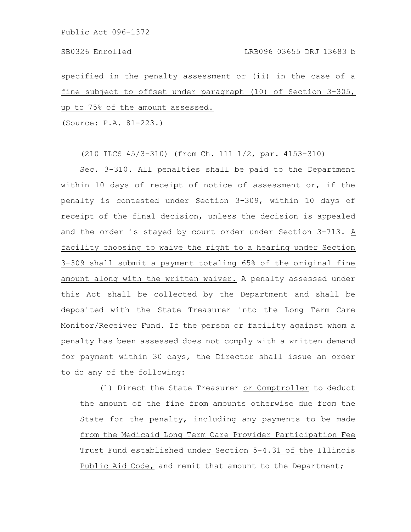specified in the penalty assessment or (ii) in the case of a fine subject to offset under paragraph (10) of Section 3-305, up to 75% of the amount assessed.

(Source: P.A. 81-223.)

(210 ILCS 45/3-310) (from Ch. 111 1/2, par. 4153-310)

Sec. 3-310. All penalties shall be paid to the Department within 10 days of receipt of notice of assessment or, if the penalty is contested under Section 3-309, within 10 days of receipt of the final decision, unless the decision is appealed and the order is stayed by court order under Section 3-713. A facility choosing to waive the right to a hearing under Section 3-309 shall submit a payment totaling 65% of the original fine amount along with the written waiver. A penalty assessed under this Act shall be collected by the Department and shall be deposited with the State Treasurer into the Long Term Care Monitor/Receiver Fund. If the person or facility against whom a penalty has been assessed does not comply with a written demand for payment within 30 days, the Director shall issue an order to do any of the following:

(1) Direct the State Treasurer or Comptroller to deduct the amount of the fine from amounts otherwise due from the State for the penalty, including any payments to be made from the Medicaid Long Term Care Provider Participation Fee Trust Fund established under Section 5-4.31 of the Illinois Public Aid Code, and remit that amount to the Department;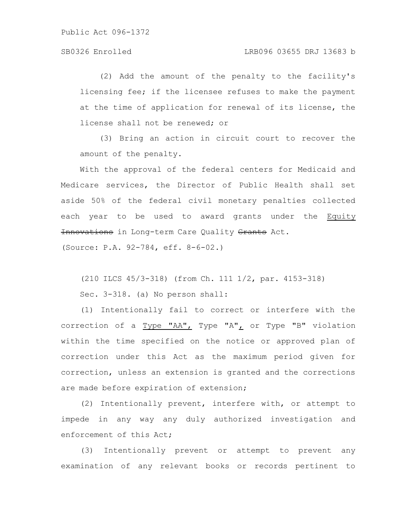(2) Add the amount of the penalty to the facility's licensing fee; if the licensee refuses to make the payment at the time of application for renewal of its license, the license shall not be renewed; or

(3) Bring an action in circuit court to recover the amount of the penalty.

With the approval of the federal centers for Medicaid and Medicare services, the Director of Public Health shall set aside 50% of the federal civil monetary penalties collected each year to be used to award grants under the Equity Innovations in Long-term Care Quality Grants Act.

(Source: P.A. 92-784, eff. 8-6-02.)

(210 ILCS 45/3-318) (from Ch. 111 1/2, par. 4153-318)

Sec. 3-318. (a) No person shall:

(1) Intentionally fail to correct or interfere with the correction of a Type "AA", Type "A", or Type "B" violation within the time specified on the notice or approved plan of correction under this Act as the maximum period given for correction, unless an extension is granted and the corrections are made before expiration of extension;

(2) Intentionally prevent, interfere with, or attempt to impede in any way any duly authorized investigation and enforcement of this Act;

(3) Intentionally prevent or attempt to prevent any examination of any relevant books or records pertinent to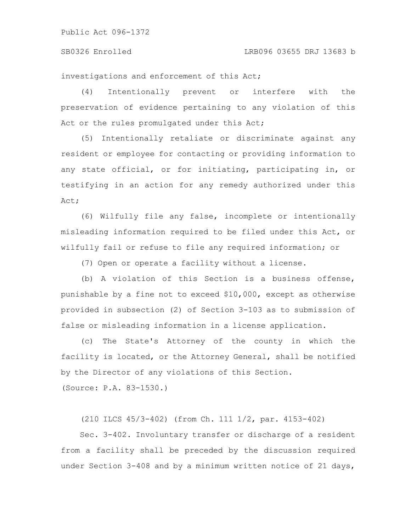#### SB0326 Enrolled LRB096 03655 DRJ 13683 b

investigations and enforcement of this Act;

(4) Intentionally prevent or interfere with the preservation of evidence pertaining to any violation of this Act or the rules promulgated under this Act;

(5) Intentionally retaliate or discriminate against any resident or employee for contacting or providing information to any state official, or for initiating, participating in, or testifying in an action for any remedy authorized under this Act;

(6) Wilfully file any false, incomplete or intentionally misleading information required to be filed under this Act, or wilfully fail or refuse to file any required information; or

(7) Open or operate a facility without a license.

(b) A violation of this Section is a business offense, punishable by a fine not to exceed \$10,000, except as otherwise provided in subsection (2) of Section 3-103 as to submission of false or misleading information in a license application.

(c) The State's Attorney of the county in which the facility is located, or the Attorney General, shall be notified by the Director of any violations of this Section.

(Source: P.A. 83-1530.)

(210 ILCS 45/3-402) (from Ch. 111 1/2, par. 4153-402)

Sec. 3-402. Involuntary transfer or discharge of a resident from a facility shall be preceded by the discussion required under Section 3-408 and by a minimum written notice of 21 days,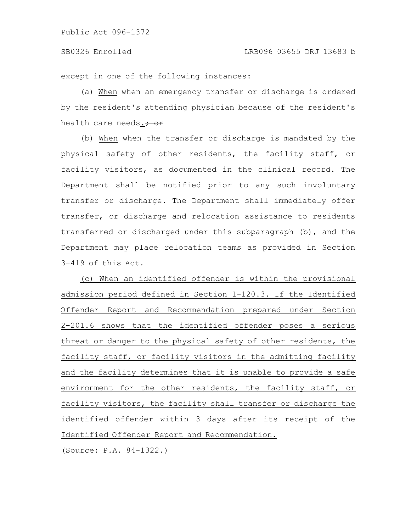except in one of the following instances:

(a) When when an emergency transfer or discharge is ordered by the resident's attending physician because of the resident's health care needs. $\frac{1}{100}$ 

(b) When when the transfer or discharge is mandated by the physical safety of other residents, the facility staff, or facility visitors, as documented in the clinical record. The Department shall be notified prior to any such involuntary transfer or discharge. The Department shall immediately offer transfer, or discharge and relocation assistance to residents transferred or discharged under this subparagraph (b), and the Department may place relocation teams as provided in Section 3-419 of this Act.

(c) When an identified offender is within the provisional admission period defined in Section 1-120.3. If the Identified Offender Report and Recommendation prepared under Section 2-201.6 shows that the identified offender poses a serious threat or danger to the physical safety of other residents, the facility staff, or facility visitors in the admitting facility and the facility determines that it is unable to provide a safe environment for the other residents, the facility staff, or facility visitors, the facility shall transfer or discharge the identified offender within 3 days after its receipt of the Identified Offender Report and Recommendation.

(Source: P.A. 84-1322.)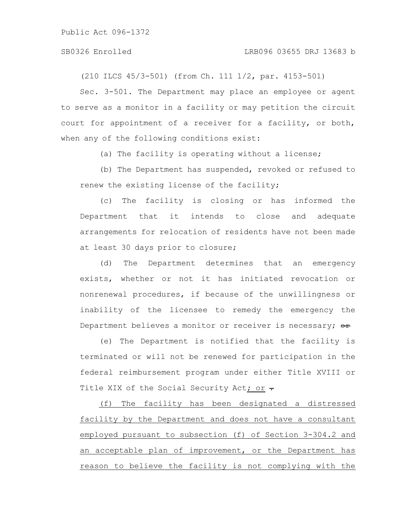#### SB0326 Enrolled LRB096 03655 DRJ 13683 b

(210 ILCS 45/3-501) (from Ch. 111 1/2, par. 4153-501)

Sec. 3-501. The Department may place an employee or agent to serve as a monitor in a facility or may petition the circuit court for appointment of a receiver for a facility, or both, when any of the following conditions exist:

(a) The facility is operating without a license;

(b) The Department has suspended, revoked or refused to renew the existing license of the facility;

(c) The facility is closing or has informed the Department that it intends to close and adequate arrangements for relocation of residents have not been made at least 30 days prior to closure;

(d) The Department determines that an emergency exists, whether or not it has initiated revocation or nonrenewal procedures, if because of the unwillingness or inability of the licensee to remedy the emergency the Department believes a monitor or receiver is necessary; or

(e) The Department is notified that the facility is terminated or will not be renewed for participation in the federal reimbursement program under either Title XVIII or Title XIX of the Social Security Act; or  $\div$ 

(f) The facility has been designated a distressed facility by the Department and does not have a consultant employed pursuant to subsection (f) of Section 3-304.2 and an acceptable plan of improvement, or the Department has reason to believe the facility is not complying with the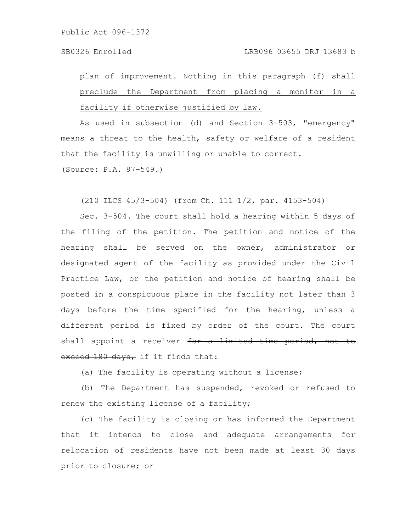plan of improvement. Nothing in this paragraph (f) shall preclude the Department from placing a monitor in a facility if otherwise justified by law.

As used in subsection (d) and Section 3-503, "emergency" means a threat to the health, safety or welfare of a resident that the facility is unwilling or unable to correct. (Source: P.A. 87-549.)

(210 ILCS 45/3-504) (from Ch. 111 1/2, par. 4153-504)

Sec. 3-504. The court shall hold a hearing within 5 days of the filing of the petition. The petition and notice of the hearing shall be served on the owner, administrator or designated agent of the facility as provided under the Civil Practice Law, or the petition and notice of hearing shall be posted in a conspicuous place in the facility not later than 3 days before the time specified for the hearing, unless a different period is fixed by order of the court. The court shall appoint a receiver for a limited time period, exceed 180 days, if it finds that:

(a) The facility is operating without a license;

(b) The Department has suspended, revoked or refused to renew the existing license of a facility;

(c) The facility is closing or has informed the Department that it intends to close and adequate arrangements for relocation of residents have not been made at least 30 days prior to closure; or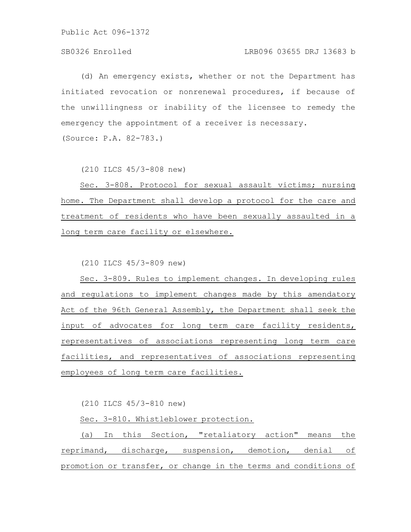# SB0326 Enrolled LRB096 03655 DRJ 13683 b

(d) An emergency exists, whether or not the Department has initiated revocation or nonrenewal procedures, if because of the unwillingness or inability of the licensee to remedy the emergency the appointment of a receiver is necessary. (Source: P.A. 82-783.)

(210 ILCS 45/3-808 new)

Sec. 3-808. Protocol for sexual assault victims; nursing home. The Department shall develop a protocol for the care and treatment of residents who have been sexually assaulted in a long term care facility or elsewhere.

(210 ILCS 45/3-809 new)

Sec. 3-809. Rules to implement changes. In developing rules and regulations to implement changes made by this amendatory Act of the 96th General Assembly, the Department shall seek the input of advocates for long term care facility residents, representatives of associations representing long term care facilities, and representatives of associations representing employees of long term care facilities.

(210 ILCS 45/3-810 new)

Sec. 3-810. Whistleblower protection.

(a) In this Section, "retaliatory action" means the reprimand, discharge, suspension, demotion, denial of promotion or transfer, or change in the terms and conditions of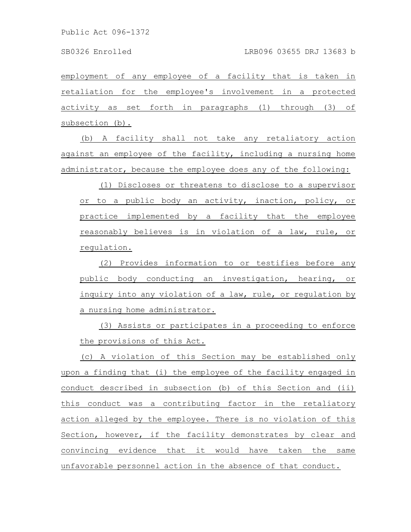employment of any employee of a facility that is taken in retaliation for the employee's involvement in a protected activity as set forth in paragraphs (1) through (3) of subsection (b).

(b) A facility shall not take any retaliatory action against an employee of the facility, including a nursing home administrator, because the employee does any of the following:

(1) Discloses or threatens to disclose to a supervisor or to a public body an activity, inaction, policy, or practice implemented by a facility that the employee reasonably believes is in violation of a law, rule, or regulation.

(2) Provides information to or testifies before any public body conducting an investigation, hearing, or inquiry into any violation of a law, rule, or regulation by a nursing home administrator.

(3) Assists or participates in a proceeding to enforce the provisions of this Act.

(c) A violation of this Section may be established only upon a finding that (i) the employee of the facility engaged in conduct described in subsection (b) of this Section and (ii) this conduct was a contributing factor in the retaliatory action alleged by the employee. There is no violation of this Section, however, if the facility demonstrates by clear and convincing evidence that it would have taken the same unfavorable personnel action in the absence of that conduct.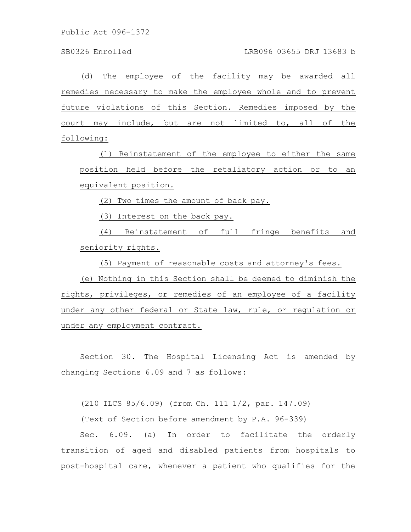(d) The employee of the facility may be awarded all remedies necessary to make the employee whole and to prevent future violations of this Section. Remedies imposed by the court may include, but are not limited to, all of the following:

(1) Reinstatement of the employee to either the same position held before the retaliatory action or to an equivalent position.

(2) Two times the amount of back pay.

(3) Interest on the back pay.

(4) Reinstatement of full fringe benefits and seniority rights.

(5) Payment of reasonable costs and attorney's fees.

(e) Nothing in this Section shall be deemed to diminish the rights, privileges, or remedies of an employee of a facility under any other federal or State law, rule, or regulation or under any employment contract.

Section 30. The Hospital Licensing Act is amended by changing Sections 6.09 and 7 as follows:

(210 ILCS 85/6.09) (from Ch. 111 1/2, par. 147.09)

(Text of Section before amendment by P.A. 96-339)

Sec. 6.09. (a) In order to facilitate the orderly transition of aged and disabled patients from hospitals to post-hospital care, whenever a patient who qualifies for the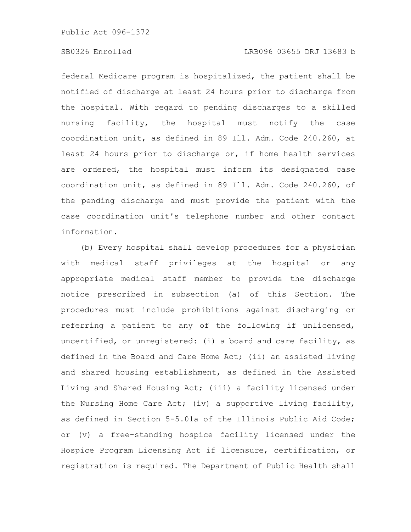federal Medicare program is hospitalized, the patient shall be notified of discharge at least 24 hours prior to discharge from the hospital. With regard to pending discharges to a skilled nursing facility, the hospital must notify the case coordination unit, as defined in 89 Ill. Adm. Code 240.260, at least 24 hours prior to discharge or, if home health services are ordered, the hospital must inform its designated case coordination unit, as defined in 89 Ill. Adm. Code 240.260, of the pending discharge and must provide the patient with the case coordination unit's telephone number and other contact information.

(b) Every hospital shall develop procedures for a physician with medical staff privileges at the hospital or any appropriate medical staff member to provide the discharge notice prescribed in subsection (a) of this Section. The procedures must include prohibitions against discharging or referring a patient to any of the following if unlicensed, uncertified, or unregistered: (i) a board and care facility, as defined in the Board and Care Home Act; (ii) an assisted living and shared housing establishment, as defined in the Assisted Living and Shared Housing Act; (iii) a facility licensed under the Nursing Home Care Act; (iv) a supportive living facility, as defined in Section 5-5.01a of the Illinois Public Aid Code; or (v) a free-standing hospice facility licensed under the Hospice Program Licensing Act if licensure, certification, or registration is required. The Department of Public Health shall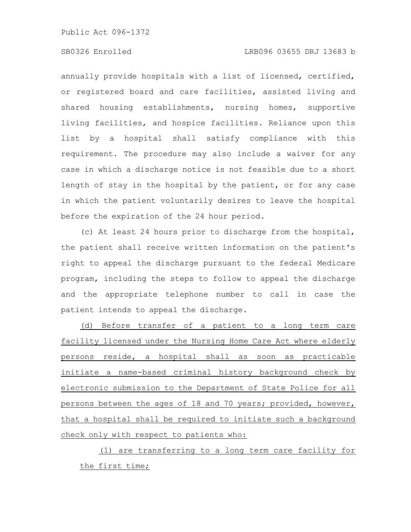# SB0326 Enrolled LRB096 03655 DRJ 13683 b

annually provide hospitals with a list of licensed, certified, or registered board and care facilities, assisted living and shared housing establishments, nursing homes, supportive living facilities, and hospice facilities. Reliance upon this list by a hospital shall satisfy compliance with this requirement. The procedure may also include a waiver for any case in which a discharge notice is not feasible due to a short length of stay in the hospital by the patient, or for any case in which the patient voluntarily desires to leave the hospital before the expiration of the 24 hour period.

(c) At least 24 hours prior to discharge from the hospital, the patient shall receive written information on the patient's right to appeal the discharge pursuant to the federal Medicare program, including the steps to follow to appeal the discharge and the appropriate telephone number to call in case the patient intends to appeal the discharge.

(d) Before transfer of a patient to a long term care facility licensed under the Nursing Home Care Act where elderly persons reside, a hospital shall as soon as practicable initiate a name-based criminal history background check by electronic submission to the Department of State Police for all persons between the ages of 18 and 70 years; provided, however, that a hospital shall be required to initiate such a background check only with respect to patients who:

(1) are transferring to a long term care facility for the first time;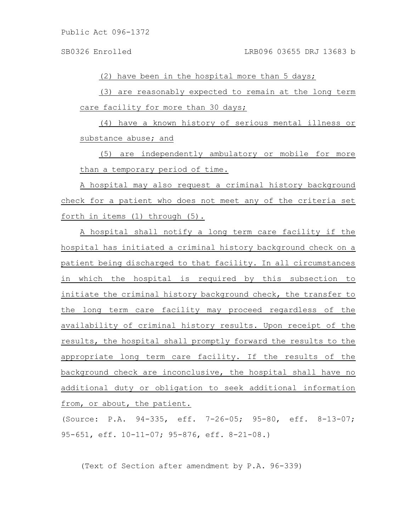(2) have been in the hospital more than 5 days;

(3) are reasonably expected to remain at the long term care facility for more than 30 days;

(4) have a known history of serious mental illness or substance abuse; and

(5) are independently ambulatory or mobile for more than a temporary period of time.

A hospital may also request a criminal history background check for a patient who does not meet any of the criteria set forth in items (1) through (5).

A hospital shall notify a long term care facility if the hospital has initiated a criminal history background check on a patient being discharged to that facility. In all circumstances in which the hospital is required by this subsection to initiate the criminal history background check, the transfer to the long term care facility may proceed regardless of the availability of criminal history results. Upon receipt of the results, the hospital shall promptly forward the results to the appropriate long term care facility. If the results of the background check are inconclusive, the hospital shall have no additional duty or obligation to seek additional information from, or about, the patient.

(Source: P.A. 94-335, eff. 7-26-05; 95-80, eff. 8-13-07; 95-651, eff. 10-11-07; 95-876, eff. 8-21-08.)

(Text of Section after amendment by P.A. 96-339)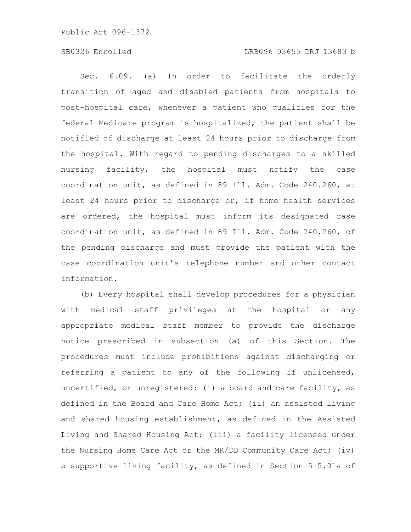# SB0326 Enrolled LRB096 03655 DRJ 13683 b

Sec. 6.09. (a) In order to facilitate the orderly transition of aged and disabled patients from hospitals to post-hospital care, whenever a patient who qualifies for the federal Medicare program is hospitalized, the patient shall be notified of discharge at least 24 hours prior to discharge from the hospital. With regard to pending discharges to a skilled nursing facility, the hospital must notify the case coordination unit, as defined in 89 Ill. Adm. Code 240.260, at least 24 hours prior to discharge or, if home health services are ordered, the hospital must inform its designated case coordination unit, as defined in 89 Ill. Adm. Code 240.260, of the pending discharge and must provide the patient with the case coordination unit's telephone number and other contact information.

(b) Every hospital shall develop procedures for a physician with medical staff privileges at the hospital or any appropriate medical staff member to provide the discharge notice prescribed in subsection (a) of this Section. The procedures must include prohibitions against discharging or referring a patient to any of the following if unlicensed, uncertified, or unregistered: (i) a board and care facility, as defined in the Board and Care Home Act; (ii) an assisted living and shared housing establishment, as defined in the Assisted Living and Shared Housing Act; (iii) a facility licensed under the Nursing Home Care Act or the MR/DD Community Care Act; (iv) a supportive living facility, as defined in Section 5-5.01a of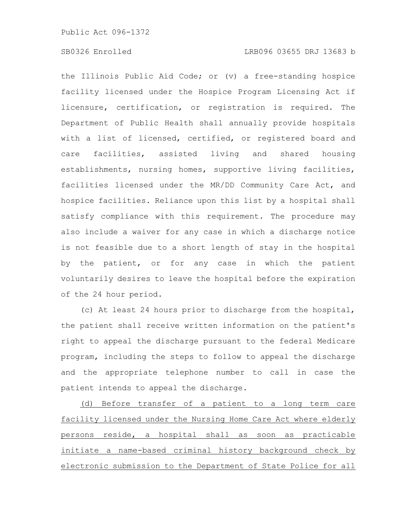the Illinois Public Aid Code; or (v) a free-standing hospice facility licensed under the Hospice Program Licensing Act if licensure, certification, or registration is required. The Department of Public Health shall annually provide hospitals with a list of licensed, certified, or registered board and care facilities, assisted living and shared housing establishments, nursing homes, supportive living facilities, facilities licensed under the MR/DD Community Care Act, and hospice facilities. Reliance upon this list by a hospital shall satisfy compliance with this requirement. The procedure may also include a waiver for any case in which a discharge notice is not feasible due to a short length of stay in the hospital by the patient, or for any case in which the patient voluntarily desires to leave the hospital before the expiration of the 24 hour period.

(c) At least 24 hours prior to discharge from the hospital, the patient shall receive written information on the patient's right to appeal the discharge pursuant to the federal Medicare program, including the steps to follow to appeal the discharge and the appropriate telephone number to call in case the patient intends to appeal the discharge.

(d) Before transfer of a patient to a long term care facility licensed under the Nursing Home Care Act where elderly persons reside, a hospital shall as soon as practicable initiate a name-based criminal history background check by electronic submission to the Department of State Police for all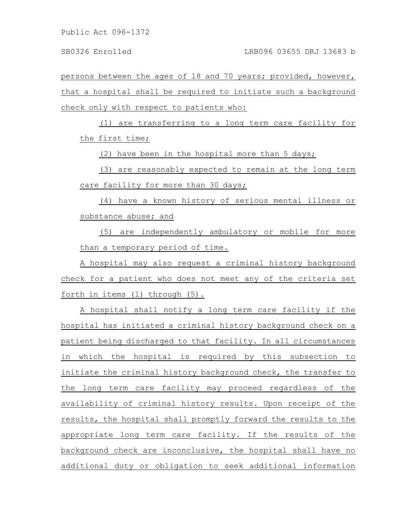persons between the ages of 18 and 70 years; provided, however, that a hospital shall be required to initiate such a background check only with respect to patients who:

(1) are transferring to a long term care facility for the first time;

(2) have been in the hospital more than 5 days;

(3) are reasonably expected to remain at the long term care facility for more than 30 days;

(4) have a known history of serious mental illness or substance abuse; and

(5) are independently ambulatory or mobile for more than a temporary period of time.

A hospital may also request a criminal history background check for a patient who does not meet any of the criteria set forth in items (1) through (5).

A hospital shall notify a long term care facility if the hospital has initiated a criminal history background check on a patient being discharged to that facility. In all circumstances in which the hospital is required by this subsection to initiate the criminal history background check, the transfer to the long term care facility may proceed regardless of the availability of criminal history results. Upon receipt of the results, the hospital shall promptly forward the results to the appropriate long term care facility. If the results of the background check are inconclusive, the hospital shall have no additional duty or obligation to seek additional information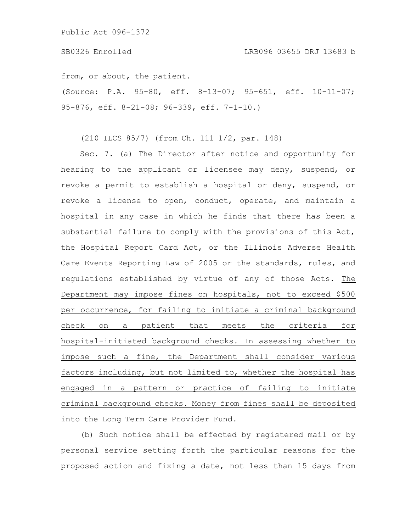#### from, or about, the patient.

(Source: P.A. 95-80, eff. 8-13-07; 95-651, eff. 10-11-07; 95-876, eff. 8-21-08; 96-339, eff. 7-1-10.)

# (210 ILCS 85/7) (from Ch. 111 1/2, par. 148)

Sec. 7. (a) The Director after notice and opportunity for hearing to the applicant or licensee may deny, suspend, or revoke a permit to establish a hospital or deny, suspend, or revoke a license to open, conduct, operate, and maintain a hospital in any case in which he finds that there has been a substantial failure to comply with the provisions of this Act, the Hospital Report Card Act, or the Illinois Adverse Health Care Events Reporting Law of 2005 or the standards, rules, and regulations established by virtue of any of those Acts. The Department may impose fines on hospitals, not to exceed \$500 per occurrence, for failing to initiate a criminal background check on a patient that meets the criteria for hospital-initiated background checks. In assessing whether to impose such a fine, the Department shall consider various factors including, but not limited to, whether the hospital has engaged in a pattern or practice of failing to initiate criminal background checks. Money from fines shall be deposited into the Long Term Care Provider Fund.

(b) Such notice shall be effected by registered mail or by personal service setting forth the particular reasons for the proposed action and fixing a date, not less than 15 days from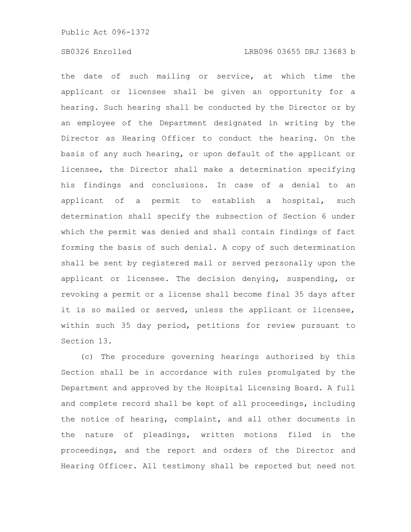the date of such mailing or service, at which time the applicant or licensee shall be given an opportunity for a hearing. Such hearing shall be conducted by the Director or by an employee of the Department designated in writing by the Director as Hearing Officer to conduct the hearing. On the basis of any such hearing, or upon default of the applicant or licensee, the Director shall make a determination specifying his findings and conclusions. In case of a denial to an applicant of a permit to establish a hospital, such determination shall specify the subsection of Section 6 under which the permit was denied and shall contain findings of fact forming the basis of such denial. A copy of such determination shall be sent by registered mail or served personally upon the applicant or licensee. The decision denying, suspending, or revoking a permit or a license shall become final 35 days after it is so mailed or served, unless the applicant or licensee, within such 35 day period, petitions for review pursuant to Section 13.

(c) The procedure governing hearings authorized by this Section shall be in accordance with rules promulgated by the Department and approved by the Hospital Licensing Board. A full and complete record shall be kept of all proceedings, including the notice of hearing, complaint, and all other documents in the nature of pleadings, written motions filed in the proceedings, and the report and orders of the Director and Hearing Officer. All testimony shall be reported but need not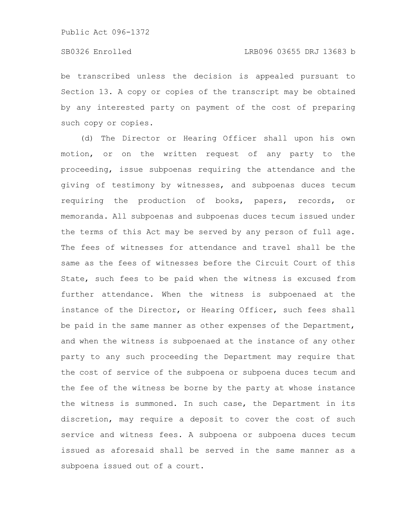be transcribed unless the decision is appealed pursuant to Section 13. A copy or copies of the transcript may be obtained by any interested party on payment of the cost of preparing such copy or copies.

(d) The Director or Hearing Officer shall upon his own motion, or on the written request of any party to the proceeding, issue subpoenas requiring the attendance and the giving of testimony by witnesses, and subpoenas duces tecum requiring the production of books, papers, records, or memoranda. All subpoenas and subpoenas duces tecum issued under the terms of this Act may be served by any person of full age. The fees of witnesses for attendance and travel shall be the same as the fees of witnesses before the Circuit Court of this State, such fees to be paid when the witness is excused from further attendance. When the witness is subpoenaed at the instance of the Director, or Hearing Officer, such fees shall be paid in the same manner as other expenses of the Department, and when the witness is subpoenaed at the instance of any other party to any such proceeding the Department may require that the cost of service of the subpoena or subpoena duces tecum and the fee of the witness be borne by the party at whose instance the witness is summoned. In such case, the Department in its discretion, may require a deposit to cover the cost of such service and witness fees. A subpoena or subpoena duces tecum issued as aforesaid shall be served in the same manner as a subpoena issued out of a court.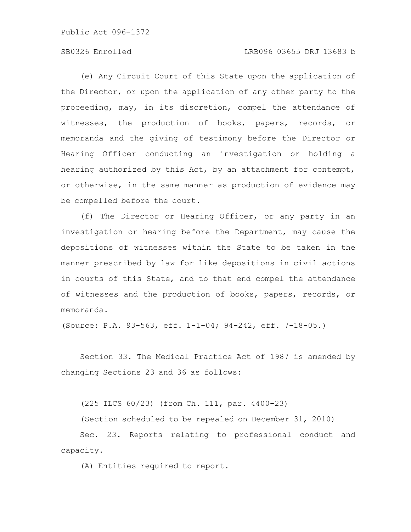# SB0326 Enrolled LRB096 03655 DRJ 13683 b

(e) Any Circuit Court of this State upon the application of the Director, or upon the application of any other party to the proceeding, may, in its discretion, compel the attendance of witnesses, the production of books, papers, records, or memoranda and the giving of testimony before the Director or Hearing Officer conducting an investigation or holding a hearing authorized by this Act, by an attachment for contempt, or otherwise, in the same manner as production of evidence may be compelled before the court.

(f) The Director or Hearing Officer, or any party in an investigation or hearing before the Department, may cause the depositions of witnesses within the State to be taken in the manner prescribed by law for like depositions in civil actions in courts of this State, and to that end compel the attendance of witnesses and the production of books, papers, records, or memoranda.

(Source: P.A. 93-563, eff. 1-1-04; 94-242, eff. 7-18-05.)

Section 33. The Medical Practice Act of 1987 is amended by changing Sections 23 and 36 as follows:

(225 ILCS 60/23) (from Ch. 111, par. 4400-23)

(Section scheduled to be repealed on December 31, 2010)

Sec. 23. Reports relating to professional conduct and capacity.

(A) Entities required to report.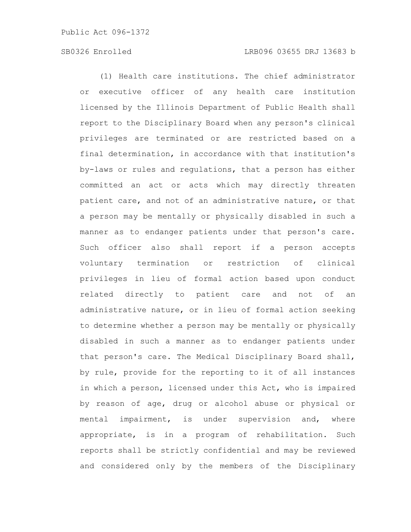(1) Health care institutions. The chief administrator or executive officer of any health care institution licensed by the Illinois Department of Public Health shall report to the Disciplinary Board when any person's clinical privileges are terminated or are restricted based on a final determination, in accordance with that institution's by-laws or rules and regulations, that a person has either committed an act or acts which may directly threaten patient care, and not of an administrative nature, or that a person may be mentally or physically disabled in such a manner as to endanger patients under that person's care. Such officer also shall report if a person accepts voluntary termination or restriction of clinical privileges in lieu of formal action based upon conduct related directly to patient care and not of administrative nature, or in lieu of formal action seeking to determine whether a person may be mentally or physically disabled in such a manner as to endanger patients under that person's care. The Medical Disciplinary Board shall, by rule, provide for the reporting to it of all instances in which a person, licensed under this Act, who is impaired by reason of age, drug or alcohol abuse or physical or mental impairment, is under supervision and, where appropriate, is in a program of rehabilitation. Such reports shall be strictly confidential and may be reviewed and considered only by the members of the Disciplinary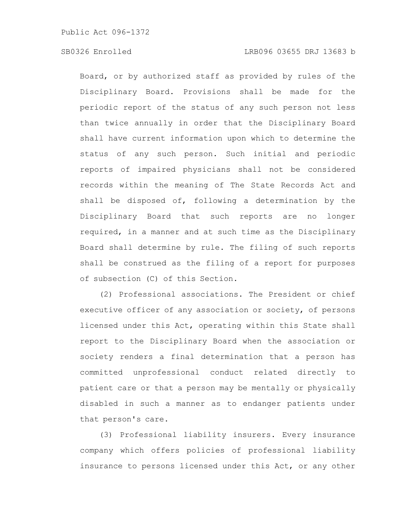Board, or by authorized staff as provided by rules of the Disciplinary Board. Provisions shall be made for the periodic report of the status of any such person not less than twice annually in order that the Disciplinary Board shall have current information upon which to determine the status of any such person. Such initial and periodic reports of impaired physicians shall not be considered records within the meaning of The State Records Act and shall be disposed of, following a determination by the Disciplinary Board that such reports are no longer required, in a manner and at such time as the Disciplinary Board shall determine by rule. The filing of such reports shall be construed as the filing of a report for purposes of subsection (C) of this Section.

(2) Professional associations. The President or chief executive officer of any association or society, of persons licensed under this Act, operating within this State shall report to the Disciplinary Board when the association or society renders a final determination that a person has committed unprofessional conduct related directly to patient care or that a person may be mentally or physically disabled in such a manner as to endanger patients under that person's care.

(3) Professional liability insurers. Every insurance company which offers policies of professional liability insurance to persons licensed under this Act, or any other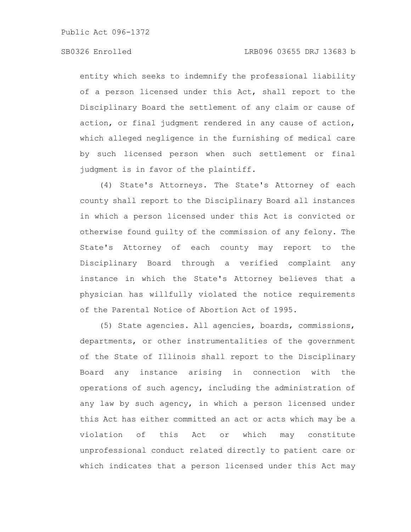entity which seeks to indemnify the professional liability of a person licensed under this Act, shall report to the Disciplinary Board the settlement of any claim or cause of action, or final judgment rendered in any cause of action, which alleged negligence in the furnishing of medical care by such licensed person when such settlement or final judgment is in favor of the plaintiff.

(4) State's Attorneys. The State's Attorney of each county shall report to the Disciplinary Board all instances in which a person licensed under this Act is convicted or otherwise found guilty of the commission of any felony. The State's Attorney of each county may report to the Disciplinary Board through a verified complaint any instance in which the State's Attorney believes that a physician has willfully violated the notice requirements of the Parental Notice of Abortion Act of 1995.

(5) State agencies. All agencies, boards, commissions, departments, or other instrumentalities of the government of the State of Illinois shall report to the Disciplinary Board any instance arising in connection with the operations of such agency, including the administration of any law by such agency, in which a person licensed under this Act has either committed an act or acts which may be a violation of this Act or which may constitute unprofessional conduct related directly to patient care or which indicates that a person licensed under this Act may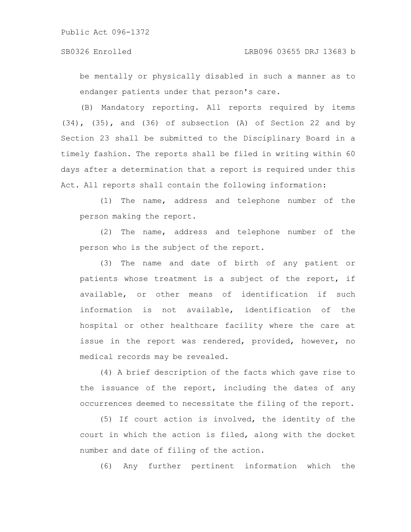be mentally or physically disabled in such a manner as to endanger patients under that person's care.

(B) Mandatory reporting. All reports required by items (34), (35), and (36) of subsection (A) of Section 22 and by Section 23 shall be submitted to the Disciplinary Board in a timely fashion. The reports shall be filed in writing within 60 days after a determination that a report is required under this Act. All reports shall contain the following information:

(1) The name, address and telephone number of the person making the report.

(2) The name, address and telephone number of the person who is the subject of the report.

(3) The name and date of birth of any patient or patients whose treatment is a subject of the report, if available, or other means of identification if such information is not available, identification of the hospital or other healthcare facility where the care at issue in the report was rendered, provided, however, no medical records may be revealed.

(4) A brief description of the facts which gave rise to the issuance of the report, including the dates of any occurrences deemed to necessitate the filing of the report.

(5) If court action is involved, the identity of the court in which the action is filed, along with the docket number and date of filing of the action.

(6) Any further pertinent information which the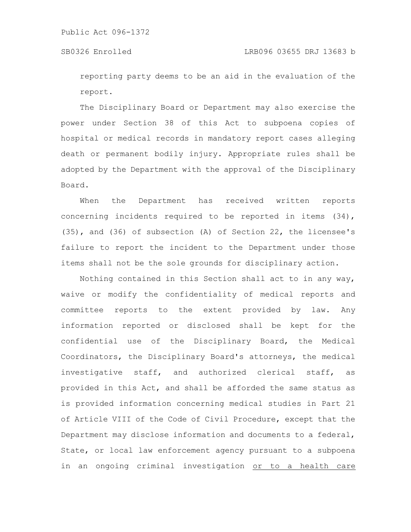reporting party deems to be an aid in the evaluation of the report.

The Disciplinary Board or Department may also exercise the power under Section 38 of this Act to subpoena copies of hospital or medical records in mandatory report cases alleging death or permanent bodily injury. Appropriate rules shall be adopted by the Department with the approval of the Disciplinary Board.

When the Department has received written reports concerning incidents required to be reported in items (34), (35), and (36) of subsection (A) of Section 22, the licensee's failure to report the incident to the Department under those items shall not be the sole grounds for disciplinary action.

Nothing contained in this Section shall act to in any way, waive or modify the confidentiality of medical reports and committee reports to the extent provided by law. Any information reported or disclosed shall be kept for the confidential use of the Disciplinary Board, the Medical Coordinators, the Disciplinary Board's attorneys, the medical investigative staff, and authorized clerical staff, as provided in this Act, and shall be afforded the same status as is provided information concerning medical studies in Part 21 of Article VIII of the Code of Civil Procedure, except that the Department may disclose information and documents to a federal, State, or local law enforcement agency pursuant to a subpoena in an ongoing criminal investigation or to a health care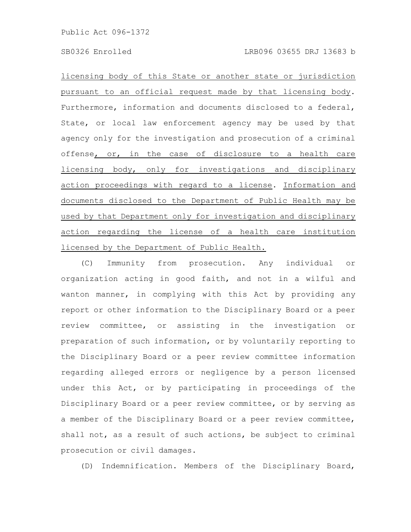licensing body of this State or another state or jurisdiction pursuant to an official request made by that licensing body. Furthermore, information and documents disclosed to a federal, State, or local law enforcement agency may be used by that agency only for the investigation and prosecution of a criminal offense, or, in the case of disclosure to a health care licensing body, only for investigations and disciplinary action proceedings with regard to a license. Information and documents disclosed to the Department of Public Health may be used by that Department only for investigation and disciplinary action regarding the license of a health care institution licensed by the Department of Public Health.

(C) Immunity from prosecution. Any individual or organization acting in good faith, and not in a wilful and wanton manner, in complying with this Act by providing any report or other information to the Disciplinary Board or a peer review committee, or assisting in the investigation or preparation of such information, or by voluntarily reporting to the Disciplinary Board or a peer review committee information regarding alleged errors or negligence by a person licensed under this Act, or by participating in proceedings of the Disciplinary Board or a peer review committee, or by serving as a member of the Disciplinary Board or a peer review committee, shall not, as a result of such actions, be subject to criminal prosecution or civil damages.

(D) Indemnification. Members of the Disciplinary Board,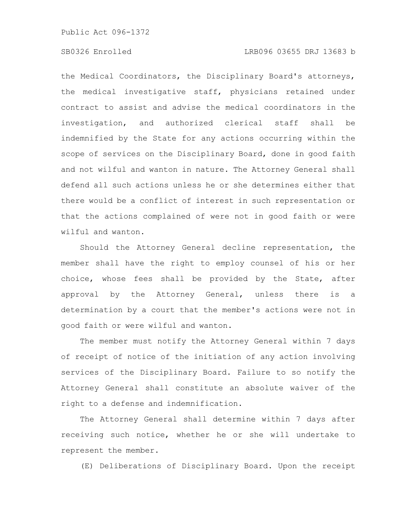the Medical Coordinators, the Disciplinary Board's attorneys, the medical investigative staff, physicians retained under contract to assist and advise the medical coordinators in the investigation, and authorized clerical staff shall be indemnified by the State for any actions occurring within the scope of services on the Disciplinary Board, done in good faith and not wilful and wanton in nature. The Attorney General shall defend all such actions unless he or she determines either that there would be a conflict of interest in such representation or that the actions complained of were not in good faith or were wilful and wanton.

Should the Attorney General decline representation, the member shall have the right to employ counsel of his or her choice, whose fees shall be provided by the State, after approval by the Attorney General, unless there is a determination by a court that the member's actions were not in good faith or were wilful and wanton.

The member must notify the Attorney General within 7 days of receipt of notice of the initiation of any action involving services of the Disciplinary Board. Failure to so notify the Attorney General shall constitute an absolute waiver of the right to a defense and indemnification.

The Attorney General shall determine within 7 days after receiving such notice, whether he or she will undertake to represent the member.

(E) Deliberations of Disciplinary Board. Upon the receipt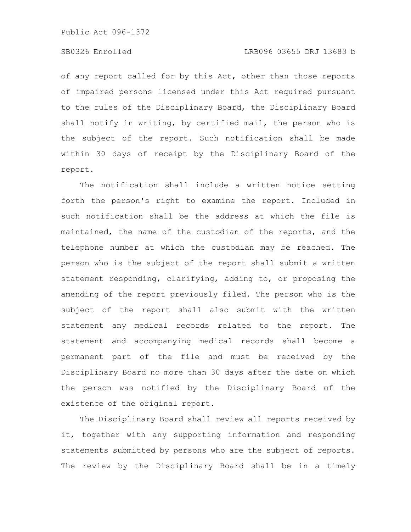of any report called for by this Act, other than those reports of impaired persons licensed under this Act required pursuant to the rules of the Disciplinary Board, the Disciplinary Board shall notify in writing, by certified mail, the person who is the subject of the report. Such notification shall be made within 30 days of receipt by the Disciplinary Board of the report.

The notification shall include a written notice setting forth the person's right to examine the report. Included in such notification shall be the address at which the file is maintained, the name of the custodian of the reports, and the telephone number at which the custodian may be reached. The person who is the subject of the report shall submit a written statement responding, clarifying, adding to, or proposing the amending of the report previously filed. The person who is the subject of the report shall also submit with the written statement any medical records related to the report. The statement and accompanying medical records shall become a permanent part of the file and must be received by the Disciplinary Board no more than 30 days after the date on which the person was notified by the Disciplinary Board of the existence of the original report.

The Disciplinary Board shall review all reports received by it, together with any supporting information and responding statements submitted by persons who are the subject of reports. The review by the Disciplinary Board shall be in a timely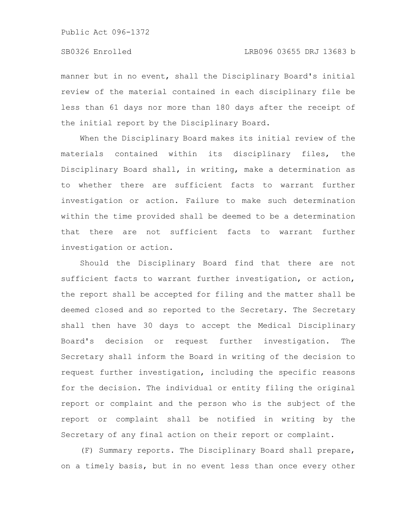manner but in no event, shall the Disciplinary Board's initial review of the material contained in each disciplinary file be less than 61 days nor more than 180 days after the receipt of the initial report by the Disciplinary Board.

When the Disciplinary Board makes its initial review of the materials contained within its disciplinary files, the Disciplinary Board shall, in writing, make a determination as to whether there are sufficient facts to warrant further investigation or action. Failure to make such determination within the time provided shall be deemed to be a determination that there are not sufficient facts to warrant further investigation or action.

Should the Disciplinary Board find that there are not sufficient facts to warrant further investigation, or action, the report shall be accepted for filing and the matter shall be deemed closed and so reported to the Secretary. The Secretary shall then have 30 days to accept the Medical Disciplinary Board's decision or request further investigation. The Secretary shall inform the Board in writing of the decision to request further investigation, including the specific reasons for the decision. The individual or entity filing the original report or complaint and the person who is the subject of the report or complaint shall be notified in writing by the Secretary of any final action on their report or complaint.

(F) Summary reports. The Disciplinary Board shall prepare, on a timely basis, but in no event less than once every other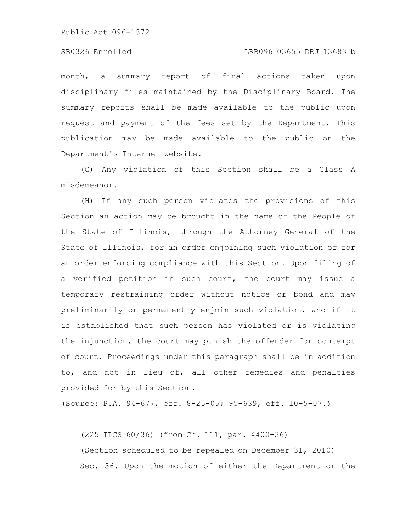## SB0326 Enrolled LRB096 03655 DRJ 13683 b

month, a summary report of final actions taken upon disciplinary files maintained by the Disciplinary Board. The summary reports shall be made available to the public upon request and payment of the fees set by the Department. This publication may be made available to the public on the Department's Internet website.

(G) Any violation of this Section shall be a Class A misdemeanor.

(H) If any such person violates the provisions of this Section an action may be brought in the name of the People of the State of Illinois, through the Attorney General of the State of Illinois, for an order enjoining such violation or for an order enforcing compliance with this Section. Upon filing of a verified petition in such court, the court may issue a temporary restraining order without notice or bond and may preliminarily or permanently enjoin such violation, and if it is established that such person has violated or is violating the injunction, the court may punish the offender for contempt of court. Proceedings under this paragraph shall be in addition to, and not in lieu of, all other remedies and penalties provided for by this Section.

(Source: P.A. 94-677, eff. 8-25-05; 95-639, eff. 10-5-07.)

(225 ILCS 60/36) (from Ch. 111, par. 4400-36) (Section scheduled to be repealed on December 31, 2010) Sec. 36. Upon the motion of either the Department or the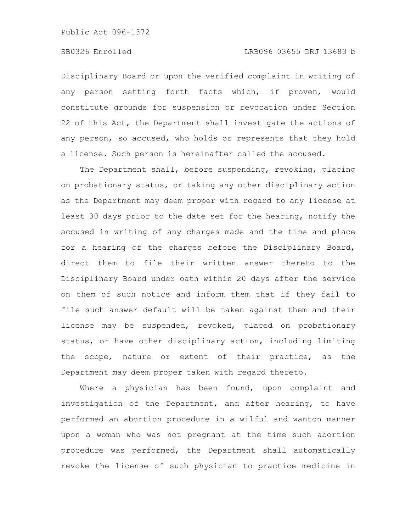Disciplinary Board or upon the verified complaint in writing of any person setting forth facts which, if proven, would constitute grounds for suspension or revocation under Section 22 of this Act, the Department shall investigate the actions of any person, so accused, who holds or represents that they hold a license. Such person is hereinafter called the accused.

The Department shall, before suspending, revoking, placing on probationary status, or taking any other disciplinary action as the Department may deem proper with regard to any license at least 30 days prior to the date set for the hearing, notify the accused in writing of any charges made and the time and place for a hearing of the charges before the Disciplinary Board, direct them to file their written answer thereto to the Disciplinary Board under oath within 20 days after the service on them of such notice and inform them that if they fail to file such answer default will be taken against them and their license may be suspended, revoked, placed on probationary status, or have other disciplinary action, including limiting the scope, nature or extent of their practice, as the Department may deem proper taken with regard thereto.

Where a physician has been found, upon complaint and investigation of the Department, and after hearing, to have performed an abortion procedure in a wilful and wanton manner upon a woman who was not pregnant at the time such abortion procedure was performed, the Department shall automatically revoke the license of such physician to practice medicine in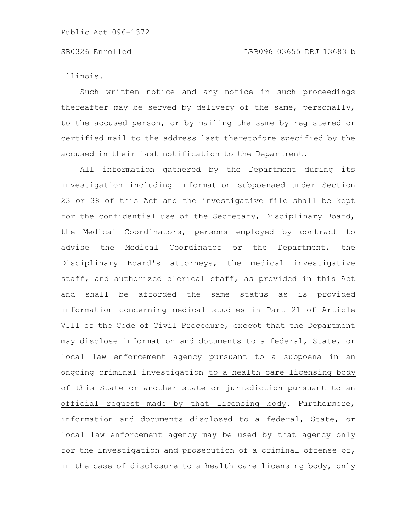Illinois.

Such written notice and any notice in such proceedings thereafter may be served by delivery of the same, personally, to the accused person, or by mailing the same by registered or certified mail to the address last theretofore specified by the accused in their last notification to the Department.

All information gathered by the Department during its investigation including information subpoenaed under Section 23 or 38 of this Act and the investigative file shall be kept for the confidential use of the Secretary, Disciplinary Board, the Medical Coordinators, persons employed by contract to advise the Medical Coordinator or the Department, the Disciplinary Board's attorneys, the medical investigative staff, and authorized clerical staff, as provided in this Act and shall be afforded the same status as is provided information concerning medical studies in Part 21 of Article VIII of the Code of Civil Procedure, except that the Department may disclose information and documents to a federal, State, or local law enforcement agency pursuant to a subpoena in an ongoing criminal investigation to a health care licensing body of this State or another state or jurisdiction pursuant to an official request made by that licensing body. Furthermore, information and documents disclosed to a federal, State, or local law enforcement agency may be used by that agency only for the investigation and prosecution of a criminal offense or, in the case of disclosure to a health care licensing body, only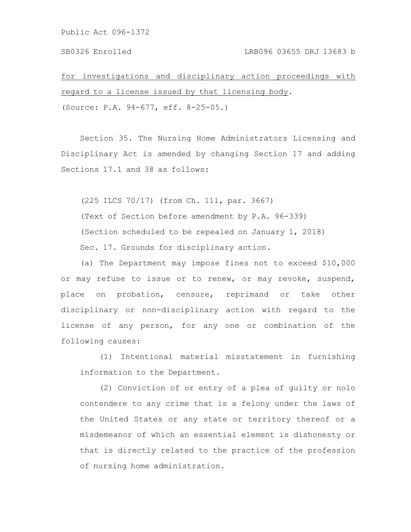# SB0326 Enrolled LRB096 03655 DRJ 13683 b

for investigations and disciplinary action proceedings with regard to a license issued by that licensing body.

(Source: P.A. 94-677, eff. 8-25-05.)

Section 35. The Nursing Home Administrators Licensing and Disciplinary Act is amended by changing Section 17 and adding Sections 17.1 and 38 as follows:

(225 ILCS 70/17) (from Ch. 111, par. 3667) (Text of Section before amendment by P.A. 96-339) (Section scheduled to be repealed on January 1, 2018) Sec. 17. Grounds for disciplinary action.

(a) The Department may impose fines not to exceed \$10,000 or may refuse to issue or to renew, or may revoke, suspend, place on probation, censure, reprimand or take other disciplinary or non-disciplinary action with regard to the license of any person, for any one or combination of the following causes:

(1) Intentional material misstatement in furnishing information to the Department.

(2) Conviction of or entry of a plea of guilty or nolo contendere to any crime that is a felony under the laws of the United States or any state or territory thereof or a misdemeanor of which an essential element is dishonesty or that is directly related to the practice of the profession of nursing home administration.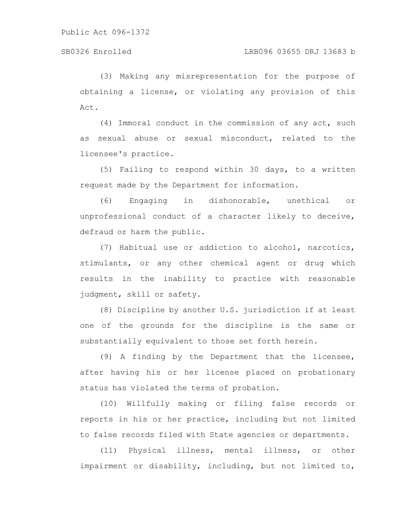(3) Making any misrepresentation for the purpose of obtaining a license, or violating any provision of this Act.

(4) Immoral conduct in the commission of any act, such as sexual abuse or sexual misconduct, related to the licensee's practice.

(5) Failing to respond within 30 days, to a written request made by the Department for information.

(6) Engaging in dishonorable, unethical or unprofessional conduct of a character likely to deceive, defraud or harm the public.

(7) Habitual use or addiction to alcohol, narcotics, stimulants, or any other chemical agent or drug which results in the inability to practice with reasonable judgment, skill or safety.

(8) Discipline by another U.S. jurisdiction if at least one of the grounds for the discipline is the same or substantially equivalent to those set forth herein.

(9) A finding by the Department that the licensee, after having his or her license placed on probationary status has violated the terms of probation.

(10) Willfully making or filing false records or reports in his or her practice, including but not limited to false records filed with State agencies or departments.

(11) Physical illness, mental illness, or other impairment or disability, including, but not limited to,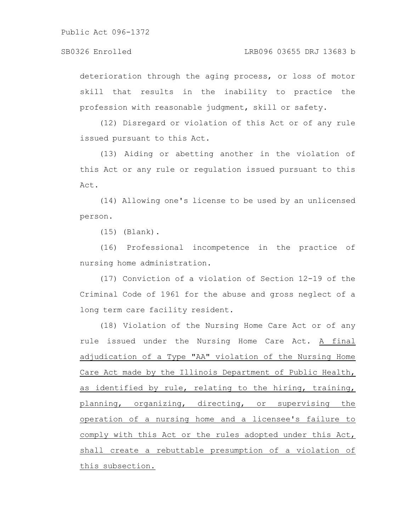deterioration through the aging process, or loss of motor skill that results in the inability to practice the profession with reasonable judgment, skill or safety.

(12) Disregard or violation of this Act or of any rule issued pursuant to this Act.

(13) Aiding or abetting another in the violation of this Act or any rule or regulation issued pursuant to this Act.

(14) Allowing one's license to be used by an unlicensed person.

(15) (Blank).

(16) Professional incompetence in the practice of nursing home administration.

(17) Conviction of a violation of Section 12-19 of the Criminal Code of 1961 for the abuse and gross neglect of a long term care facility resident.

(18) Violation of the Nursing Home Care Act or of any rule issued under the Nursing Home Care Act. A final adjudication of a Type "AA" violation of the Nursing Home Care Act made by the Illinois Department of Public Health, as identified by rule, relating to the hiring, training, planning, organizing, directing, or supervising the operation of a nursing home and a licensee's failure to comply with this Act or the rules adopted under this Act, shall create a rebuttable presumption of a violation of this subsection.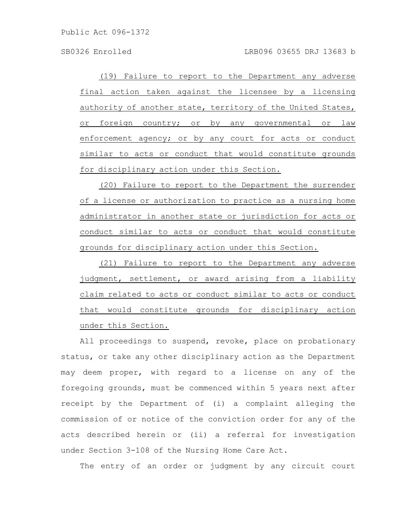(19) Failure to report to the Department any adverse final action taken against the licensee by a licensing authority of another state, territory of the United States, or foreign country; or by any governmental or law enforcement agency; or by any court for acts or conduct similar to acts or conduct that would constitute grounds for disciplinary action under this Section.

(20) Failure to report to the Department the surrender of a license or authorization to practice as a nursing home administrator in another state or jurisdiction for acts or conduct similar to acts or conduct that would constitute grounds for disciplinary action under this Section.

(21) Failure to report to the Department any adverse judgment, settlement, or award arising from a liability claim related to acts or conduct similar to acts or conduct that would constitute grounds for disciplinary action under this Section.

All proceedings to suspend, revoke, place on probationary status, or take any other disciplinary action as the Department may deem proper, with regard to a license on any of the foregoing grounds, must be commenced within 5 years next after receipt by the Department of (i) a complaint alleging the commission of or notice of the conviction order for any of the acts described herein or (ii) a referral for investigation under Section 3-108 of the Nursing Home Care Act.

The entry of an order or judgment by any circuit court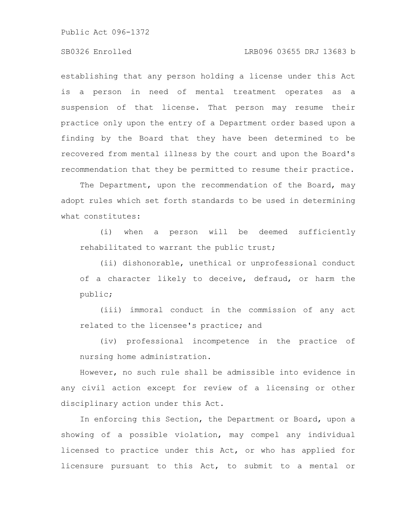# SB0326 Enrolled LRB096 03655 DRJ 13683 b

establishing that any person holding a license under this Act is a person in need of mental treatment operates as a suspension of that license. That person may resume their practice only upon the entry of a Department order based upon a finding by the Board that they have been determined to be recovered from mental illness by the court and upon the Board's recommendation that they be permitted to resume their practice.

The Department, upon the recommendation of the Board, may adopt rules which set forth standards to be used in determining what constitutes:

(i) when a person will be deemed sufficiently rehabilitated to warrant the public trust;

(ii) dishonorable, unethical or unprofessional conduct of a character likely to deceive, defraud, or harm the public;

(iii) immoral conduct in the commission of any act related to the licensee's practice; and

(iv) professional incompetence in the practice of nursing home administration.

However, no such rule shall be admissible into evidence in any civil action except for review of a licensing or other disciplinary action under this Act.

In enforcing this Section, the Department or Board, upon a showing of a possible violation, may compel any individual licensed to practice under this Act, or who has applied for licensure pursuant to this Act, to submit to a mental or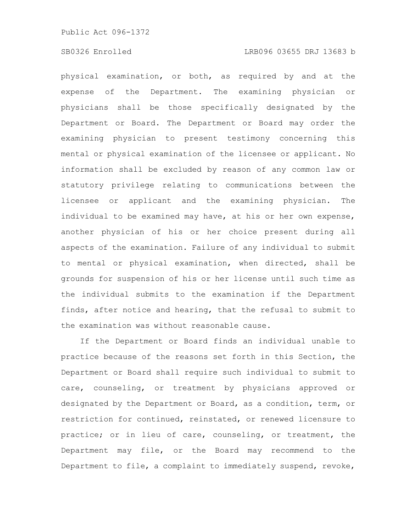physical examination, or both, as required by and at the expense of the Department. The examining physician or physicians shall be those specifically designated by the Department or Board. The Department or Board may order the examining physician to present testimony concerning this mental or physical examination of the licensee or applicant. No information shall be excluded by reason of any common law or statutory privilege relating to communications between the licensee or applicant and the examining physician. The individual to be examined may have, at his or her own expense, another physician of his or her choice present during all aspects of the examination. Failure of any individual to submit to mental or physical examination, when directed, shall be grounds for suspension of his or her license until such time as the individual submits to the examination if the Department finds, after notice and hearing, that the refusal to submit to the examination was without reasonable cause.

If the Department or Board finds an individual unable to practice because of the reasons set forth in this Section, the Department or Board shall require such individual to submit to care, counseling, or treatment by physicians approved or designated by the Department or Board, as a condition, term, or restriction for continued, reinstated, or renewed licensure to practice; or in lieu of care, counseling, or treatment, the Department may file, or the Board may recommend to the Department to file, a complaint to immediately suspend, revoke,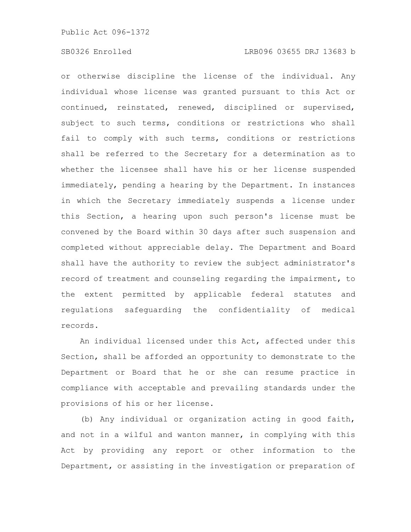or otherwise discipline the license of the individual. Any individual whose license was granted pursuant to this Act or continued, reinstated, renewed, disciplined or supervised, subject to such terms, conditions or restrictions who shall fail to comply with such terms, conditions or restrictions shall be referred to the Secretary for a determination as to whether the licensee shall have his or her license suspended immediately, pending a hearing by the Department. In instances in which the Secretary immediately suspends a license under this Section, a hearing upon such person's license must be convened by the Board within 30 days after such suspension and completed without appreciable delay. The Department and Board shall have the authority to review the subject administrator's record of treatment and counseling regarding the impairment, to the extent permitted by applicable federal statutes and regulations safeguarding the confidentiality of medical records.

An individual licensed under this Act, affected under this Section, shall be afforded an opportunity to demonstrate to the Department or Board that he or she can resume practice in compliance with acceptable and prevailing standards under the provisions of his or her license.

(b) Any individual or organization acting in good faith, and not in a wilful and wanton manner, in complying with this Act by providing any report or other information to the Department, or assisting in the investigation or preparation of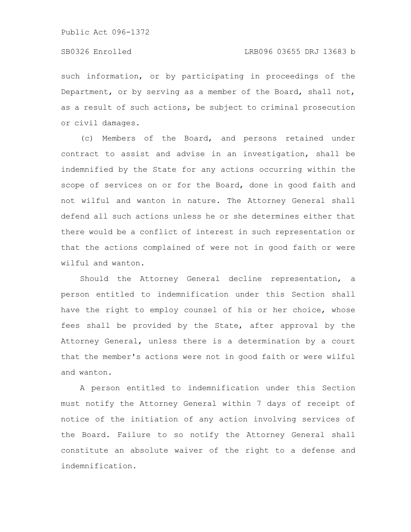such information, or by participating in proceedings of the Department, or by serving as a member of the Board, shall not, as a result of such actions, be subject to criminal prosecution or civil damages.

(c) Members of the Board, and persons retained under contract to assist and advise in an investigation, shall be indemnified by the State for any actions occurring within the scope of services on or for the Board, done in good faith and not wilful and wanton in nature. The Attorney General shall defend all such actions unless he or she determines either that there would be a conflict of interest in such representation or that the actions complained of were not in good faith or were wilful and wanton.

Should the Attorney General decline representation, a person entitled to indemnification under this Section shall have the right to employ counsel of his or her choice, whose fees shall be provided by the State, after approval by the Attorney General, unless there is a determination by a court that the member's actions were not in good faith or were wilful and wanton.

A person entitled to indemnification under this Section must notify the Attorney General within 7 days of receipt of notice of the initiation of any action involving services of the Board. Failure to so notify the Attorney General shall constitute an absolute waiver of the right to a defense and indemnification.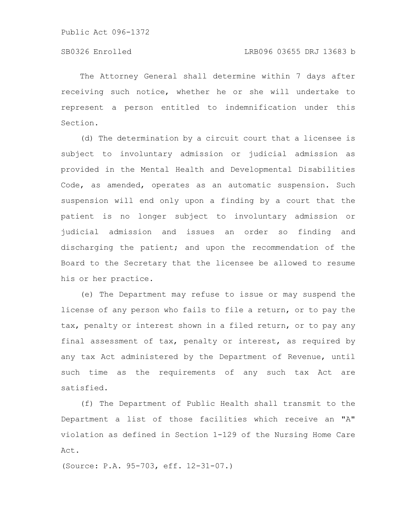The Attorney General shall determine within 7 days after receiving such notice, whether he or she will undertake to represent a person entitled to indemnification under this Section.

(d) The determination by a circuit court that a licensee is subject to involuntary admission or judicial admission as provided in the Mental Health and Developmental Disabilities Code, as amended, operates as an automatic suspension. Such suspension will end only upon a finding by a court that the patient is no longer subject to involuntary admission or judicial admission and issues an order so finding and discharging the patient; and upon the recommendation of the Board to the Secretary that the licensee be allowed to resume his or her practice.

(e) The Department may refuse to issue or may suspend the license of any person who fails to file a return, or to pay the tax, penalty or interest shown in a filed return, or to pay any final assessment of tax, penalty or interest, as required by any tax Act administered by the Department of Revenue, until such time as the requirements of any such tax Act are satisfied.

(f) The Department of Public Health shall transmit to the Department a list of those facilities which receive an "A" violation as defined in Section 1-129 of the Nursing Home Care Act.

(Source: P.A. 95-703, eff. 12-31-07.)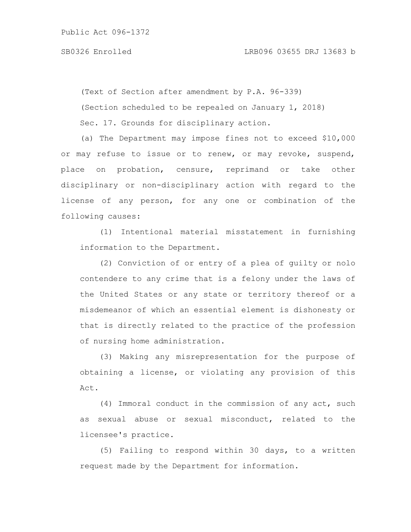(Text of Section after amendment by P.A. 96-339) (Section scheduled to be repealed on January 1, 2018) Sec. 17. Grounds for disciplinary action.

(a) The Department may impose fines not to exceed \$10,000 or may refuse to issue or to renew, or may revoke, suspend, place on probation, censure, reprimand or take other disciplinary or non-disciplinary action with regard to the license of any person, for any one or combination of the following causes:

(1) Intentional material misstatement in furnishing information to the Department.

(2) Conviction of or entry of a plea of guilty or nolo contendere to any crime that is a felony under the laws of the United States or any state or territory thereof or a misdemeanor of which an essential element is dishonesty or that is directly related to the practice of the profession of nursing home administration.

(3) Making any misrepresentation for the purpose of obtaining a license, or violating any provision of this Act.

(4) Immoral conduct in the commission of any act, such as sexual abuse or sexual misconduct, related to the licensee's practice.

(5) Failing to respond within 30 days, to a written request made by the Department for information.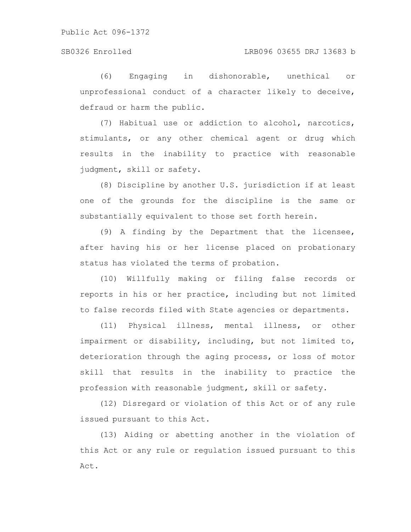(6) Engaging in dishonorable, unethical or unprofessional conduct of a character likely to deceive, defraud or harm the public.

(7) Habitual use or addiction to alcohol, narcotics, stimulants, or any other chemical agent or drug which results in the inability to practice with reasonable judgment, skill or safety.

(8) Discipline by another U.S. jurisdiction if at least one of the grounds for the discipline is the same or substantially equivalent to those set forth herein.

(9) A finding by the Department that the licensee, after having his or her license placed on probationary status has violated the terms of probation.

(10) Willfully making or filing false records or reports in his or her practice, including but not limited to false records filed with State agencies or departments.

(11) Physical illness, mental illness, or other impairment or disability, including, but not limited to, deterioration through the aging process, or loss of motor skill that results in the inability to practice the profession with reasonable judgment, skill or safety.

(12) Disregard or violation of this Act or of any rule issued pursuant to this Act.

(13) Aiding or abetting another in the violation of this Act or any rule or regulation issued pursuant to this Act.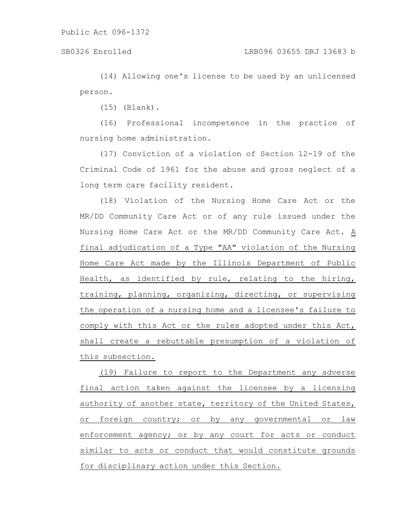(14) Allowing one's license to be used by an unlicensed person.

(15) (Blank).

(16) Professional incompetence in the practice of nursing home administration.

(17) Conviction of a violation of Section 12-19 of the Criminal Code of 1961 for the abuse and gross neglect of a long term care facility resident.

(18) Violation of the Nursing Home Care Act or the MR/DD Community Care Act or of any rule issued under the Nursing Home Care Act or the MR/DD Community Care Act. A final adjudication of a Type "AA" violation of the Nursing Home Care Act made by the Illinois Department of Public Health, as identified by rule, relating to the hiring, training, planning, organizing, directing, or supervising the operation of a nursing home and a licensee's failure to comply with this Act or the rules adopted under this Act, shall create a rebuttable presumption of a violation of this subsection.

(19) Failure to report to the Department any adverse final action taken against the licensee by a licensing authority of another state, territory of the United States, or foreign country; or by any governmental or law enforcement agency; or by any court for acts or conduct similar to acts or conduct that would constitute grounds for disciplinary action under this Section.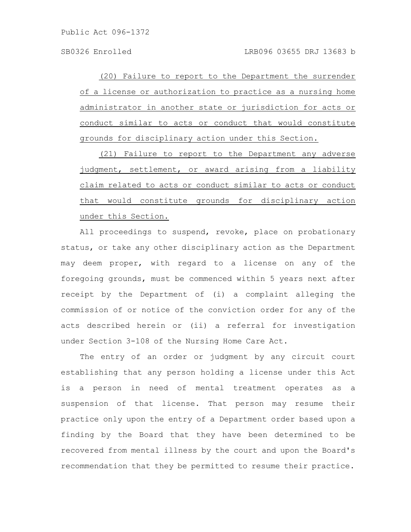(20) Failure to report to the Department the surrender of a license or authorization to practice as a nursing home administrator in another state or jurisdiction for acts or conduct similar to acts or conduct that would constitute grounds for disciplinary action under this Section.

(21) Failure to report to the Department any adverse judgment, settlement, or award arising from a liability claim related to acts or conduct similar to acts or conduct that would constitute grounds for disciplinary action under this Section.

All proceedings to suspend, revoke, place on probationary status, or take any other disciplinary action as the Department may deem proper, with regard to a license on any of the foregoing grounds, must be commenced within 5 years next after receipt by the Department of (i) a complaint alleging the commission of or notice of the conviction order for any of the acts described herein or (ii) a referral for investigation under Section 3-108 of the Nursing Home Care Act.

The entry of an order or judgment by any circuit court establishing that any person holding a license under this Act is a person in need of mental treatment operates as a suspension of that license. That person may resume their practice only upon the entry of a Department order based upon a finding by the Board that they have been determined to be recovered from mental illness by the court and upon the Board's recommendation that they be permitted to resume their practice.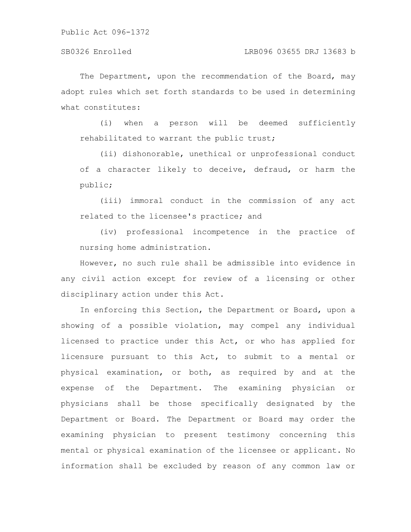### SB0326 Enrolled LRB096 03655 DRJ 13683 b

The Department, upon the recommendation of the Board, may adopt rules which set forth standards to be used in determining what constitutes:

(i) when a person will be deemed sufficiently rehabilitated to warrant the public trust;

(ii) dishonorable, unethical or unprofessional conduct of a character likely to deceive, defraud, or harm the public;

(iii) immoral conduct in the commission of any act related to the licensee's practice; and

(iv) professional incompetence in the practice of nursing home administration.

However, no such rule shall be admissible into evidence in any civil action except for review of a licensing or other disciplinary action under this Act.

In enforcing this Section, the Department or Board, upon a showing of a possible violation, may compel any individual licensed to practice under this Act, or who has applied for licensure pursuant to this Act, to submit to a mental or physical examination, or both, as required by and at the expense of the Department. The examining physician or physicians shall be those specifically designated by the Department or Board. The Department or Board may order the examining physician to present testimony concerning this mental or physical examination of the licensee or applicant. No information shall be excluded by reason of any common law or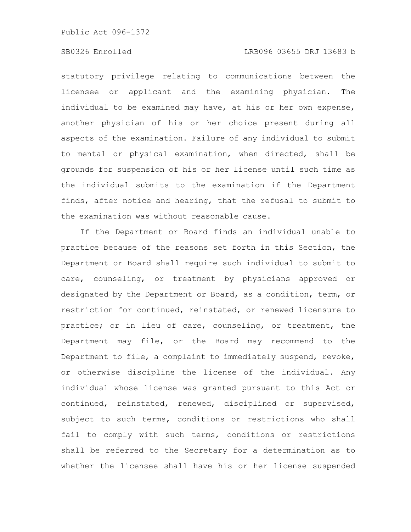## SB0326 Enrolled LRB096 03655 DRJ 13683 b

statutory privilege relating to communications between the licensee or applicant and the examining physician. The individual to be examined may have, at his or her own expense, another physician of his or her choice present during all aspects of the examination. Failure of any individual to submit to mental or physical examination, when directed, shall be grounds for suspension of his or her license until such time as the individual submits to the examination if the Department finds, after notice and hearing, that the refusal to submit to the examination was without reasonable cause.

If the Department or Board finds an individual unable to practice because of the reasons set forth in this Section, the Department or Board shall require such individual to submit to care, counseling, or treatment by physicians approved or designated by the Department or Board, as a condition, term, or restriction for continued, reinstated, or renewed licensure to practice; or in lieu of care, counseling, or treatment, the Department may file, or the Board may recommend to the Department to file, a complaint to immediately suspend, revoke, or otherwise discipline the license of the individual. Any individual whose license was granted pursuant to this Act or continued, reinstated, renewed, disciplined or supervised, subject to such terms, conditions or restrictions who shall fail to comply with such terms, conditions or restrictions shall be referred to the Secretary for a determination as to whether the licensee shall have his or her license suspended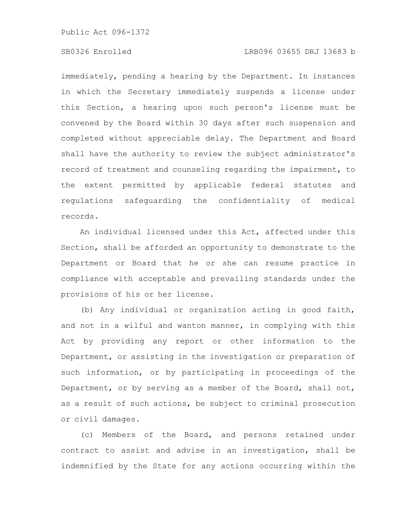# SB0326 Enrolled LRB096 03655 DRJ 13683 b

immediately, pending a hearing by the Department. In instances in which the Secretary immediately suspends a license under this Section, a hearing upon such person's license must be convened by the Board within 30 days after such suspension and completed without appreciable delay. The Department and Board shall have the authority to review the subject administrator's record of treatment and counseling regarding the impairment, to the extent permitted by applicable federal statutes and regulations safeguarding the confidentiality of medical records.

An individual licensed under this Act, affected under this Section, shall be afforded an opportunity to demonstrate to the Department or Board that he or she can resume practice in compliance with acceptable and prevailing standards under the provisions of his or her license.

(b) Any individual or organization acting in good faith, and not in a wilful and wanton manner, in complying with this Act by providing any report or other information to the Department, or assisting in the investigation or preparation of such information, or by participating in proceedings of the Department, or by serving as a member of the Board, shall not, as a result of such actions, be subject to criminal prosecution or civil damages.

(c) Members of the Board, and persons retained under contract to assist and advise in an investigation, shall be indemnified by the State for any actions occurring within the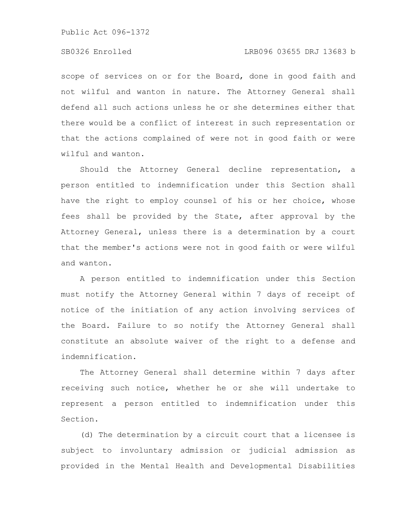## SB0326 Enrolled LRB096 03655 DRJ 13683 b

scope of services on or for the Board, done in good faith and not wilful and wanton in nature. The Attorney General shall defend all such actions unless he or she determines either that there would be a conflict of interest in such representation or that the actions complained of were not in good faith or were wilful and wanton.

Should the Attorney General decline representation, a person entitled to indemnification under this Section shall have the right to employ counsel of his or her choice, whose fees shall be provided by the State, after approval by the Attorney General, unless there is a determination by a court that the member's actions were not in good faith or were wilful and wanton.

A person entitled to indemnification under this Section must notify the Attorney General within 7 days of receipt of notice of the initiation of any action involving services of the Board. Failure to so notify the Attorney General shall constitute an absolute waiver of the right to a defense and indemnification.

The Attorney General shall determine within 7 days after receiving such notice, whether he or she will undertake to represent a person entitled to indemnification under this Section.

(d) The determination by a circuit court that a licensee is subject to involuntary admission or judicial admission as provided in the Mental Health and Developmental Disabilities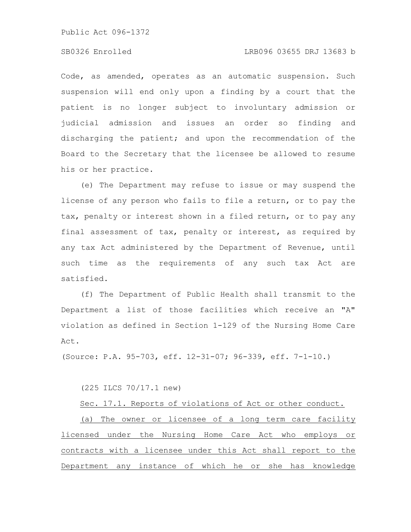# SB0326 Enrolled LRB096 03655 DRJ 13683 b

Code, as amended, operates as an automatic suspension. Such suspension will end only upon a finding by a court that the patient is no longer subject to involuntary admission or judicial admission and issues an order so finding and discharging the patient; and upon the recommendation of the Board to the Secretary that the licensee be allowed to resume his or her practice.

(e) The Department may refuse to issue or may suspend the license of any person who fails to file a return, or to pay the tax, penalty or interest shown in a filed return, or to pay any final assessment of tax, penalty or interest, as required by any tax Act administered by the Department of Revenue, until such time as the requirements of any such tax Act are satisfied.

(f) The Department of Public Health shall transmit to the Department a list of those facilities which receive an "A" violation as defined in Section 1-129 of the Nursing Home Care Act.

(Source: P.A. 95-703, eff. 12-31-07; 96-339, eff. 7-1-10.)

(225 ILCS 70/17.1 new)

Sec. 17.1. Reports of violations of Act or other conduct. (a) The owner or licensee of a long term care facility

licensed under the Nursing Home Care Act who employs or contracts with a licensee under this Act shall report to the Department any instance of which he or she has knowledge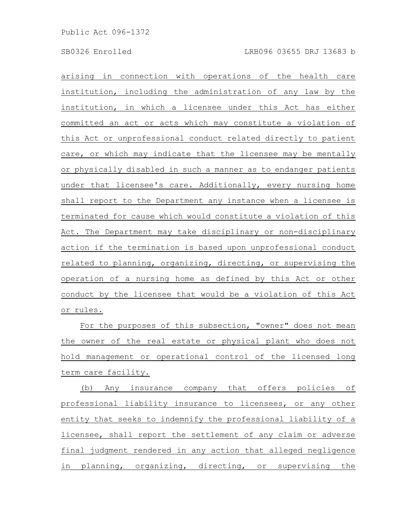arising in connection with operations of the health care institution, including the administration of any law by the institution, in which a licensee under this Act has either committed an act or acts which may constitute a violation of this Act or unprofessional conduct related directly to patient care, or which may indicate that the licensee may be mentally or physically disabled in such a manner as to endanger patients under that licensee's care. Additionally, every nursing home shall report to the Department any instance when a licensee is terminated for cause which would constitute a violation of this Act. The Department may take disciplinary or non-disciplinary action if the termination is based upon unprofessional conduct related to planning, organizing, directing, or supervising the operation of a nursing home as defined by this Act or other conduct by the licensee that would be a violation of this Act or rules.

For the purposes of this subsection, "owner" does not mean the owner of the real estate or physical plant who does not hold management or operational control of the licensed long term care facility.

(b) Any insurance company that offers policies of professional liability insurance to licensees, or any other entity that seeks to indemnify the professional liability of a licensee, shall report the settlement of any claim or adverse final judgment rendered in any action that alleged negligence in planning, organizing, directing, or supervising the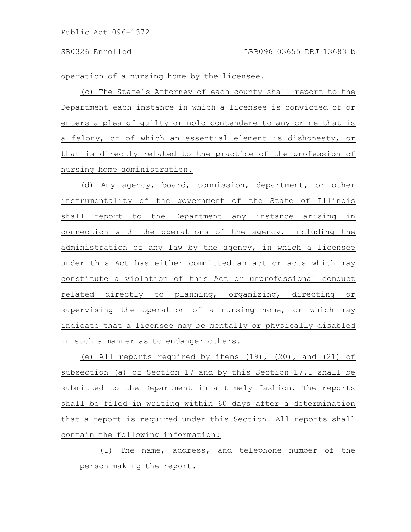operation of a nursing home by the licensee.

(c) The State's Attorney of each county shall report to the Department each instance in which a licensee is convicted of or enters a plea of guilty or nolo contendere to any crime that is a felony, or of which an essential element is dishonesty, or that is directly related to the practice of the profession of nursing home administration.

(d) Any agency, board, commission, department, or other instrumentality of the government of the State of Illinois shall report to the Department any instance arising in connection with the operations of the agency, including the administration of any law by the agency, in which a licensee under this Act has either committed an act or acts which may constitute a violation of this Act or unprofessional conduct related directly to planning, organizing, directing or supervising the operation of a nursing home, or which may indicate that a licensee may be mentally or physically disabled in such a manner as to endanger others.

(e) All reports required by items (19), (20), and (21) of subsection (a) of Section 17 and by this Section 17.1 shall be submitted to the Department in a timely fashion. The reports shall be filed in writing within 60 days after a determination that a report is required under this Section. All reports shall contain the following information:

(1) The name, address, and telephone number of the person making the report.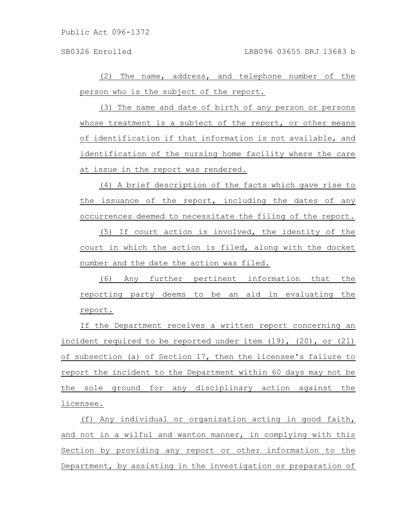(2) The name, address, and telephone number of the person who is the subject of the report.

(3) The name and date of birth of any person or persons whose treatment is a subject of the report, or other means of identification if that information is not available, and identification of the nursing home facility where the care at issue in the report was rendered.

(4) A brief description of the facts which gave rise to the issuance of the report, including the dates of any occurrences deemed to necessitate the filing of the report.

(5) If court action is involved, the identity of the court in which the action is filed, along with the docket number and the date the action was filed.

(6) Any further pertinent information that the reporting party deems to be an aid in evaluating the report.

If the Department receives a written report concerning an incident required to be reported under item  $(19)$ ,  $(20)$ , or  $(21)$ of subsection (a) of Section 17, then the licensee's failure to report the incident to the Department within 60 days may not be the sole ground for any disciplinary action against the licensee.

(f) Any individual or organization acting in good faith, and not in a wilful and wanton manner, in complying with this Section by providing any report or other information to the Department, by assisting in the investigation or preparation of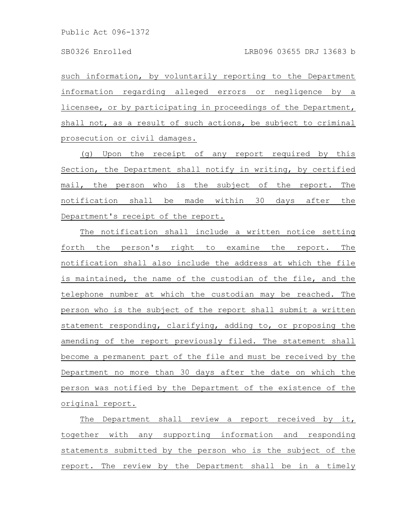such information, by voluntarily reporting to the Department information regarding alleged errors or negligence by a licensee, or by participating in proceedings of the Department, shall not, as a result of such actions, be subject to criminal prosecution or civil damages.

(g) Upon the receipt of any report required by this Section, the Department shall notify in writing, by certified mail, the person who is the subject of the report. The notification shall be made within 30 days after the Department's receipt of the report.

The notification shall include a written notice setting forth the person's right to examine the report. The notification shall also include the address at which the file is maintained, the name of the custodian of the file, and the telephone number at which the custodian may be reached. The person who is the subject of the report shall submit a written statement responding, clarifying, adding to, or proposing the amending of the report previously filed. The statement shall become a permanent part of the file and must be received by the Department no more than 30 days after the date on which the person was notified by the Department of the existence of the original report.

The Department shall review a report received by it, together with any supporting information and responding statements submitted by the person who is the subject of the report. The review by the Department shall be in a timely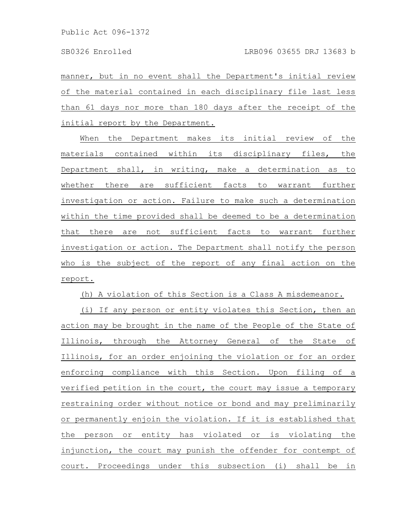manner, but in no event shall the Department's initial review of the material contained in each disciplinary file last less than 61 days nor more than 180 days after the receipt of the initial report by the Department.

When the Department makes its initial review of the materials contained within its disciplinary files, the Department shall, in writing, make a determination as to whether there are sufficient facts to warrant further investigation or action. Failure to make such a determination within the time provided shall be deemed to be a determination that there are not sufficient facts to warrant further investigation or action. The Department shall notify the person who is the subject of the report of any final action on the report.

(h) A violation of this Section is a Class A misdemeanor.

(i) If any person or entity violates this Section, then an action may be brought in the name of the People of the State of Illinois, through the Attorney General of the State of Illinois, for an order enjoining the violation or for an order enforcing compliance with this Section. Upon filing of a verified petition in the court, the court may issue a temporary restraining order without notice or bond and may preliminarily or permanently enjoin the violation. If it is established that the person or entity has violated or is violating the injunction, the court may punish the offender for contempt of court. Proceedings under this subsection (i) shall be in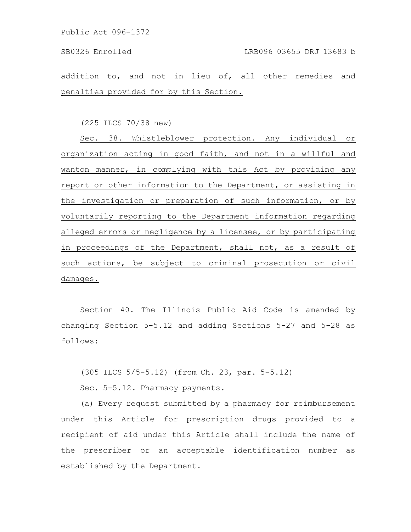addition to, and not in lieu of, all other remedies and penalties provided for by this Section.

(225 ILCS 70/38 new)

Sec. 38. Whistleblower protection. Any individual or organization acting in good faith, and not in a willful and wanton manner, in complying with this Act by providing any report or other information to the Department, or assisting in the investigation or preparation of such information, or by voluntarily reporting to the Department information regarding alleged errors or negligence by a licensee, or by participating in proceedings of the Department, shall not, as a result of such actions, be subject to criminal prosecution or civil damages.

Section 40. The Illinois Public Aid Code is amended by changing Section 5-5.12 and adding Sections 5-27 and 5-28 as follows:

(305 ILCS 5/5-5.12) (from Ch. 23, par. 5-5.12)

Sec. 5-5.12. Pharmacy payments.

(a) Every request submitted by a pharmacy for reimbursement under this Article for prescription drugs provided to a recipient of aid under this Article shall include the name of the prescriber or an acceptable identification number as established by the Department.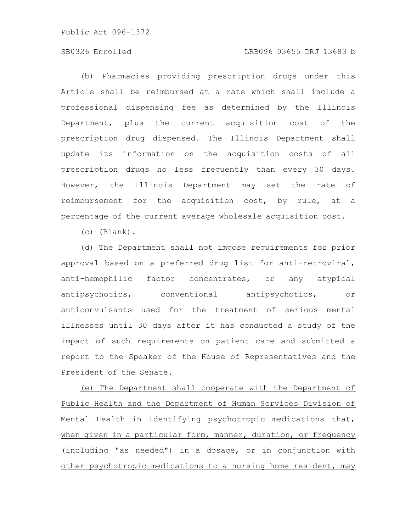## SB0326 Enrolled LRB096 03655 DRJ 13683 b

(b) Pharmacies providing prescription drugs under this Article shall be reimbursed at a rate which shall include a professional dispensing fee as determined by the Illinois Department, plus the current acquisition cost of the prescription drug dispensed. The Illinois Department shall update its information on the acquisition costs of all prescription drugs no less frequently than every 30 days. However, the Illinois Department may set the rate of reimbursement for the acquisition cost, by rule, at a percentage of the current average wholesale acquisition cost.

(c) (Blank).

(d) The Department shall not impose requirements for prior approval based on a preferred drug list for anti-retroviral, anti-hemophilic factor concentrates, or any atypical antipsychotics, conventional antipsychotics, or anticonvulsants used for the treatment of serious mental illnesses until 30 days after it has conducted a study of the impact of such requirements on patient care and submitted a report to the Speaker of the House of Representatives and the President of the Senate.

(e) The Department shall cooperate with the Department of Public Health and the Department of Human Services Division of Mental Health in identifying psychotropic medications that, when given in a particular form, manner, duration, or frequency (including "as needed") in a dosage, or in conjunction with other psychotropic medications to a nursing home resident, may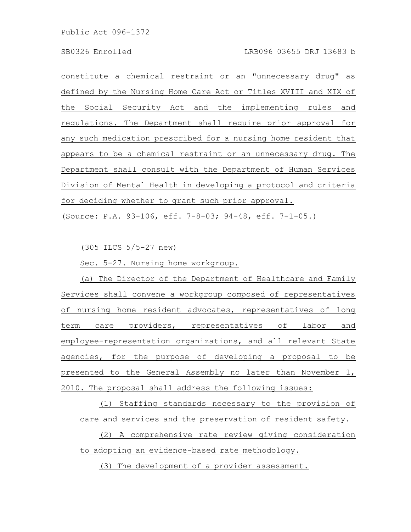constitute a chemical restraint or an "unnecessary drug" as defined by the Nursing Home Care Act or Titles XVIII and XIX of the Social Security Act and the implementing rules and regulations. The Department shall require prior approval for any such medication prescribed for a nursing home resident that appears to be a chemical restraint or an unnecessary drug. The Department shall consult with the Department of Human Services Division of Mental Health in developing a protocol and criteria for deciding whether to grant such prior approval.

(Source: P.A. 93-106, eff. 7-8-03; 94-48, eff. 7-1-05.)

(305 ILCS 5/5-27 new)

Sec. 5-27. Nursing home workgroup.

(a) The Director of the Department of Healthcare and Family Services shall convene a workgroup composed of representatives of nursing home resident advocates, representatives of long term care providers, representatives of labor and employee-representation organizations, and all relevant State agencies, for the purpose of developing a proposal to be presented to the General Assembly no later than November 1, 2010. The proposal shall address the following issues:

(1) Staffing standards necessary to the provision of care and services and the preservation of resident safety.

(2) A comprehensive rate review giving consideration to adopting an evidence-based rate methodology.

(3) The development of a provider assessment.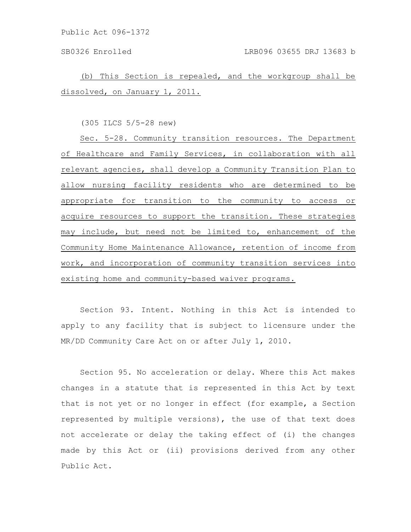(b) This Section is repealed, and the workgroup shall be dissolved, on January 1, 2011.

(305 ILCS 5/5-28 new)

Sec. 5-28. Community transition resources. The Department of Healthcare and Family Services, in collaboration with all relevant agencies, shall develop a Community Transition Plan to allow nursing facility residents who are determined to be appropriate for transition to the community to access or acquire resources to support the transition. These strategies may include, but need not be limited to, enhancement of the Community Home Maintenance Allowance, retention of income from work, and incorporation of community transition services into existing home and community-based waiver programs.

Section 93. Intent. Nothing in this Act is intended to apply to any facility that is subject to licensure under the MR/DD Community Care Act on or after July 1, 2010.

Section 95. No acceleration or delay. Where this Act makes changes in a statute that is represented in this Act by text that is not yet or no longer in effect (for example, a Section represented by multiple versions), the use of that text does not accelerate or delay the taking effect of (i) the changes made by this Act or (ii) provisions derived from any other Public Act.